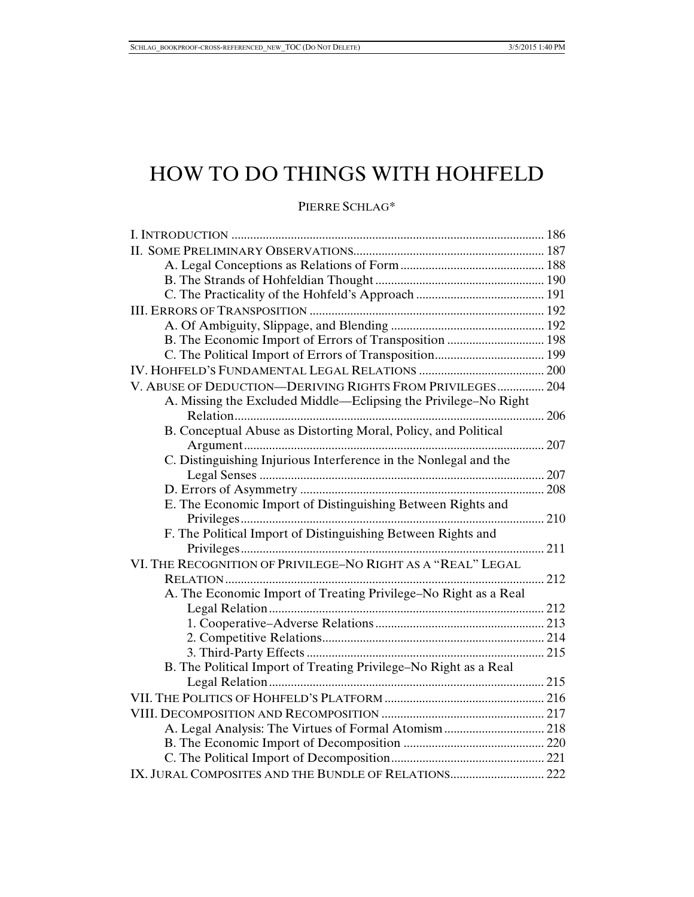# HOW TO DO THINGS WITH HOHFELD

# PIERRE SCHLAG\*

| V. ABUSE OF DEDUCTION-DERIVING RIGHTS FROM PRIVILEGES 204        |  |
|------------------------------------------------------------------|--|
| A. Missing the Excluded Middle—Eclipsing the Privilege–No Right  |  |
|                                                                  |  |
| B. Conceptual Abuse as Distorting Moral, Policy, and Political   |  |
| 207                                                              |  |
| C. Distinguishing Injurious Interference in the Nonlegal and the |  |
|                                                                  |  |
|                                                                  |  |
| E. The Economic Import of Distinguishing Between Rights and      |  |
|                                                                  |  |
| F. The Political Import of Distinguishing Between Rights and     |  |
|                                                                  |  |
| VI. THE RECOGNITION OF PRIVILEGE-NO RIGHT AS A "REAL" LEGAL      |  |
|                                                                  |  |
| A. The Economic Import of Treating Privilege-No Right as a Real  |  |
|                                                                  |  |
|                                                                  |  |
|                                                                  |  |
|                                                                  |  |
| B. The Political Import of Treating Privilege-No Right as a Real |  |
|                                                                  |  |
|                                                                  |  |
|                                                                  |  |
|                                                                  |  |
|                                                                  |  |
|                                                                  |  |
| IX. JURAL COMPOSITES AND THE BUNDLE OF RELATIONS 222             |  |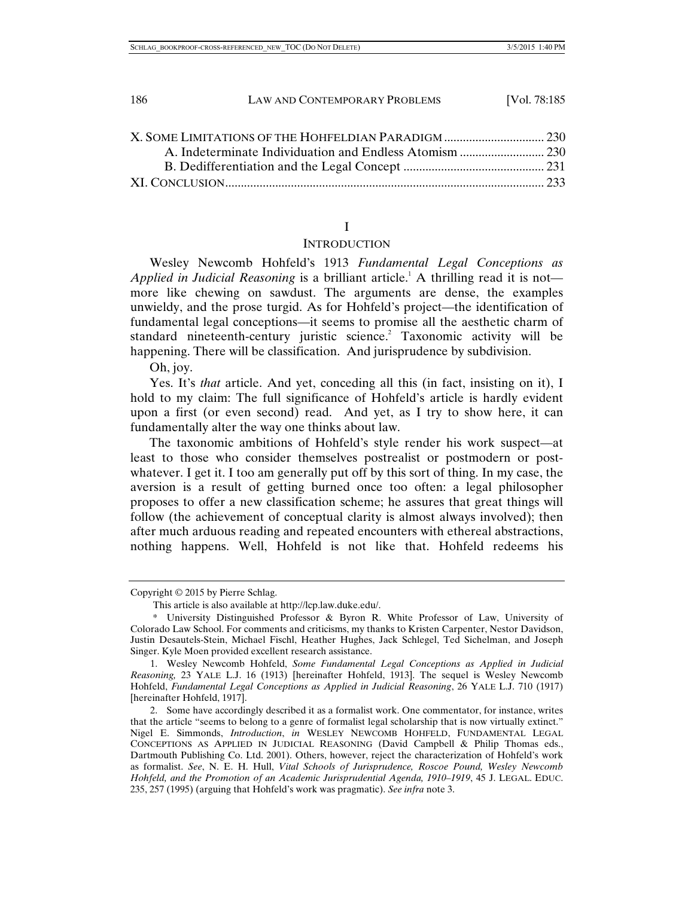#### I

#### **INTRODUCTION**

Wesley Newcomb Hohfeld's 1913 *Fundamental Legal Conceptions as*  Applied in Judicial Reasoning is a brilliant article.<sup>1</sup> A thrilling read it is not more like chewing on sawdust. The arguments are dense, the examples unwieldy, and the prose turgid. As for Hohfeld's project—the identification of fundamental legal conceptions—it seems to promise all the aesthetic charm of standard nineteenth-century juristic science.<sup>2</sup> Taxonomic activity will be happening. There will be classification. And jurisprudence by subdivision.

Oh, joy.

Yes. It's *that* article. And yet, conceding all this (in fact, insisting on it), I hold to my claim: The full significance of Hohfeld's article is hardly evident upon a first (or even second) read. And yet, as I try to show here, it can fundamentally alter the way one thinks about law.

The taxonomic ambitions of Hohfeld's style render his work suspect—at least to those who consider themselves postrealist or postmodern or postwhatever. I get it. I too am generally put off by this sort of thing. In my case, the aversion is a result of getting burned once too often: a legal philosopher proposes to offer a new classification scheme; he assures that great things will follow (the achievement of conceptual clarity is almost always involved); then after much arduous reading and repeated encounters with ethereal abstractions, nothing happens. Well, Hohfeld is not like that. Hohfeld redeems his

Copyright © 2015 by Pierre Schlag.

This article is also available at http://lcp.law.duke.edu/.

 <sup>\*</sup> University Distinguished Professor & Byron R. White Professor of Law, University of Colorado Law School. For comments and criticisms, my thanks to Kristen Carpenter, Nestor Davidson, Justin Desautels-Stein, Michael Fischl, Heather Hughes, Jack Schlegel, Ted Sichelman, and Joseph Singer. Kyle Moen provided excellent research assistance.

 <sup>1.</sup> Wesley Newcomb Hohfeld, *Some Fundamental Legal Conceptions as Applied in Judicial Reasoning,* 23 YALE L.J. 16 (1913) [hereinafter Hohfeld, 1913]. The sequel is Wesley Newcomb Hohfeld, *Fundamental Legal Conceptions as Applied in Judicial Reasoning*, 26 YALE L.J. 710 (1917) [hereinafter Hohfeld, 1917].

 <sup>2.</sup> Some have accordingly described it as a formalist work. One commentator, for instance, writes that the article "seems to belong to a genre of formalist legal scholarship that is now virtually extinct." Nigel E. Simmonds, *Introduction*, *in* WESLEY NEWCOMB HOHFELD, FUNDAMENTAL LEGAL CONCEPTIONS AS APPLIED IN JUDICIAL REASONING (David Campbell & Philip Thomas eds., Dartmouth Publishing Co. Ltd. 2001). Others, however, reject the characterization of Hohfeld's work as formalist. *See*, N. E. H. Hull, *Vital Schools of Jurisprudence, Roscoe Pound, Wesley Newcomb Hohfeld, and the Promotion of an Academic Jurisprudential Agenda, 1910–1919*, 45 J. LEGAL. EDUC. 235, 257 (1995) (arguing that Hohfeld's work was pragmatic). *See infra* note 3.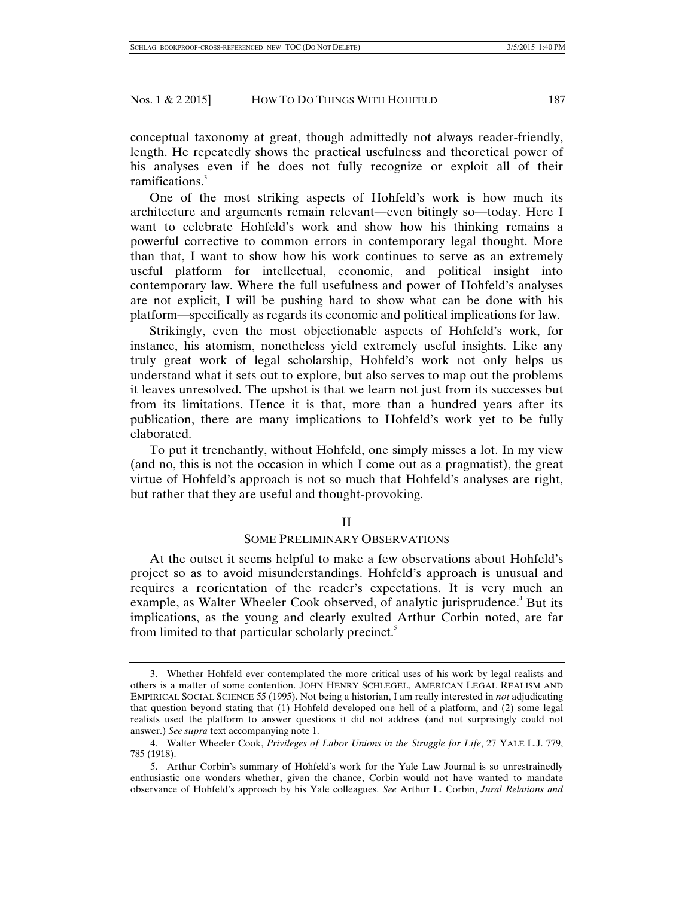conceptual taxonomy at great, though admittedly not always reader-friendly, length. He repeatedly shows the practical usefulness and theoretical power of his analyses even if he does not fully recognize or exploit all of their ramifications.<sup>3</sup>

One of the most striking aspects of Hohfeld's work is how much its architecture and arguments remain relevant—even bitingly so—today. Here I want to celebrate Hohfeld's work and show how his thinking remains a powerful corrective to common errors in contemporary legal thought. More than that, I want to show how his work continues to serve as an extremely useful platform for intellectual, economic, and political insight into contemporary law. Where the full usefulness and power of Hohfeld's analyses are not explicit, I will be pushing hard to show what can be done with his platform—specifically as regards its economic and political implications for law.

Strikingly, even the most objectionable aspects of Hohfeld's work, for instance, his atomism, nonetheless yield extremely useful insights. Like any truly great work of legal scholarship, Hohfeld's work not only helps us understand what it sets out to explore, but also serves to map out the problems it leaves unresolved. The upshot is that we learn not just from its successes but from its limitations. Hence it is that, more than a hundred years after its publication, there are many implications to Hohfeld's work yet to be fully elaborated.

To put it trenchantly, without Hohfeld, one simply misses a lot. In my view (and no, this is not the occasion in which I come out as a pragmatist), the great virtue of Hohfeld's approach is not so much that Hohfeld's analyses are right, but rather that they are useful and thought-provoking.

#### II

#### SOME PRELIMINARY OBSERVATIONS

At the outset it seems helpful to make a few observations about Hohfeld's project so as to avoid misunderstandings. Hohfeld's approach is unusual and requires a reorientation of the reader's expectations. It is very much an example, as Walter Wheeler Cook observed, of analytic jurisprudence.<sup>4</sup> But its implications, as the young and clearly exulted Arthur Corbin noted, are far from limited to that particular scholarly precinct.<sup>5</sup>

 <sup>3.</sup> Whether Hohfeld ever contemplated the more critical uses of his work by legal realists and others is a matter of some contention. JOHN HENRY SCHLEGEL, AMERICAN LEGAL REALISM AND EMPIRICAL SOCIAL SCIENCE 55 (1995). Not being a historian, I am really interested in *not* adjudicating that question beyond stating that (1) Hohfeld developed one hell of a platform, and (2) some legal realists used the platform to answer questions it did not address (and not surprisingly could not answer.) *See supra* text accompanying note 1.

 <sup>4.</sup> Walter Wheeler Cook, *Privileges of Labor Unions in the Struggle for Life*, 27 YALE L.J. 779, 785 (1918).

 <sup>5.</sup> Arthur Corbin's summary of Hohfeld's work for the Yale Law Journal is so unrestrainedly enthusiastic one wonders whether, given the chance, Corbin would not have wanted to mandate observance of Hohfeld's approach by his Yale colleagues. *See* Arthur L. Corbin, *Jural Relations and*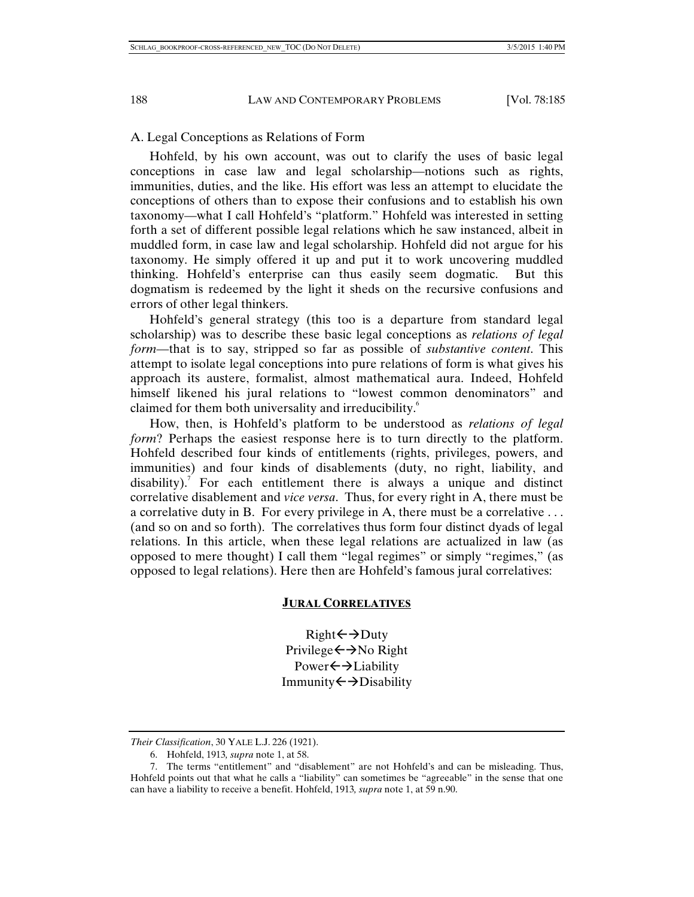A. Legal Conceptions as Relations of Form

Hohfeld, by his own account, was out to clarify the uses of basic legal conceptions in case law and legal scholarship—notions such as rights, immunities, duties, and the like. His effort was less an attempt to elucidate the conceptions of others than to expose their confusions and to establish his own taxonomy—what I call Hohfeld's "platform." Hohfeld was interested in setting forth a set of different possible legal relations which he saw instanced, albeit in muddled form, in case law and legal scholarship. Hohfeld did not argue for his taxonomy. He simply offered it up and put it to work uncovering muddled thinking. Hohfeld's enterprise can thus easily seem dogmatic. But this dogmatism is redeemed by the light it sheds on the recursive confusions and errors of other legal thinkers.

Hohfeld's general strategy (this too is a departure from standard legal scholarship) was to describe these basic legal conceptions as *relations of legal form*—that is to say, stripped so far as possible of *substantive content*. This attempt to isolate legal conceptions into pure relations of form is what gives his approach its austere, formalist, almost mathematical aura. Indeed, Hohfeld himself likened his jural relations to "lowest common denominators" and claimed for them both universality and irreducibility.<sup>6</sup>

How, then, is Hohfeld's platform to be understood as *relations of legal form*? Perhaps the easiest response here is to turn directly to the platform. Hohfeld described four kinds of entitlements (rights, privileges, powers, and immunities) and four kinds of disablements (duty, no right, liability, and disability).<sup>7</sup> For each entitlement there is always a unique and distinct correlative disablement and *vice versa*. Thus, for every right in A, there must be a correlative duty in B. For every privilege in A, there must be a correlative . . . (and so on and so forth). The correlatives thus form four distinct dyads of legal relations. In this article, when these legal relations are actualized in law (as opposed to mere thought) I call them "legal regimes" or simply "regimes," (as opposed to legal relations). Here then are Hohfeld's famous jural correlatives:

#### **JURAL CORRELATIVES**

 $Right \leftrightarrow Duty$ Privilege $\leftrightarrow$ No Right Power $\leftrightarrow$ Liability Immunity $\leftrightarrow$ Disability

*Their Classification*, 30 YALE L.J. 226 (1921).

 <sup>6.</sup> Hohfeld, 1913*, supra* note 1, at 58.

 <sup>7.</sup> The terms "entitlement" and "disablement" are not Hohfeld's and can be misleading. Thus, Hohfeld points out that what he calls a "liability" can sometimes be "agreeable" in the sense that one can have a liability to receive a benefit. Hohfeld, 1913*, supra* note 1, at 59 n.90.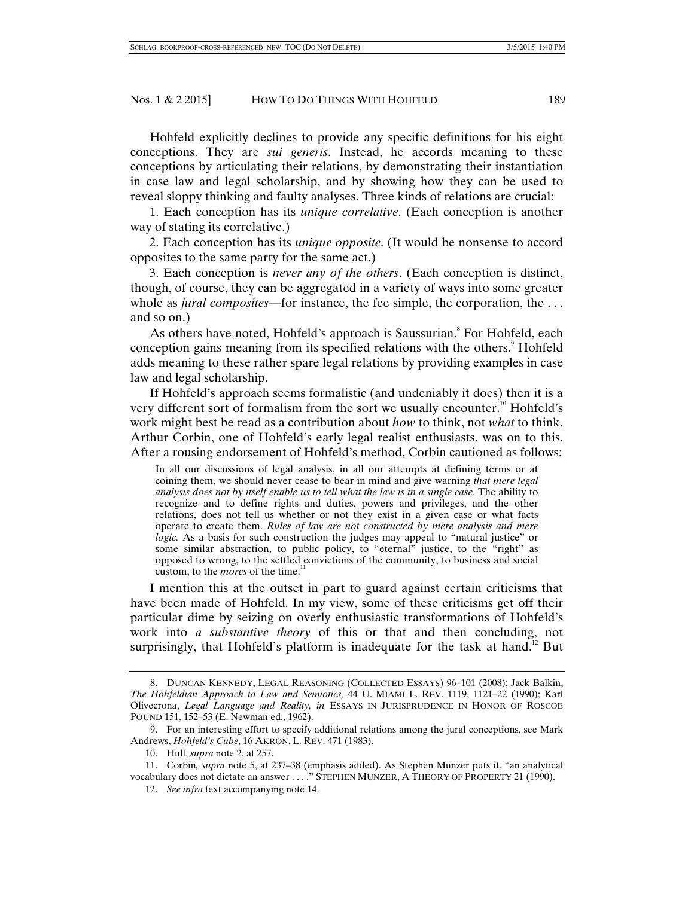Hohfeld explicitly declines to provide any specific definitions for his eight conceptions. They are *sui generis*. Instead, he accords meaning to these conceptions by articulating their relations, by demonstrating their instantiation in case law and legal scholarship, and by showing how they can be used to reveal sloppy thinking and faulty analyses. Three kinds of relations are crucial:

1. Each conception has its *unique correlative*. (Each conception is another way of stating its correlative.)

2. Each conception has its *unique opposite*. (It would be nonsense to accord opposites to the same party for the same act.)

3. Each conception is *never any of the others*. (Each conception is distinct, though, of course, they can be aggregated in a variety of ways into some greater whole as *jural composites*—for instance, the fee simple, the corporation, the . . . and so on.)

As others have noted, Hohfeld's approach is Saussurian.<sup>8</sup> For Hohfeld, each conception gains meaning from its specified relations with the others.<sup>9</sup> Hohfeld adds meaning to these rather spare legal relations by providing examples in case law and legal scholarship.

If Hohfeld's approach seems formalistic (and undeniably it does) then it is a very different sort of formalism from the sort we usually encounter.<sup>10</sup> Hohfeld's work might best be read as a contribution about *how* to think, not *what* to think. Arthur Corbin, one of Hohfeld's early legal realist enthusiasts, was on to this. After a rousing endorsement of Hohfeld's method, Corbin cautioned as follows:

In all our discussions of legal analysis, in all our attempts at defining terms or at coining them, we should never cease to bear in mind and give warning *that mere legal analysis does not by itself enable us to tell what the law is in a single case*. The ability to recognize and to define rights and duties, powers and privileges, and the other relations, does not tell us whether or not they exist in a given case or what facts operate to create them. *Rules of law are not constructed by mere analysis and mere logic.* As a basis for such construction the judges may appeal to "natural justice" or some similar abstraction, to public policy, to "eternal" justice, to the "right" as opposed to wrong, to the settled convictions of the community, to business and social custom, to the *mores* of the time.<sup>11</sup>

I mention this at the outset in part to guard against certain criticisms that have been made of Hohfeld. In my view, some of these criticisms get off their particular dime by seizing on overly enthusiastic transformations of Hohfeld's work into *a substantive theory* of this or that and then concluding, not surprisingly, that Hohfeld's platform is inadequate for the task at hand.<sup>12</sup> But

 <sup>8.</sup> DUNCAN KENNEDY, LEGAL REASONING (COLLECTED ESSAYS) 96–101 (2008); Jack Balkin, *The Hohfeldian Approach to Law and Semiotics,* 44 U. MIAMI L. REV. 1119, 1121–22 (1990); Karl Olivecrona, *Legal Language and Reality, in* ESSAYS IN JURISPRUDENCE IN HONOR OF ROSCOE POUND 151, 152–53 (E. Newman ed., 1962).

 <sup>9.</sup> For an interesting effort to specify additional relations among the jural conceptions, see Mark Andrews, *Hohfeld's Cube*, 16 AKRON. L. REV. 471 (1983).

 <sup>10.</sup> Hull, *supra* note 2, at 257.

 <sup>11.</sup> Corbin*, supra* note 5, at 237–38 (emphasis added). As Stephen Munzer puts it, "an analytical vocabulary does not dictate an answer . . . ." STEPHEN MUNZER, A THEORY OF PROPERTY 21 (1990).

 <sup>12.</sup> *See infra* text accompanying note 14.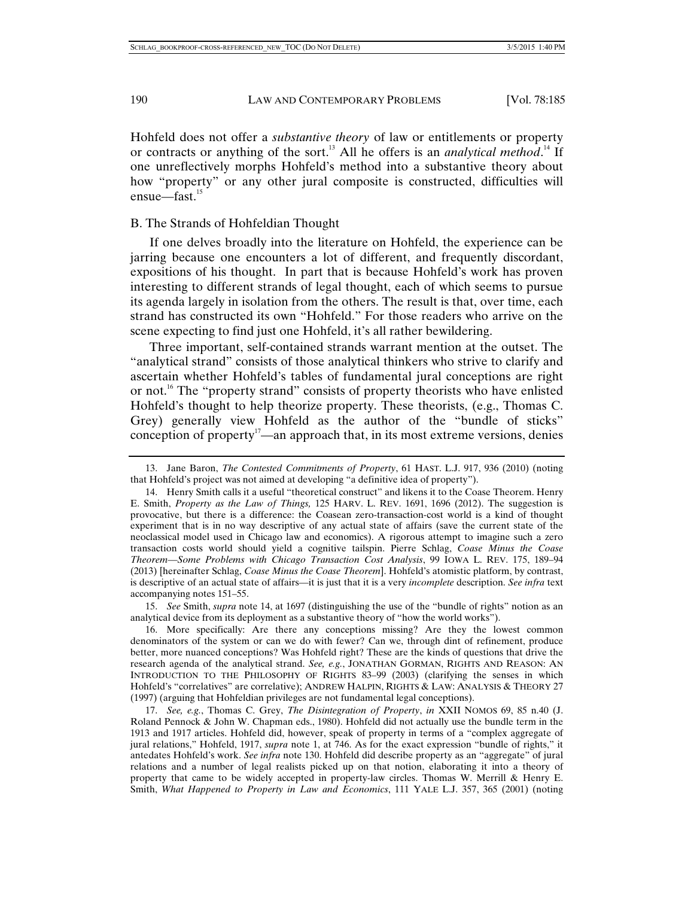Hohfeld does not offer a *substantive theory* of law or entitlements or property or contracts or anything of the sort.<sup>13</sup> All he offers is an *analytical method*.<sup>14</sup> If one unreflectively morphs Hohfeld's method into a substantive theory about how "property" or any other jural composite is constructed, difficulties will ensue—fast.<sup>15</sup>

## B. The Strands of Hohfeldian Thought

If one delves broadly into the literature on Hohfeld, the experience can be jarring because one encounters a lot of different, and frequently discordant, expositions of his thought. In part that is because Hohfeld's work has proven interesting to different strands of legal thought, each of which seems to pursue its agenda largely in isolation from the others. The result is that, over time, each strand has constructed its own "Hohfeld." For those readers who arrive on the scene expecting to find just one Hohfeld, it's all rather bewildering.

Three important, self-contained strands warrant mention at the outset. The "analytical strand" consists of those analytical thinkers who strive to clarify and ascertain whether Hohfeld's tables of fundamental jural conceptions are right or not.16 The "property strand" consists of property theorists who have enlisted Hohfeld's thought to help theorize property. These theorists, (e.g., Thomas C. Grey) generally view Hohfeld as the author of the "bundle of sticks" conception of property<sup>17</sup>—an approach that, in its most extreme versions, denies

 15. *See* Smith, *supra* note 14, at 1697 (distinguishing the use of the "bundle of rights" notion as an analytical device from its deployment as a substantive theory of "how the world works").

 16. More specifically: Are there any conceptions missing? Are they the lowest common denominators of the system or can we do with fewer? Can we, through dint of refinement, produce better, more nuanced conceptions? Was Hohfeld right? These are the kinds of questions that drive the research agenda of the analytical strand. *See, e.g.*, JONATHAN GORMAN, RIGHTS AND REASON: AN INTRODUCTION TO THE PHILOSOPHY OF RIGHTS 83–99 (2003) (clarifying the senses in which Hohfeld's "correlatives" are correlative); ANDREW HALPIN, RIGHTS & LAW: ANALYSIS & THEORY 27 (1997) (arguing that Hohfeldian privileges are not fundamental legal conceptions).

 17. *See, e.g.*, Thomas C. Grey, *The Disintegration of Property*, *in* XXII NOMOS 69, 85 n.40 (J. Roland Pennock & John W. Chapman eds., 1980). Hohfeld did not actually use the bundle term in the 1913 and 1917 articles. Hohfeld did, however, speak of property in terms of a "complex aggregate of jural relations," Hohfeld, 1917, *supra* note 1, at 746. As for the exact expression "bundle of rights," it antedates Hohfeld's work. *See infra* note 130. Hohfeld did describe property as an "aggregate" of jural relations and a number of legal realists picked up on that notion, elaborating it into a theory of property that came to be widely accepted in property-law circles. Thomas W. Merrill & Henry E. Smith, *What Happened to Property in Law and Economics*, 111 YALE L.J. 357, 365 (2001) (noting

 <sup>13.</sup> Jane Baron, *The Contested Commitments of Property*, 61 HAST. L.J. 917, 936 (2010) (noting that Hohfeld's project was not aimed at developing "a definitive idea of property").

 <sup>14.</sup> Henry Smith calls it a useful "theoretical construct" and likens it to the Coase Theorem. Henry E. Smith, *Property as the Law of Things,* 125 HARV. L. REV. 1691, 1696 (2012). The suggestion is provocative, but there is a difference: the Coasean zero-transaction-cost world is a kind of thought experiment that is in no way descriptive of any actual state of affairs (save the current state of the neoclassical model used in Chicago law and economics). A rigorous attempt to imagine such a zero transaction costs world should yield a cognitive tailspin. Pierre Schlag, *Coase Minus the Coase Theorem—Some Problems with Chicago Transaction Cost Analysis*, 99 IOWA L. REV. 175, 189–94 (2013) [hereinafter Schlag, *Coase Minus the Coase Theorem*]. Hohfeld's atomistic platform, by contrast, is descriptive of an actual state of affairs—it is just that it is a very *incomplete* description. *See infra* text accompanying notes 151–55.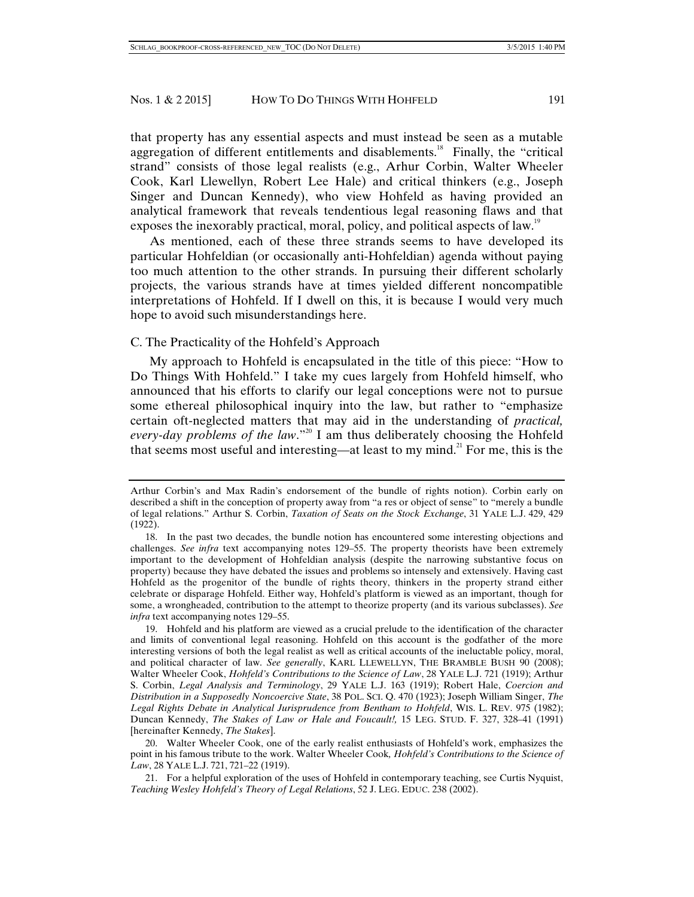that property has any essential aspects and must instead be seen as a mutable aggregation of different entitlements and disablements.<sup>18</sup> Finally, the "critical" strand" consists of those legal realists (e.g., Arhur Corbin, Walter Wheeler Cook, Karl Llewellyn, Robert Lee Hale) and critical thinkers (e.g., Joseph Singer and Duncan Kennedy), who view Hohfeld as having provided an analytical framework that reveals tendentious legal reasoning flaws and that exposes the inexorably practical, moral, policy, and political aspects of law.<sup>19</sup>

As mentioned, each of these three strands seems to have developed its particular Hohfeldian (or occasionally anti-Hohfeldian) agenda without paying too much attention to the other strands. In pursuing their different scholarly projects, the various strands have at times yielded different noncompatible interpretations of Hohfeld. If I dwell on this, it is because I would very much hope to avoid such misunderstandings here.

## C. The Practicality of the Hohfeld's Approach

My approach to Hohfeld is encapsulated in the title of this piece: "How to Do Things With Hohfeld." I take my cues largely from Hohfeld himself, who announced that his efforts to clarify our legal conceptions were not to pursue some ethereal philosophical inquiry into the law, but rather to "emphasize certain oft-neglected matters that may aid in the understanding of *practical, every-day problems of the law*."20 I am thus deliberately choosing the Hohfeld that seems most useful and interesting—at least to my mind.<sup>21</sup> For me, this is the

Arthur Corbin's and Max Radin's endorsement of the bundle of rights notion). Corbin early on described a shift in the conception of property away from "a res or object of sense" to "merely a bundle of legal relations." Arthur S. Corbin, *Taxation of Seats on the Stock Exchange*, 31 YALE L.J. 429, 429 (1922).

 <sup>18.</sup> In the past two decades, the bundle notion has encountered some interesting objections and challenges. *See infra* text accompanying notes 129–55. The property theorists have been extremely important to the development of Hohfeldian analysis (despite the narrowing substantive focus on property) because they have debated the issues and problems so intensely and extensively. Having cast Hohfeld as the progenitor of the bundle of rights theory, thinkers in the property strand either celebrate or disparage Hohfeld. Either way, Hohfeld's platform is viewed as an important, though for some, a wrongheaded, contribution to the attempt to theorize property (and its various subclasses). *See infra* text accompanying notes 129–55.

 <sup>19.</sup> Hohfeld and his platform are viewed as a crucial prelude to the identification of the character and limits of conventional legal reasoning. Hohfeld on this account is the godfather of the more interesting versions of both the legal realist as well as critical accounts of the ineluctable policy, moral, and political character of law. *See generally*, KARL LLEWELLYN, THE BRAMBLE BUSH 90 (2008); Walter Wheeler Cook, *Hohfeld's Contributions to the Science of Law*, 28 YALE L.J. 721 (1919); Arthur S. Corbin, *Legal Analysis and Terminology*, 29 YALE L.J. 163 (1919); Robert Hale, *Coercion and Distribution in a Supposedly Noncoercive State*, 38 POL. SCI. Q. 470 (1923); Joseph William Singer, *The Legal Rights Debate in Analytical Jurisprudence from Bentham to Hohfeld*, WIS. L. REV. 975 (1982); Duncan Kennedy, *The Stakes of Law or Hale and Foucault!,* 15 LEG. STUD. F. 327, 328–41 (1991) [hereinafter Kennedy, *The Stakes*].

 <sup>20.</sup> Walter Wheeler Cook, one of the early realist enthusiasts of Hohfeld's work, emphasizes the point in his famous tribute to the work. Walter Wheeler Cook*, Hohfeld's Contributions to the Science of Law*, 28 YALE L.J. 721, 721–22 (1919).

 <sup>21.</sup> For a helpful exploration of the uses of Hohfeld in contemporary teaching, see Curtis Nyquist, *Teaching Wesley Hohfeld's Theory of Legal Relations*, 52 J. LEG. EDUC. 238 (2002).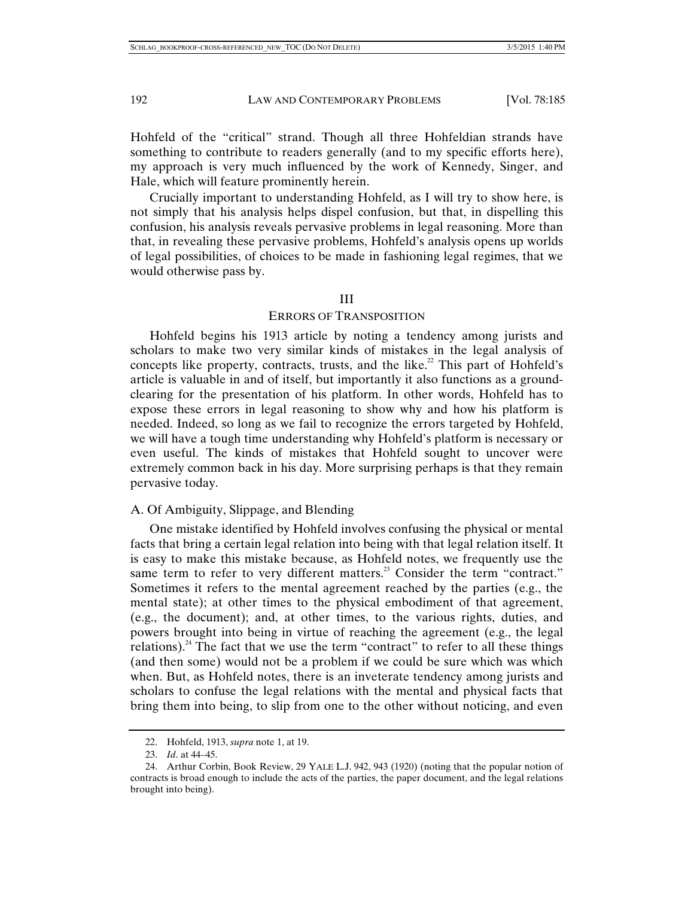Hohfeld of the "critical" strand. Though all three Hohfeldian strands have something to contribute to readers generally (and to my specific efforts here), my approach is very much influenced by the work of Kennedy, Singer, and Hale, which will feature prominently herein.

Crucially important to understanding Hohfeld, as I will try to show here, is not simply that his analysis helps dispel confusion, but that, in dispelling this confusion, his analysis reveals pervasive problems in legal reasoning. More than that, in revealing these pervasive problems, Hohfeld's analysis opens up worlds of legal possibilities, of choices to be made in fashioning legal regimes, that we would otherwise pass by.

#### III

## ERRORS OF TRANSPOSITION

Hohfeld begins his 1913 article by noting a tendency among jurists and scholars to make two very similar kinds of mistakes in the legal analysis of concepts like property, contracts, trusts, and the like.<sup>22</sup> This part of Hohfeld's article is valuable in and of itself, but importantly it also functions as a groundclearing for the presentation of his platform. In other words, Hohfeld has to expose these errors in legal reasoning to show why and how his platform is needed. Indeed, so long as we fail to recognize the errors targeted by Hohfeld, we will have a tough time understanding why Hohfeld's platform is necessary or even useful. The kinds of mistakes that Hohfeld sought to uncover were extremely common back in his day. More surprising perhaps is that they remain pervasive today.

## A. Of Ambiguity, Slippage, and Blending

One mistake identified by Hohfeld involves confusing the physical or mental facts that bring a certain legal relation into being with that legal relation itself. It is easy to make this mistake because, as Hohfeld notes, we frequently use the same term to refer to very different matters.<sup>23</sup> Consider the term "contract." Sometimes it refers to the mental agreement reached by the parties (e.g., the mental state); at other times to the physical embodiment of that agreement, (e.g., the document); and, at other times, to the various rights, duties, and powers brought into being in virtue of reaching the agreement (e.g., the legal relations).<sup>24</sup> The fact that we use the term "contract" to refer to all these things (and then some) would not be a problem if we could be sure which was which when. But, as Hohfeld notes, there is an inveterate tendency among jurists and scholars to confuse the legal relations with the mental and physical facts that bring them into being, to slip from one to the other without noticing, and even

 <sup>22.</sup> Hohfeld, 1913, *supra* note 1, at 19.

 <sup>23.</sup> *Id*. at 44–45.

 <sup>24.</sup> Arthur Corbin, Book Review, 29 YALE L.J. 942, 943 (1920) (noting that the popular notion of contracts is broad enough to include the acts of the parties, the paper document, and the legal relations brought into being).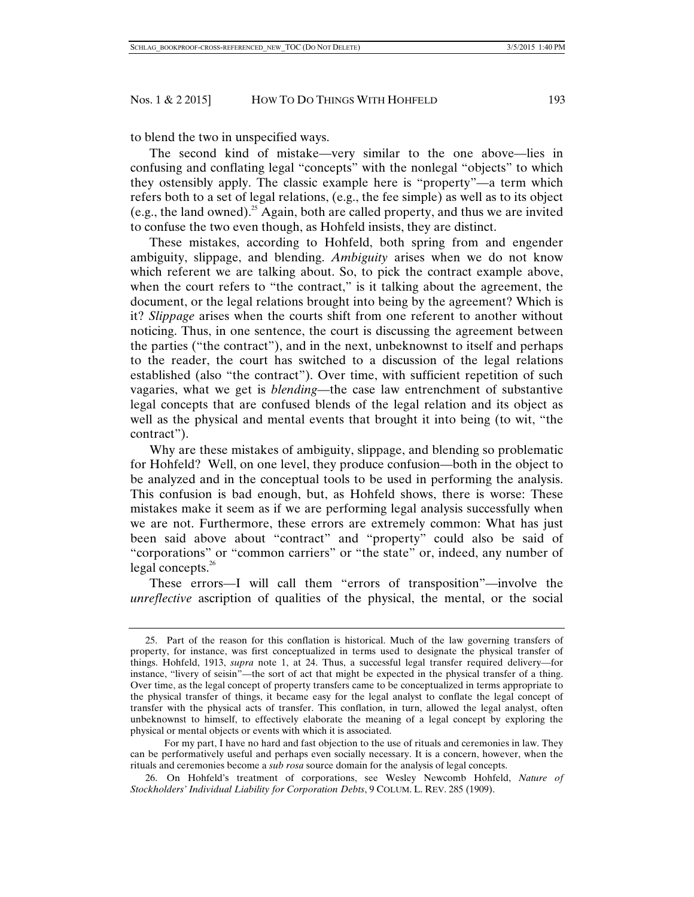to blend the two in unspecified ways.

The second kind of mistake—very similar to the one above—lies in confusing and conflating legal "concepts" with the nonlegal "objects" to which they ostensibly apply. The classic example here is "property"—a term which refers both to a set of legal relations, (e.g., the fee simple) as well as to its object (e.g., the land owned).<sup>25</sup> Again, both are called property, and thus we are invited to confuse the two even though, as Hohfeld insists, they are distinct.

These mistakes, according to Hohfeld, both spring from and engender ambiguity, slippage, and blending. *Ambiguity* arises when we do not know which referent we are talking about. So, to pick the contract example above, when the court refers to "the contract," is it talking about the agreement, the document, or the legal relations brought into being by the agreement? Which is it? *Slippage* arises when the courts shift from one referent to another without noticing. Thus, in one sentence, the court is discussing the agreement between the parties ("the contract"), and in the next, unbeknownst to itself and perhaps to the reader, the court has switched to a discussion of the legal relations established (also "the contract"). Over time, with sufficient repetition of such vagaries, what we get is *blending*—the case law entrenchment of substantive legal concepts that are confused blends of the legal relation and its object as well as the physical and mental events that brought it into being (to wit, "the contract").

Why are these mistakes of ambiguity, slippage, and blending so problematic for Hohfeld? Well, on one level, they produce confusion—both in the object to be analyzed and in the conceptual tools to be used in performing the analysis. This confusion is bad enough, but, as Hohfeld shows, there is worse: These mistakes make it seem as if we are performing legal analysis successfully when we are not. Furthermore, these errors are extremely common: What has just been said above about "contract" and "property" could also be said of "corporations" or "common carriers" or "the state" or, indeed, any number of legal concepts. $26$ 

These errors—I will call them "errors of transposition"—involve the *unreflective* ascription of qualities of the physical, the mental, or the social

 <sup>25.</sup> Part of the reason for this conflation is historical. Much of the law governing transfers of property, for instance, was first conceptualized in terms used to designate the physical transfer of things. Hohfeld, 1913, *supra* note 1, at 24. Thus, a successful legal transfer required delivery—for instance, "livery of seisin"—the sort of act that might be expected in the physical transfer of a thing. Over time, as the legal concept of property transfers came to be conceptualized in terms appropriate to the physical transfer of things, it became easy for the legal analyst to conflate the legal concept of transfer with the physical acts of transfer. This conflation, in turn, allowed the legal analyst, often unbeknownst to himself, to effectively elaborate the meaning of a legal concept by exploring the physical or mental objects or events with which it is associated.

For my part, I have no hard and fast objection to the use of rituals and ceremonies in law. They can be performatively useful and perhaps even socially necessary. It is a concern, however, when the rituals and ceremonies become a *sub rosa* source domain for the analysis of legal concepts.

 <sup>26.</sup> On Hohfeld's treatment of corporations, see Wesley Newcomb Hohfeld, *Nature of Stockholders' Individual Liability for Corporation Debts*, 9 COLUM. L. REV. 285 (1909).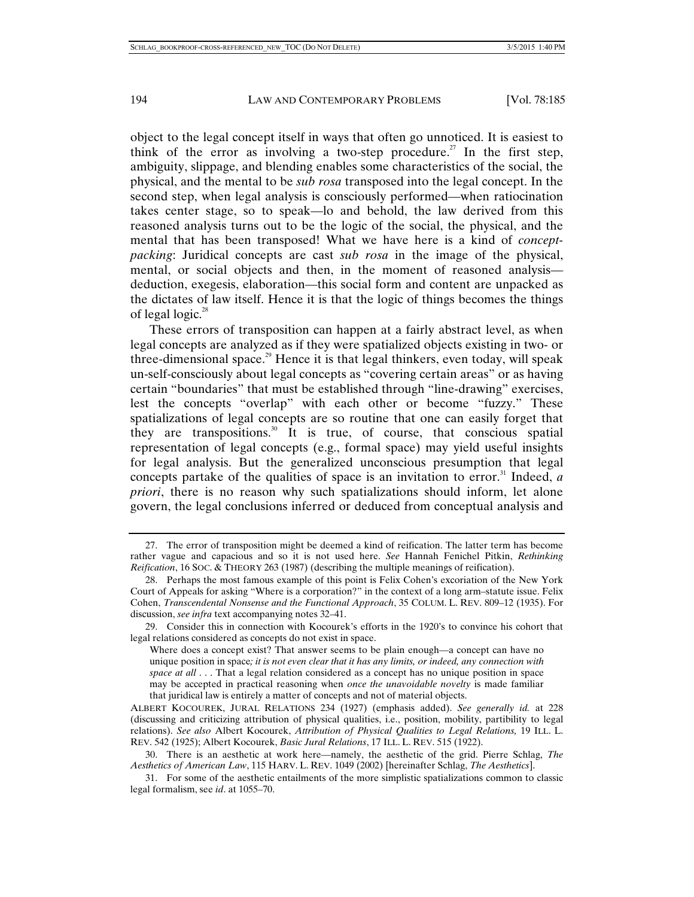object to the legal concept itself in ways that often go unnoticed. It is easiest to think of the error as involving a two-step procedure.<sup>27</sup> In the first step, ambiguity, slippage, and blending enables some characteristics of the social, the physical, and the mental to be *sub rosa* transposed into the legal concept. In the second step, when legal analysis is consciously performed—when ratiocination takes center stage, so to speak—lo and behold, the law derived from this reasoned analysis turns out to be the logic of the social, the physical, and the mental that has been transposed! What we have here is a kind of *conceptpacking*: Juridical concepts are cast *sub rosa* in the image of the physical, mental, or social objects and then, in the moment of reasoned analysis deduction, exegesis, elaboration—this social form and content are unpacked as the dictates of law itself. Hence it is that the logic of things becomes the things of legal  $logic.^{28}$ 

These errors of transposition can happen at a fairly abstract level, as when legal concepts are analyzed as if they were spatialized objects existing in two- or three-dimensional space.<sup>29</sup> Hence it is that legal thinkers, even today, will speak un-self-consciously about legal concepts as "covering certain areas" or as having certain "boundaries" that must be established through "line-drawing" exercises, lest the concepts "overlap" with each other or become "fuzzy." These spatializations of legal concepts are so routine that one can easily forget that they are transpositions.<sup>30</sup> It is true, of course, that conscious spatial representation of legal concepts (e.g., formal space) may yield useful insights for legal analysis. But the generalized unconscious presumption that legal concepts partake of the qualities of space is an invitation to error.<sup>31</sup> Indeed,  $a$ *priori*, there is no reason why such spatializations should inform, let alone govern, the legal conclusions inferred or deduced from conceptual analysis and

 <sup>27.</sup> The error of transposition might be deemed a kind of reification. The latter term has become rather vague and capacious and so it is not used here. *See* Hannah Fenichel Pitkin, *Rethinking Reification*, 16 SOC. & THEORY 263 (1987) (describing the multiple meanings of reification).

 <sup>28.</sup> Perhaps the most famous example of this point is Felix Cohen's excoriation of the New York Court of Appeals for asking "Where is a corporation?" in the context of a long arm–statute issue. Felix Cohen, *Transcendental Nonsense and the Functional Approach*, 35 COLUM. L. REV. 809–12 (1935). For discussion, *see infra* text accompanying notes 32–41.

 <sup>29.</sup> Consider this in connection with Kocourek's efforts in the 1920's to convince his cohort that legal relations considered as concepts do not exist in space.

Where does a concept exist? That answer seems to be plain enough—a concept can have no unique position in space*; it is not even clear that it has any limits, or indeed, any connection with space at all* . . . That a legal relation considered as a concept has no unique position in space may be accepted in practical reasoning when *once the unavoidable novelty* is made familiar that juridical law is entirely a matter of concepts and not of material objects.

ALBERT KOCOUREK, JURAL RELATIONS 234 (1927) (emphasis added). *See generally id.* at 228 (discussing and criticizing attribution of physical qualities, i.e., position, mobility, partibility to legal relations). *See also* Albert Kocourek, *Attribution of Physical Qualities to Legal Relations,* 19 ILL. L. REV. 542 (1925); Albert Kocourek, *Basic Jural Relations*, 17 ILL. L. REV. 515 (1922).

 <sup>30.</sup> There is an aesthetic at work here—namely, the aesthetic of the grid. Pierre Schlag, *The Aesthetics of American Law*, 115 HARV. L. REV. 1049 (2002) [hereinafter Schlag, *The Aesthetics*].

 <sup>31.</sup> For some of the aesthetic entailments of the more simplistic spatializations common to classic legal formalism, see *id*. at 1055–70.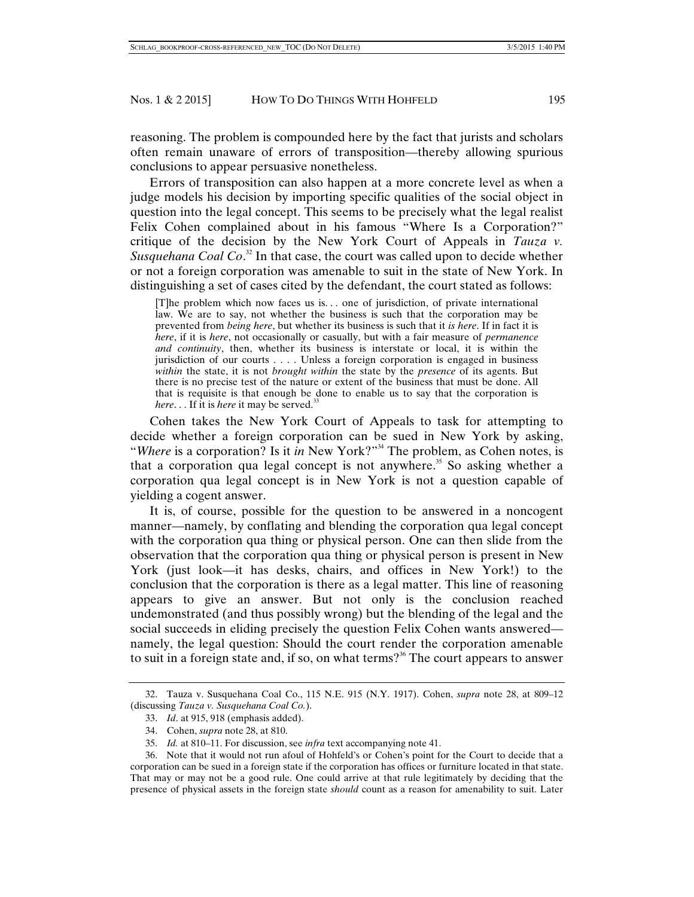reasoning. The problem is compounded here by the fact that jurists and scholars often remain unaware of errors of transposition—thereby allowing spurious conclusions to appear persuasive nonetheless.

Errors of transposition can also happen at a more concrete level as when a judge models his decision by importing specific qualities of the social object in question into the legal concept. This seems to be precisely what the legal realist Felix Cohen complained about in his famous "Where Is a Corporation?" critique of the decision by the New York Court of Appeals in *Tauza v.*  Susquehana Coal Co.<sup>32</sup> In that case, the court was called upon to decide whether or not a foreign corporation was amenable to suit in the state of New York. In distinguishing a set of cases cited by the defendant, the court stated as follows:

[T]he problem which now faces us is. . . one of jurisdiction, of private international law. We are to say, not whether the business is such that the corporation may be prevented from *being here*, but whether its business is such that it *is here*. If in fact it is *here*, if it is *here*, not occasionally or casually, but with a fair measure of *permanence and continuity*, then, whether its business is interstate or local, it is within the jurisdiction of our courts . . . . Unless a foreign corporation is engaged in business *within* the state, it is not *brought within* the state by the *presence* of its agents. But there is no precise test of the nature or extent of the business that must be done. All that is requisite is that enough be done to enable us to say that the corporation is *here*... If it is *here* it may be served.<sup>33</sup>

Cohen takes the New York Court of Appeals to task for attempting to decide whether a foreign corporation can be sued in New York by asking, "*Where* is a corporation? Is it *in* New York?"<sup>34</sup> The problem, as Cohen notes, is that a corporation qua legal concept is not anywhere.<sup>35</sup> So asking whether a corporation qua legal concept is in New York is not a question capable of yielding a cogent answer.

It is, of course, possible for the question to be answered in a noncogent manner—namely, by conflating and blending the corporation qua legal concept with the corporation qua thing or physical person. One can then slide from the observation that the corporation qua thing or physical person is present in New York (just look—it has desks, chairs, and offices in New York!) to the conclusion that the corporation is there as a legal matter. This line of reasoning appears to give an answer. But not only is the conclusion reached undemonstrated (and thus possibly wrong) but the blending of the legal and the social succeeds in eliding precisely the question Felix Cohen wants answered namely, the legal question: Should the court render the corporation amenable to suit in a foreign state and, if so, on what terms?<sup>36</sup> The court appears to answer

 <sup>32.</sup> Tauza v. Susquehana Coal Co., 115 N.E. 915 (N.Y. 1917). Cohen, *supra* note 28, at 809–12 (discussing *Tauza v. Susquehana Coal Co.*).

 <sup>33.</sup> *Id*. at 915, 918 (emphasis added).

 <sup>34.</sup> Cohen, *supra* note 28, at 810.

 <sup>35.</sup> *Id.* at 810–11. For discussion, see *infra* text accompanying note 41.

 <sup>36.</sup> Note that it would not run afoul of Hohfeld's or Cohen's point for the Court to decide that a corporation can be sued in a foreign state if the corporation has offices or furniture located in that state. That may or may not be a good rule. One could arrive at that rule legitimately by deciding that the presence of physical assets in the foreign state *should* count as a reason for amenability to suit. Later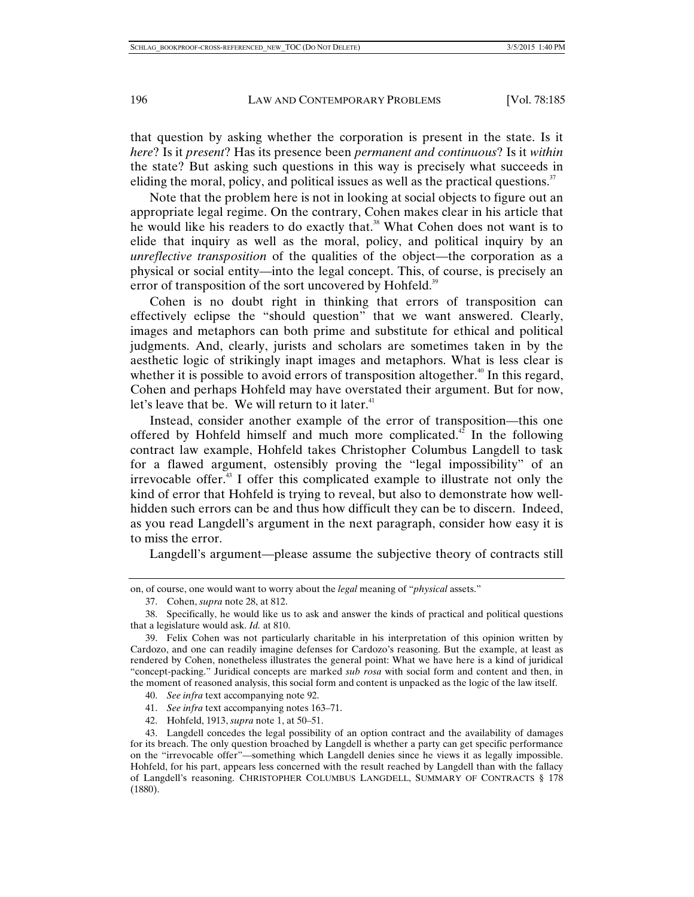that question by asking whether the corporation is present in the state. Is it *here*? Is it *present*? Has its presence been *permanent and continuous*? Is it *within* the state? But asking such questions in this way is precisely what succeeds in eliding the moral, policy, and political issues as well as the practical questions.<sup>37</sup>

Note that the problem here is not in looking at social objects to figure out an appropriate legal regime. On the contrary, Cohen makes clear in his article that he would like his readers to do exactly that.<sup>38</sup> What Cohen does not want is to elide that inquiry as well as the moral, policy, and political inquiry by an *unreflective transposition* of the qualities of the object—the corporation as a physical or social entity—into the legal concept. This, of course, is precisely an error of transposition of the sort uncovered by Hohfeld.<sup>39</sup>

Cohen is no doubt right in thinking that errors of transposition can effectively eclipse the "should question" that we want answered. Clearly, images and metaphors can both prime and substitute for ethical and political judgments. And, clearly, jurists and scholars are sometimes taken in by the aesthetic logic of strikingly inapt images and metaphors. What is less clear is whether it is possible to avoid errors of transposition altogether.<sup>40</sup> In this regard, Cohen and perhaps Hohfeld may have overstated their argument. But for now, let's leave that be. We will return to it later.<sup>41</sup>

Instead, consider another example of the error of transposition—this one offered by Hohfeld himself and much more complicated.<sup>42</sup> In the following contract law example, Hohfeld takes Christopher Columbus Langdell to task for a flawed argument, ostensibly proving the "legal impossibility" of an irrevocable offer.<sup>43</sup> I offer this complicated example to illustrate not only the kind of error that Hohfeld is trying to reveal, but also to demonstrate how wellhidden such errors can be and thus how difficult they can be to discern. Indeed, as you read Langdell's argument in the next paragraph, consider how easy it is to miss the error.

Langdell's argument—please assume the subjective theory of contracts still

37. Cohen, *supra* note 28, at 812.

- 40. *See infra* text accompanying note 92.
- 41. *See infra* text accompanying notes 163–71.
- 42. Hohfeld, 1913, *supra* note 1, at 50–51.

on, of course, one would want to worry about the *legal* meaning of "*physical* assets."

 <sup>38.</sup> Specifically, he would like us to ask and answer the kinds of practical and political questions that a legislature would ask. *Id.* at 810.

 <sup>39.</sup> Felix Cohen was not particularly charitable in his interpretation of this opinion written by Cardozo, and one can readily imagine defenses for Cardozo's reasoning. But the example, at least as rendered by Cohen, nonetheless illustrates the general point: What we have here is a kind of juridical "concept-packing." Juridical concepts are marked *sub rosa* with social form and content and then, in the moment of reasoned analysis, this social form and content is unpacked as the logic of the law itself.

 <sup>43.</sup> Langdell concedes the legal possibility of an option contract and the availability of damages for its breach. The only question broached by Langdell is whether a party can get specific performance on the "irrevocable offer"—something which Langdell denies since he views it as legally impossible. Hohfeld, for his part, appears less concerned with the result reached by Langdell than with the fallacy of Langdell's reasoning. CHRISTOPHER COLUMBUS LANGDELL, SUMMARY OF CONTRACTS § 178 (1880).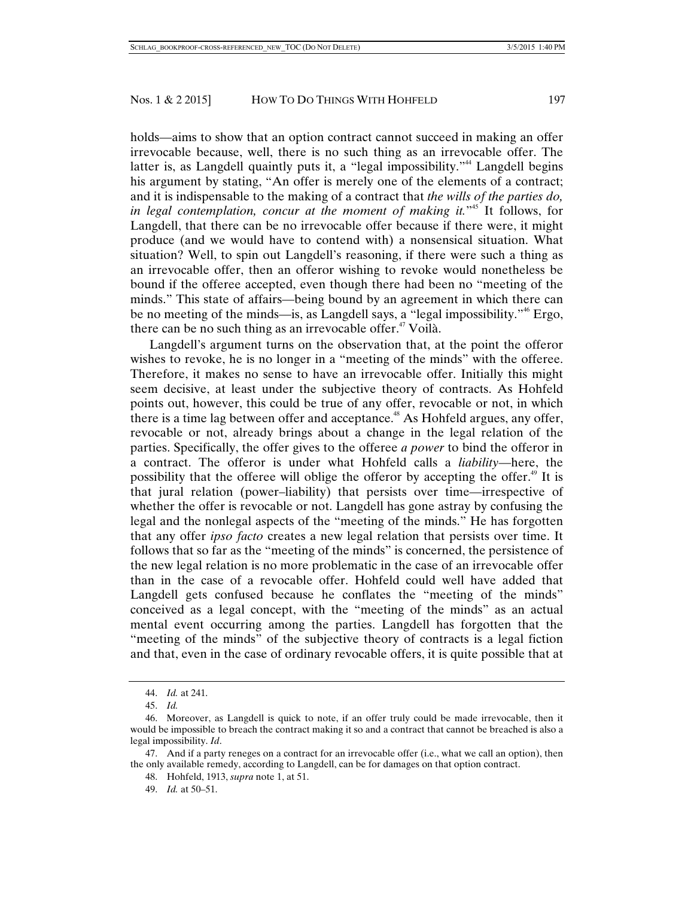holds—aims to show that an option contract cannot succeed in making an offer irrevocable because, well, there is no such thing as an irrevocable offer. The latter is, as Langdell quaintly puts it, a "legal impossibility."<sup>44</sup> Langdell begins his argument by stating, "An offer is merely one of the elements of a contract; and it is indispensable to the making of a contract that *the wills of the parties do, in legal contemplation, concur at the moment of making it.*" 45 It follows, for Langdell, that there can be no irrevocable offer because if there were, it might produce (and we would have to contend with) a nonsensical situation. What situation? Well, to spin out Langdell's reasoning, if there were such a thing as an irrevocable offer, then an offeror wishing to revoke would nonetheless be bound if the offeree accepted, even though there had been no "meeting of the minds." This state of affairs—being bound by an agreement in which there can be no meeting of the minds—is, as Langdell says, a "legal impossibility."<sup>46</sup> Ergo, there can be no such thing as an irrevocable offer.<sup>47</sup> Voilà.

Langdell's argument turns on the observation that, at the point the offeror wishes to revoke, he is no longer in a "meeting of the minds" with the offeree. Therefore, it makes no sense to have an irrevocable offer. Initially this might seem decisive, at least under the subjective theory of contracts. As Hohfeld points out, however, this could be true of any offer, revocable or not, in which there is a time lag between offer and acceptance.<sup>48</sup> As Hohfeld argues, any offer, revocable or not, already brings about a change in the legal relation of the parties. Specifically, the offer gives to the offeree *a power* to bind the offeror in a contract. The offeror is under what Hohfeld calls a *liability*—here, the possibility that the offeree will oblige the offeror by accepting the offer.<sup>49</sup> It is that jural relation (power–liability) that persists over time—irrespective of whether the offer is revocable or not. Langdell has gone astray by confusing the legal and the nonlegal aspects of the "meeting of the minds." He has forgotten that any offer *ipso facto* creates a new legal relation that persists over time. It follows that so far as the "meeting of the minds" is concerned, the persistence of the new legal relation is no more problematic in the case of an irrevocable offer than in the case of a revocable offer. Hohfeld could well have added that Langdell gets confused because he conflates the "meeting of the minds" conceived as a legal concept, with the "meeting of the minds" as an actual mental event occurring among the parties. Langdell has forgotten that the "meeting of the minds" of the subjective theory of contracts is a legal fiction and that, even in the case of ordinary revocable offers, it is quite possible that at

 <sup>44.</sup> *Id.* at 241.

 <sup>45.</sup> *Id.*

 <sup>46.</sup> Moreover, as Langdell is quick to note, if an offer truly could be made irrevocable, then it would be impossible to breach the contract making it so and a contract that cannot be breached is also a legal impossibility. *Id*.

 <sup>47.</sup> And if a party reneges on a contract for an irrevocable offer (i.e., what we call an option), then the only available remedy, according to Langdell, can be for damages on that option contract.

 <sup>48.</sup> Hohfeld, 1913, *supra* note 1, at 51.

 <sup>49.</sup> *Id.* at 50–51.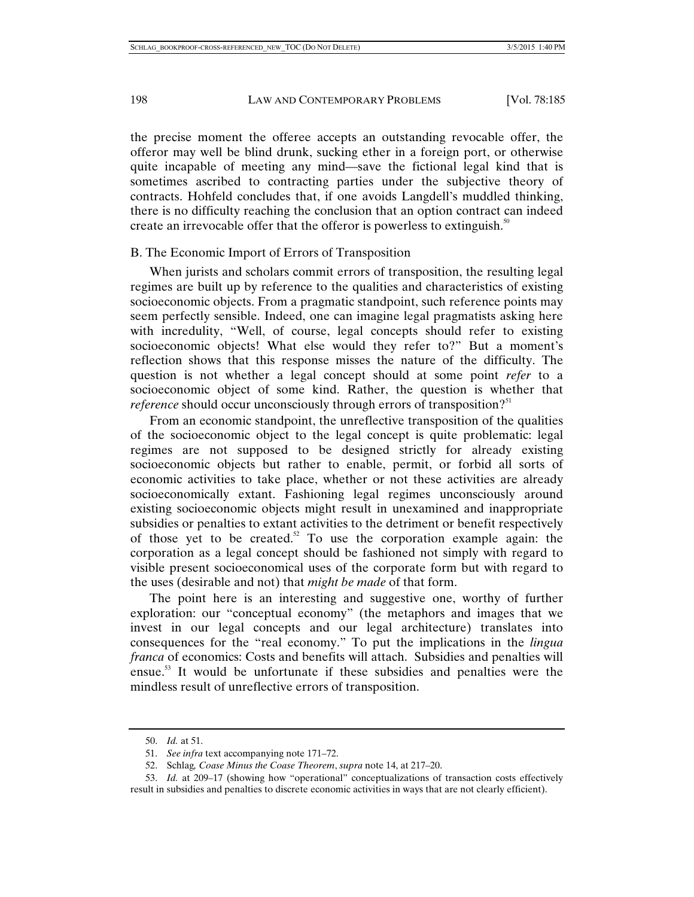the precise moment the offeree accepts an outstanding revocable offer, the offeror may well be blind drunk, sucking ether in a foreign port, or otherwise quite incapable of meeting any mind—save the fictional legal kind that is sometimes ascribed to contracting parties under the subjective theory of contracts. Hohfeld concludes that, if one avoids Langdell's muddled thinking, there is no difficulty reaching the conclusion that an option contract can indeed create an irrevocable offer that the offeror is powerless to extinguish.<sup>50</sup>

## B. The Economic Import of Errors of Transposition

When jurists and scholars commit errors of transposition, the resulting legal regimes are built up by reference to the qualities and characteristics of existing socioeconomic objects. From a pragmatic standpoint, such reference points may seem perfectly sensible. Indeed, one can imagine legal pragmatists asking here with incredulity, "Well, of course, legal concepts should refer to existing socioeconomic objects! What else would they refer to?" But a moment's reflection shows that this response misses the nature of the difficulty. The question is not whether a legal concept should at some point *refer* to a socioeconomic object of some kind. Rather, the question is whether that *reference* should occur unconsciously through errors of transposition?<sup>51</sup>

From an economic standpoint, the unreflective transposition of the qualities of the socioeconomic object to the legal concept is quite problematic: legal regimes are not supposed to be designed strictly for already existing socioeconomic objects but rather to enable, permit, or forbid all sorts of economic activities to take place, whether or not these activities are already socioeconomically extant. Fashioning legal regimes unconsciously around existing socioeconomic objects might result in unexamined and inappropriate subsidies or penalties to extant activities to the detriment or benefit respectively of those yet to be created. $52$  To use the corporation example again: the corporation as a legal concept should be fashioned not simply with regard to visible present socioeconomical uses of the corporate form but with regard to the uses (desirable and not) that *might be made* of that form.

The point here is an interesting and suggestive one, worthy of further exploration: our "conceptual economy" (the metaphors and images that we invest in our legal concepts and our legal architecture) translates into consequences for the "real economy." To put the implications in the *lingua franca* of economics: Costs and benefits will attach. Subsidies and penalties will ensue.53 It would be unfortunate if these subsidies and penalties were the mindless result of unreflective errors of transposition.

 <sup>50.</sup> *Id.* at 51.

 <sup>51.</sup> *See infra* text accompanying note 171–72.

 <sup>52.</sup> Schlag*, Coase Minus the Coase Theorem*, *supra* note 14, at 217–20.

 <sup>53.</sup> *Id.* at 209–17 (showing how "operational" conceptualizations of transaction costs effectively result in subsidies and penalties to discrete economic activities in ways that are not clearly efficient).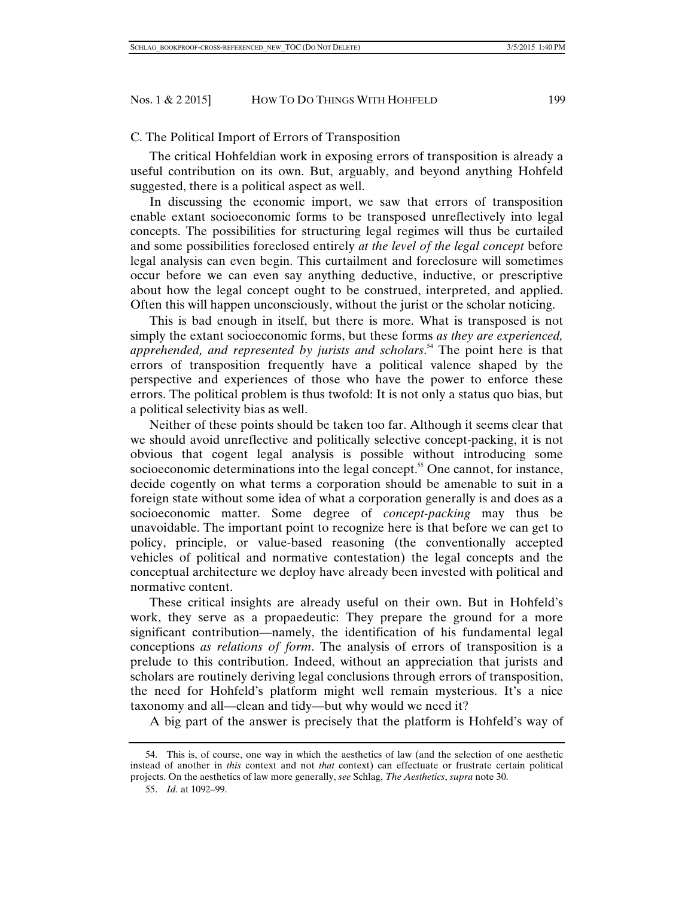## C. The Political Import of Errors of Transposition

The critical Hohfeldian work in exposing errors of transposition is already a useful contribution on its own. But, arguably, and beyond anything Hohfeld suggested, there is a political aspect as well.

In discussing the economic import, we saw that errors of transposition enable extant socioeconomic forms to be transposed unreflectively into legal concepts. The possibilities for structuring legal regimes will thus be curtailed and some possibilities foreclosed entirely *at the level of the legal concept* before legal analysis can even begin. This curtailment and foreclosure will sometimes occur before we can even say anything deductive, inductive, or prescriptive about how the legal concept ought to be construed, interpreted, and applied. Often this will happen unconsciously, without the jurist or the scholar noticing.

This is bad enough in itself, but there is more. What is transposed is not simply the extant socioeconomic forms, but these forms *as they are experienced, apprehended, and represented by jurists and scholars*. 54 The point here is that errors of transposition frequently have a political valence shaped by the perspective and experiences of those who have the power to enforce these errors. The political problem is thus twofold: It is not only a status quo bias, but a political selectivity bias as well.

Neither of these points should be taken too far. Although it seems clear that we should avoid unreflective and politically selective concept-packing, it is not obvious that cogent legal analysis is possible without introducing some socioeconomic determinations into the legal concept.<sup>55</sup> One cannot, for instance, decide cogently on what terms a corporation should be amenable to suit in a foreign state without some idea of what a corporation generally is and does as a socioeconomic matter. Some degree of *concept-packing* may thus be unavoidable. The important point to recognize here is that before we can get to policy, principle, or value-based reasoning (the conventionally accepted vehicles of political and normative contestation) the legal concepts and the conceptual architecture we deploy have already been invested with political and normative content.

These critical insights are already useful on their own. But in Hohfeld's work, they serve as a propaedeutic: They prepare the ground for a more significant contribution—namely, the identification of his fundamental legal conceptions *as relations of form*. The analysis of errors of transposition is a prelude to this contribution. Indeed, without an appreciation that jurists and scholars are routinely deriving legal conclusions through errors of transposition, the need for Hohfeld's platform might well remain mysterious. It's a nice taxonomy and all—clean and tidy—but why would we need it?

A big part of the answer is precisely that the platform is Hohfeld's way of

 <sup>54.</sup> This is, of course, one way in which the aesthetics of law (and the selection of one aesthetic instead of another in *this* context and not *that* context) can effectuate or frustrate certain political projects. On the aesthetics of law more generally, *see* Schlag, *The Aesthetics*, *supra* note 30.

 <sup>55.</sup> *Id.* at 1092–99.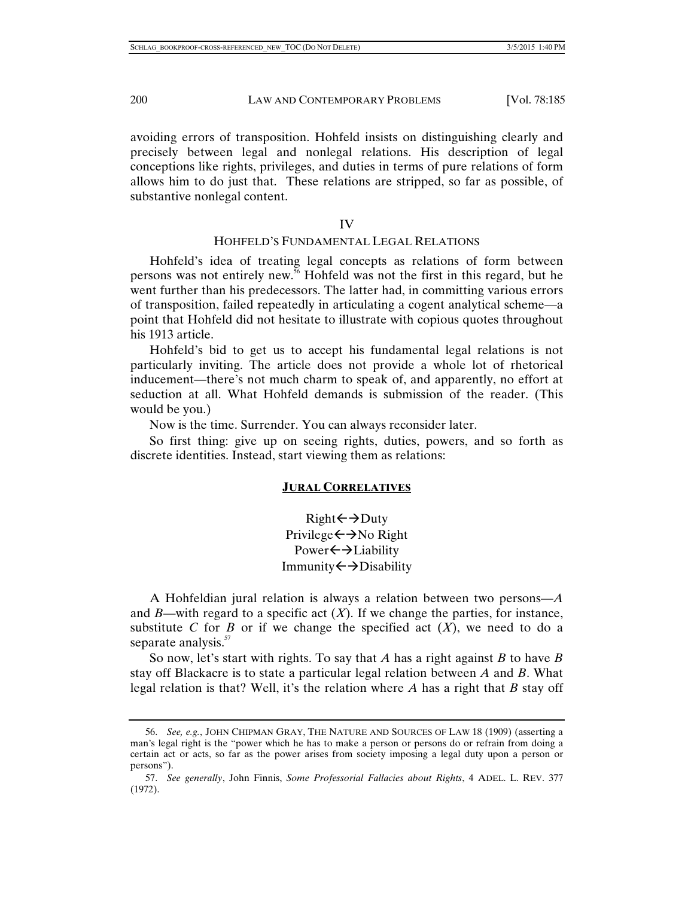avoiding errors of transposition. Hohfeld insists on distinguishing clearly and precisely between legal and nonlegal relations. His description of legal conceptions like rights, privileges, and duties in terms of pure relations of form allows him to do just that. These relations are stripped, so far as possible, of substantive nonlegal content.

#### IV

## HOHFELD'S FUNDAMENTAL LEGAL RELATIONS

Hohfeld's idea of treating legal concepts as relations of form between persons was not entirely new. $56$  Hohfeld was not the first in this regard, but he went further than his predecessors. The latter had, in committing various errors of transposition, failed repeatedly in articulating a cogent analytical scheme—a point that Hohfeld did not hesitate to illustrate with copious quotes throughout his 1913 article.

Hohfeld's bid to get us to accept his fundamental legal relations is not particularly inviting. The article does not provide a whole lot of rhetorical inducement—there's not much charm to speak of, and apparently, no effort at seduction at all. What Hohfeld demands is submission of the reader. (This would be you.)

Now is the time. Surrender. You can always reconsider later.

So first thing: give up on seeing rights, duties, powers, and so forth as discrete identities. Instead, start viewing them as relations:

#### **JURAL CORRELATIVES**

 $Right \leftrightarrow Duty$ Privilege $\leftrightarrow$ No Right Power $\leftrightarrow$ Liability Immunity $\leftrightarrow$ Disability

A Hohfeldian jural relation is always a relation between two persons—*A* and *B*—with regard to a specific act  $(X)$ . If we change the parties, for instance, substitute *C* for *B* or if we change the specified act  $(X)$ , we need to do a separate analysis.<sup>57</sup>

So now, let's start with rights. To say that *A* has a right against *B* to have *B* stay off Blackacre is to state a particular legal relation between *A* and *B*. What legal relation is that? Well, it's the relation where *A* has a right that *B* stay off

 <sup>56.</sup> *See, e.g.*, JOHN CHIPMAN GRAY, THE NATURE AND SOURCES OF LAW 18 (1909) (asserting a man's legal right is the "power which he has to make a person or persons do or refrain from doing a certain act or acts, so far as the power arises from society imposing a legal duty upon a person or persons").

 <sup>57.</sup> *See generally*, John Finnis, *Some Professorial Fallacies about Rights*, 4 ADEL. L. REV. 377 (1972).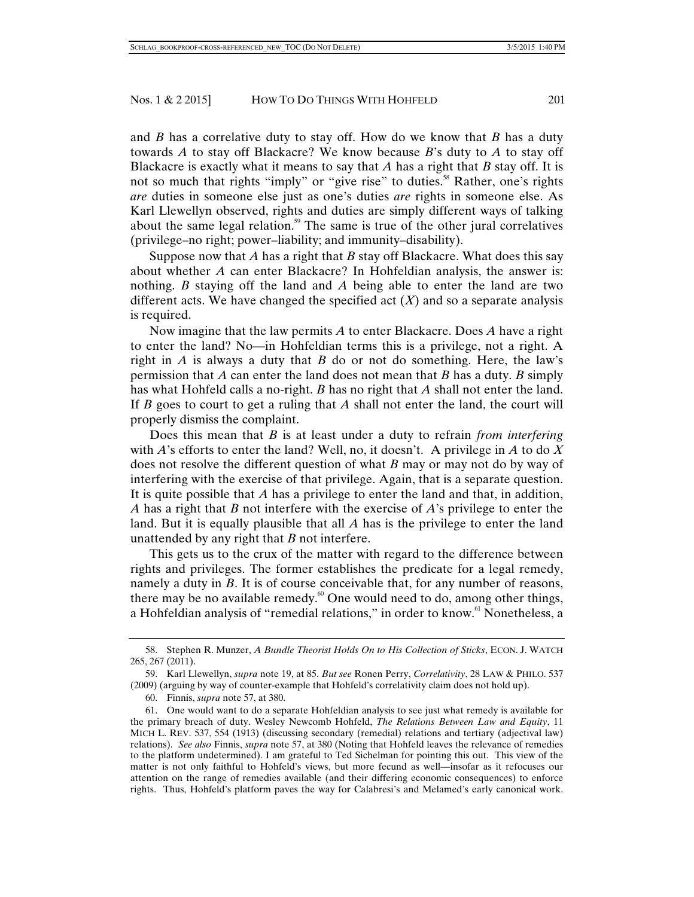and *B* has a correlative duty to stay off. How do we know that *B* has a duty towards *A* to stay off Blackacre? We know because *B*'s duty to *A* to stay off Blackacre is exactly what it means to say that *A* has a right that *B* stay off. It is not so much that rights "imply" or "give rise" to duties.<sup>58</sup> Rather, one's rights *are* duties in someone else just as one's duties *are* rights in someone else. As Karl Llewellyn observed, rights and duties are simply different ways of talking about the same legal relation. $59$  The same is true of the other jural correlatives (privilege–no right; power–liability; and immunity–disability).

Suppose now that *A* has a right that *B* stay off Blackacre. What does this say about whether *A* can enter Blackacre? In Hohfeldian analysis, the answer is: nothing. *B* staying off the land and *A* being able to enter the land are two different acts. We have changed the specified act  $(X)$  and so a separate analysis is required.

Now imagine that the law permits *A* to enter Blackacre. Does *A* have a right to enter the land? No—in Hohfeldian terms this is a privilege, not a right. A right in *A* is always a duty that *B* do or not do something. Here, the law's permission that *A* can enter the land does not mean that *B* has a duty. *B* simply has what Hohfeld calls a no-right. *B* has no right that *A* shall not enter the land. If *B* goes to court to get a ruling that *A* shall not enter the land, the court will properly dismiss the complaint.

Does this mean that *B* is at least under a duty to refrain *from interfering* with *A*'s efforts to enter the land? Well, no, it doesn't. A privilege in *A* to do *X* does not resolve the different question of what *B* may or may not do by way of interfering with the exercise of that privilege. Again, that is a separate question. It is quite possible that *A* has a privilege to enter the land and that, in addition, *A* has a right that *B* not interfere with the exercise of *A*'s privilege to enter the land. But it is equally plausible that all *A* has is the privilege to enter the land unattended by any right that *B* not interfere.

This gets us to the crux of the matter with regard to the difference between rights and privileges. The former establishes the predicate for a legal remedy, namely a duty in *B*. It is of course conceivable that, for any number of reasons, there may be no available remedy. $60$  One would need to do, among other things, a Hohfeldian analysis of "remedial relations," in order to know.<sup>61</sup> Nonetheless, a

 <sup>58.</sup> Stephen R. Munzer, *A Bundle Theorist Holds On to His Collection of Sticks*, ECON. J. WATCH 265, 267 (2011).

 <sup>59.</sup> Karl Llewellyn, *supra* note 19, at 85. *But see* Ronen Perry, *Correlativity*, 28 LAW & PHILO. 537 (2009) (arguing by way of counter-example that Hohfeld's correlativity claim does not hold up).

 <sup>60.</sup> Finnis, *supra* note 57, at 380.

 <sup>61.</sup> One would want to do a separate Hohfeldian analysis to see just what remedy is available for the primary breach of duty. Wesley Newcomb Hohfeld, *The Relations Between Law and Equity*, 11 MICH L. REV. 537, 554 (1913) (discussing secondary (remedial) relations and tertiary (adjectival law) relations). *See also* Finnis, *supra* note 57, at 380 (Noting that Hohfeld leaves the relevance of remedies to the platform undetermined). I am grateful to Ted Sichelman for pointing this out. This view of the matter is not only faithful to Hohfeld's views, but more fecund as well—insofar as it refocuses our attention on the range of remedies available (and their differing economic consequences) to enforce rights. Thus, Hohfeld's platform paves the way for Calabresi's and Melamed's early canonical work.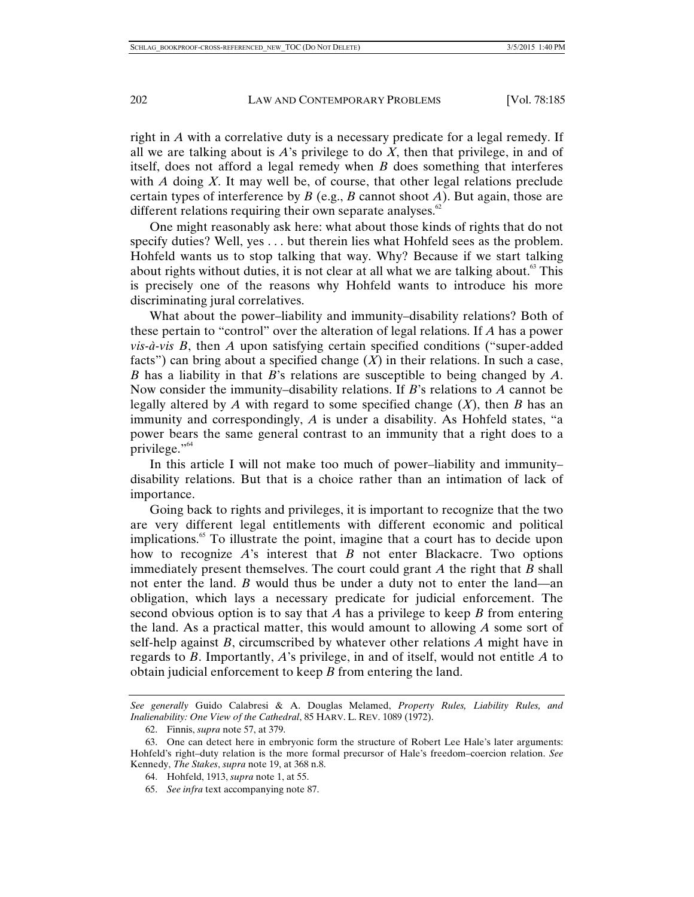right in *A* with a correlative duty is a necessary predicate for a legal remedy. If all we are talking about is *A*'s privilege to do *X*, then that privilege, in and of itself, does not afford a legal remedy when *B* does something that interferes with *A* doing *X*. It may well be, of course, that other legal relations preclude certain types of interference by  $B$  (e.g.,  $B$  cannot shoot  $A$ ). But again, those are different relations requiring their own separate analyses. $62$ 

One might reasonably ask here: what about those kinds of rights that do not specify duties? Well, yes . . . but therein lies what Hohfeld sees as the problem. Hohfeld wants us to stop talking that way. Why? Because if we start talking about rights without duties, it is not clear at all what we are talking about.<sup>63</sup> This is precisely one of the reasons why Hohfeld wants to introduce his more discriminating jural correlatives.

What about the power–liability and immunity–disability relations? Both of these pertain to "control" over the alteration of legal relations. If *A* has a power *vis-à-vis B*, then *A* upon satisfying certain specified conditions ("super-added facts") can bring about a specified change (*X*) in their relations. In such a case, *B* has a liability in that *B*'s relations are susceptible to being changed by *A*. Now consider the immunity–disability relations. If *B*'s relations to *A* cannot be legally altered by *A* with regard to some specified change  $(X)$ , then *B* has an immunity and correspondingly, *A* is under a disability. As Hohfeld states, "a power bears the same general contrast to an immunity that a right does to a privilege."<sup>64</sup>

In this article I will not make too much of power–liability and immunity– disability relations. But that is a choice rather than an intimation of lack of importance.

Going back to rights and privileges, it is important to recognize that the two are very different legal entitlements with different economic and political implications. $\degree$  To illustrate the point, imagine that a court has to decide upon how to recognize *A*'s interest that *B* not enter Blackacre. Two options immediately present themselves. The court could grant *A* the right that *B* shall not enter the land. *B* would thus be under a duty not to enter the land—an obligation, which lays a necessary predicate for judicial enforcement. The second obvious option is to say that *A* has a privilege to keep *B* from entering the land. As a practical matter, this would amount to allowing *A* some sort of self-help against *B*, circumscribed by whatever other relations *A* might have in regards to *B*. Importantly, *A*'s privilege, in and of itself, would not entitle *A* to obtain judicial enforcement to keep *B* from entering the land.

65. *See infra* text accompanying note 87.

*See generally* Guido Calabresi & A. Douglas Melamed, *Property Rules, Liability Rules, and Inalienability: One View of the Cathedral*, 85 HARV. L. REV. 1089 (1972).

 <sup>62.</sup> Finnis, *supra* note 57, at 379.

 <sup>63.</sup> One can detect here in embryonic form the structure of Robert Lee Hale's later arguments: Hohfeld's right–duty relation is the more formal precursor of Hale's freedom–coercion relation. *See* Kennedy, *The Stakes*, *supra* note 19, at 368 n.8.

 <sup>64.</sup> Hohfeld, 1913, *supra* note 1, at 55.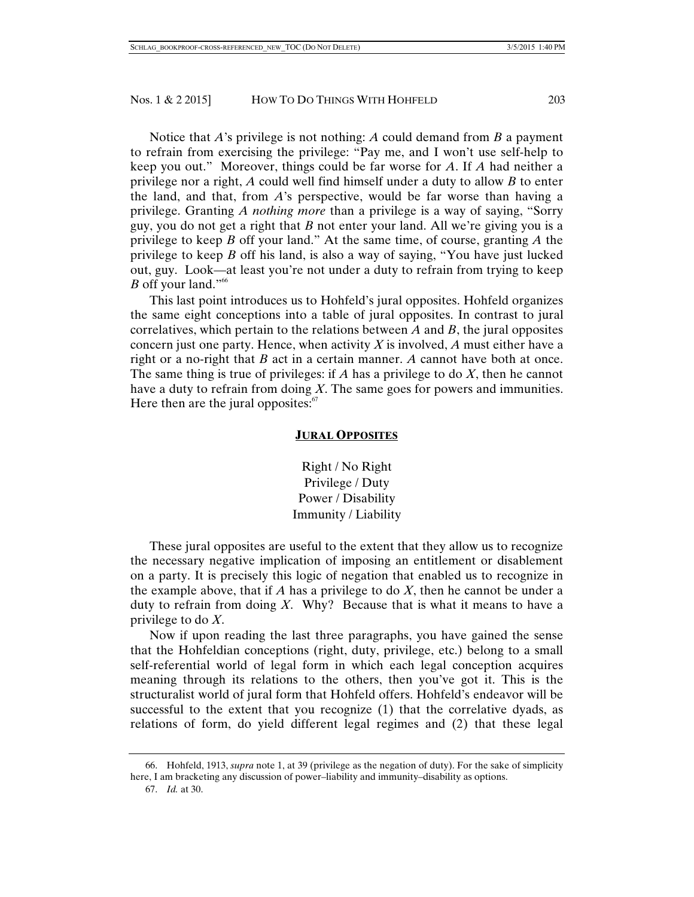Notice that *A*'s privilege is not nothing: *A* could demand from *B* a payment to refrain from exercising the privilege: "Pay me, and I won't use self-help to keep you out." Moreover, things could be far worse for *A*. If *A* had neither a privilege nor a right, *A* could well find himself under a duty to allow *B* to enter the land, and that, from *A*'s perspective, would be far worse than having a privilege. Granting *A nothing more* than a privilege is a way of saying, "Sorry guy, you do not get a right that *B* not enter your land. All we're giving you is a privilege to keep *B* off your land." At the same time, of course, granting *A* the privilege to keep *B* off his land, is also a way of saying, "You have just lucked out, guy. Look—at least you're not under a duty to refrain from trying to keep *B* off your land."<sup>66</sup>

This last point introduces us to Hohfeld's jural opposites. Hohfeld organizes the same eight conceptions into a table of jural opposites. In contrast to jural correlatives, which pertain to the relations between *A* and *B*, the jural opposites concern just one party. Hence, when activity *X* is involved, *A* must either have a right or a no-right that *B* act in a certain manner. *A* cannot have both at once. The same thing is true of privileges: if *A* has a privilege to do *X*, then he cannot have a duty to refrain from doing *X*. The same goes for powers and immunities. Here then are the jural opposites: $67$ 

#### **JURAL OPPOSITES**

Right / No Right Privilege / Duty Power / Disability Immunity / Liability

These jural opposites are useful to the extent that they allow us to recognize the necessary negative implication of imposing an entitlement or disablement on a party. It is precisely this logic of negation that enabled us to recognize in the example above, that if *A* has a privilege to do *X*, then he cannot be under a duty to refrain from doing *X*. Why? Because that is what it means to have a privilege to do *X*.

Now if upon reading the last three paragraphs, you have gained the sense that the Hohfeldian conceptions (right, duty, privilege, etc.) belong to a small self-referential world of legal form in which each legal conception acquires meaning through its relations to the others, then you've got it. This is the structuralist world of jural form that Hohfeld offers. Hohfeld's endeavor will be successful to the extent that you recognize (1) that the correlative dyads, as relations of form, do yield different legal regimes and (2) that these legal

 <sup>66.</sup> Hohfeld, 1913, *supra* note 1, at 39 (privilege as the negation of duty). For the sake of simplicity here, I am bracketing any discussion of power–liability and immunity–disability as options.

 <sup>67.</sup> *Id.* at 30.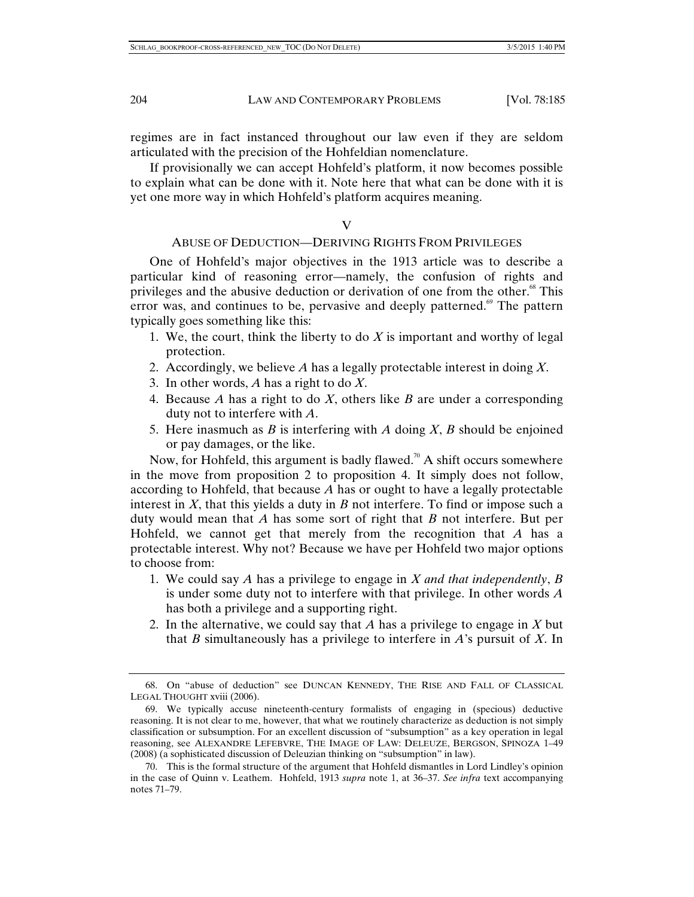regimes are in fact instanced throughout our law even if they are seldom articulated with the precision of the Hohfeldian nomenclature.

If provisionally we can accept Hohfeld's platform, it now becomes possible to explain what can be done with it. Note here that what can be done with it is yet one more way in which Hohfeld's platform acquires meaning.

V

## ABUSE OF DEDUCTION—DERIVING RIGHTS FROM PRIVILEGES

One of Hohfeld's major objectives in the 1913 article was to describe a particular kind of reasoning error—namely, the confusion of rights and privileges and the abusive deduction or derivation of one from the other.<sup>68</sup> This error was, and continues to be, pervasive and deeply patterned.<sup>69</sup> The pattern typically goes something like this:

- 1. We, the court, think the liberty to do *X* is important and worthy of legal protection.
- 2. Accordingly, we believe *A* has a legally protectable interest in doing *X*.
- 3. In other words, *A* has a right to do *X*.
- 4. Because *A* has a right to do *X*, others like *B* are under a corresponding duty not to interfere with *A*.
- 5. Here inasmuch as *B* is interfering with *A* doing *X*, *B* should be enjoined or pay damages, or the like.

Now, for Hohfeld, this argument is badly flawed.<sup>70</sup> A shift occurs somewhere in the move from proposition 2 to proposition 4. It simply does not follow, according to Hohfeld, that because *A* has or ought to have a legally protectable interest in *X*, that this yields a duty in *B* not interfere. To find or impose such a duty would mean that *A* has some sort of right that *B* not interfere. But per Hohfeld, we cannot get that merely from the recognition that *A* has a protectable interest. Why not? Because we have per Hohfeld two major options to choose from:

- 1. We could say *A* has a privilege to engage in *X and that independently*, *B* is under some duty not to interfere with that privilege. In other words *A* has both a privilege and a supporting right.
- 2. In the alternative, we could say that *A* has a privilege to engage in *X* but that *B* simultaneously has a privilege to interfere in *A*'s pursuit of *X*. In

 <sup>68.</sup> On "abuse of deduction" see DUNCAN KENNEDY, THE RISE AND FALL OF CLASSICAL LEGAL THOUGHT xviii (2006).

 <sup>69.</sup> We typically accuse nineteenth-century formalists of engaging in (specious) deductive reasoning. It is not clear to me, however, that what we routinely characterize as deduction is not simply classification or subsumption. For an excellent discussion of "subsumption" as a key operation in legal reasoning, see ALEXANDRE LEFEBVRE, THE IMAGE OF LAW: DELEUZE, BERGSON, SPINOZA 1–49 (2008) (a sophisticated discussion of Deleuzian thinking on "subsumption" in law).

 <sup>70.</sup> This is the formal structure of the argument that Hohfeld dismantles in Lord Lindley's opinion in the case of Quinn v. Leathem. Hohfeld, 1913 *supra* note 1, at 36–37. *See infra* text accompanying notes 71–79.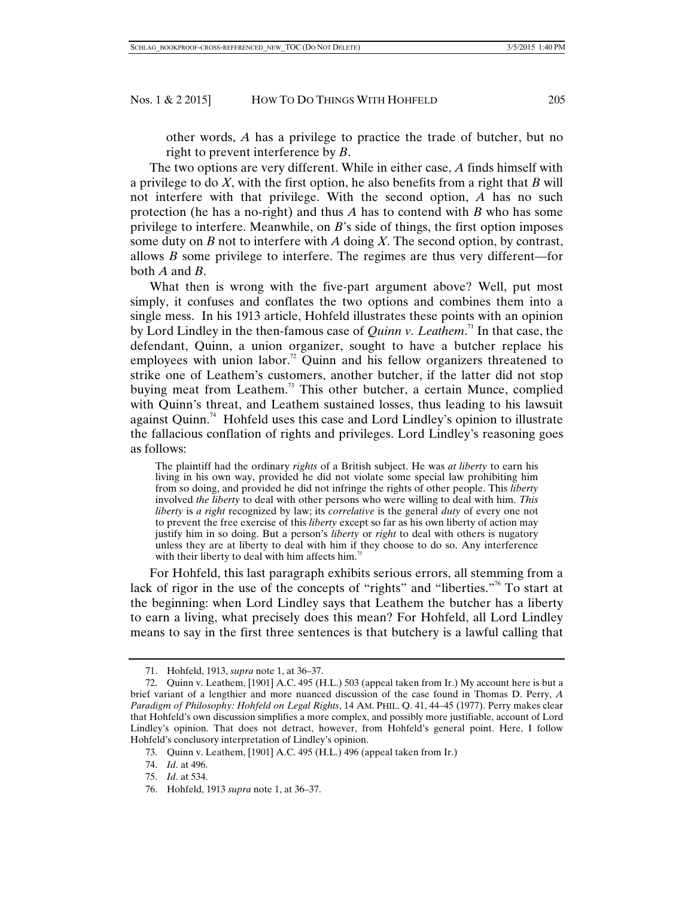other words, *A* has a privilege to practice the trade of butcher, but no right to prevent interference by *B*.

The two options are very different. While in either case, *A* finds himself with a privilege to do *X*, with the first option, he also benefits from a right that *B* will not interfere with that privilege. With the second option, *A* has no such protection (he has a no-right) and thus *A* has to contend with *B* who has some privilege to interfere. Meanwhile, on *B*'s side of things, the first option imposes some duty on *B* not to interfere with *A* doing *X*. The second option, by contrast, allows *B* some privilege to interfere. The regimes are thus very different—for both *A* and *B*.

What then is wrong with the five-part argument above? Well, put most simply, it confuses and conflates the two options and combines them into a single mess. In his 1913 article, Hohfeld illustrates these points with an opinion by Lord Lindley in the then-famous case of *Quinn v. Leathem*. 71 In that case, the defendant, Quinn, a union organizer, sought to have a butcher replace his employees with union labor.<sup>72</sup> Quinn and his fellow organizers threatened to strike one of Leathem's customers, another butcher, if the latter did not stop buying meat from Leathem.<sup>73</sup> This other butcher, a certain Munce, complied with Quinn's threat, and Leathem sustained losses, thus leading to his lawsuit against Quinn.<sup>74</sup> Hohfeld uses this case and Lord Lindley's opinion to illustrate the fallacious conflation of rights and privileges. Lord Lindley's reasoning goes as follows:

The plaintiff had the ordinary *rights* of a British subject. He was *at liberty* to earn his living in his own way, provided he did not violate some special law prohibiting him from so doing, and provided he did not infringe the rights of other people. This *liberty* involved *the liberty* to deal with other persons who were willing to deal with him. *This liberty* is *a right* recognized by law; its *correlative* is the general *duty* of every one not to prevent the free exercise of this *liberty* except so far as his own liberty of action may justify him in so doing. But a person's *liberty* or *right* to deal with others is nugatory unless they are at liberty to deal with him if they choose to do so. Any interference with their liberty to deal with him affects him.<sup>7</sup>

For Hohfeld, this last paragraph exhibits serious errors, all stemming from a lack of rigor in the use of the concepts of "rights" and "liberties."<sup>76</sup> To start at the beginning: when Lord Lindley says that Leathem the butcher has a liberty to earn a living, what precisely does this mean? For Hohfeld, all Lord Lindley means to say in the first three sentences is that butchery is a lawful calling that

76. Hohfeld, 1913 *supra* note 1, at 36–37.

 <sup>71.</sup> Hohfeld, 1913, *supra* note 1, at 36–37.

 <sup>72.</sup> Quinn v. Leathem, [1901] A.C. 495 (H.L.) 503 (appeal taken from Ir.) My account here is but a brief variant of a lengthier and more nuanced discussion of the case found in Thomas D. Perry, *A Paradigm of Philosophy: Hohfeld on Legal Rights*, 14 AM. PHIL. Q. 41, 44–45 (1977). Perry makes clear that Hohfeld's own discussion simplifies a more complex, and possibly more justifiable, account of Lord Lindley's opinion. That does not detract, however, from Hohfeld's general point. Here, I follow Hohfeld's conclusory interpretation of Lindley's opinion.

 <sup>73.</sup> Quinn v. Leathem, [1901] A.C. 495 (H.L.) 496 (appeal taken from Ir.)

 <sup>74.</sup> *Id*. at 496.

 <sup>75.</sup> *Id*. at 534.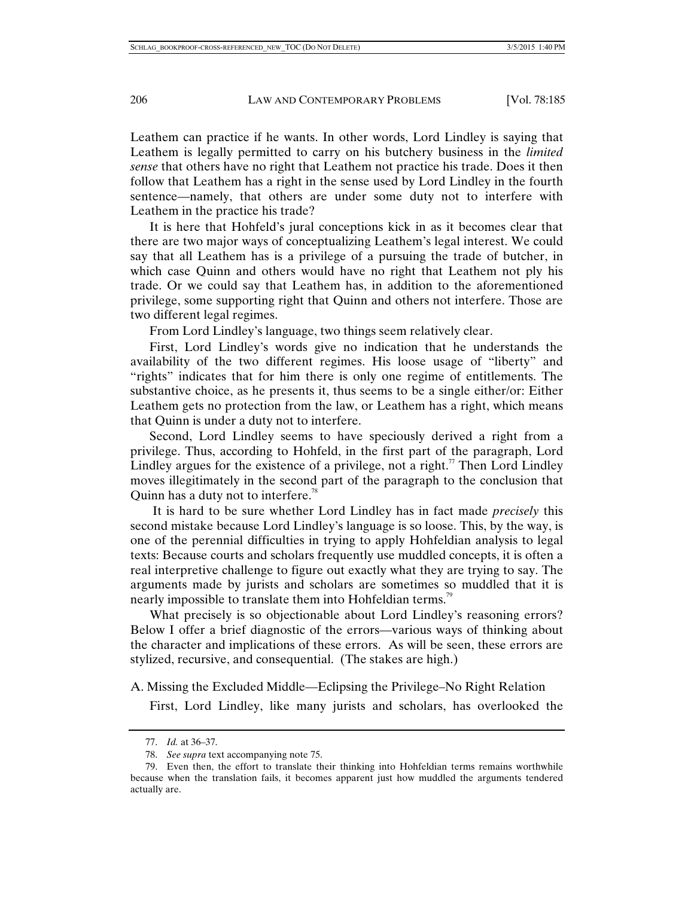Leathem can practice if he wants. In other words, Lord Lindley is saying that Leathem is legally permitted to carry on his butchery business in the *limited sense* that others have no right that Leathem not practice his trade. Does it then follow that Leathem has a right in the sense used by Lord Lindley in the fourth sentence—namely, that others are under some duty not to interfere with Leathem in the practice his trade?

It is here that Hohfeld's jural conceptions kick in as it becomes clear that there are two major ways of conceptualizing Leathem's legal interest. We could say that all Leathem has is a privilege of a pursuing the trade of butcher, in which case Quinn and others would have no right that Leathem not ply his trade. Or we could say that Leathem has, in addition to the aforementioned privilege, some supporting right that Quinn and others not interfere. Those are two different legal regimes.

From Lord Lindley's language, two things seem relatively clear.

First, Lord Lindley's words give no indication that he understands the availability of the two different regimes. His loose usage of "liberty" and "rights" indicates that for him there is only one regime of entitlements. The substantive choice, as he presents it, thus seems to be a single either/or: Either Leathem gets no protection from the law, or Leathem has a right, which means that Quinn is under a duty not to interfere.

Second, Lord Lindley seems to have speciously derived a right from a privilege. Thus, according to Hohfeld, in the first part of the paragraph, Lord Lindley argues for the existence of a privilege, not a right.<sup> $\pi$ </sup> Then Lord Lindley moves illegitimately in the second part of the paragraph to the conclusion that Quinn has a duty not to interfere.<sup>78</sup>

 It is hard to be sure whether Lord Lindley has in fact made *precisely* this second mistake because Lord Lindley's language is so loose. This, by the way, is one of the perennial difficulties in trying to apply Hohfeldian analysis to legal texts: Because courts and scholars frequently use muddled concepts, it is often a real interpretive challenge to figure out exactly what they are trying to say. The arguments made by jurists and scholars are sometimes so muddled that it is nearly impossible to translate them into Hohfeldian terms.<sup>79</sup>

What precisely is so objectionable about Lord Lindley's reasoning errors? Below I offer a brief diagnostic of the errors—various ways of thinking about the character and implications of these errors. As will be seen, these errors are stylized, recursive, and consequential. (The stakes are high.)

A. Missing the Excluded Middle—Eclipsing the Privilege–No Right Relation

First, Lord Lindley, like many jurists and scholars, has overlooked the

 <sup>77.</sup> *Id.* at 36–37.

 <sup>78.</sup> *See supra* text accompanying note 75.

 <sup>79.</sup> Even then, the effort to translate their thinking into Hohfeldian terms remains worthwhile because when the translation fails, it becomes apparent just how muddled the arguments tendered actually are.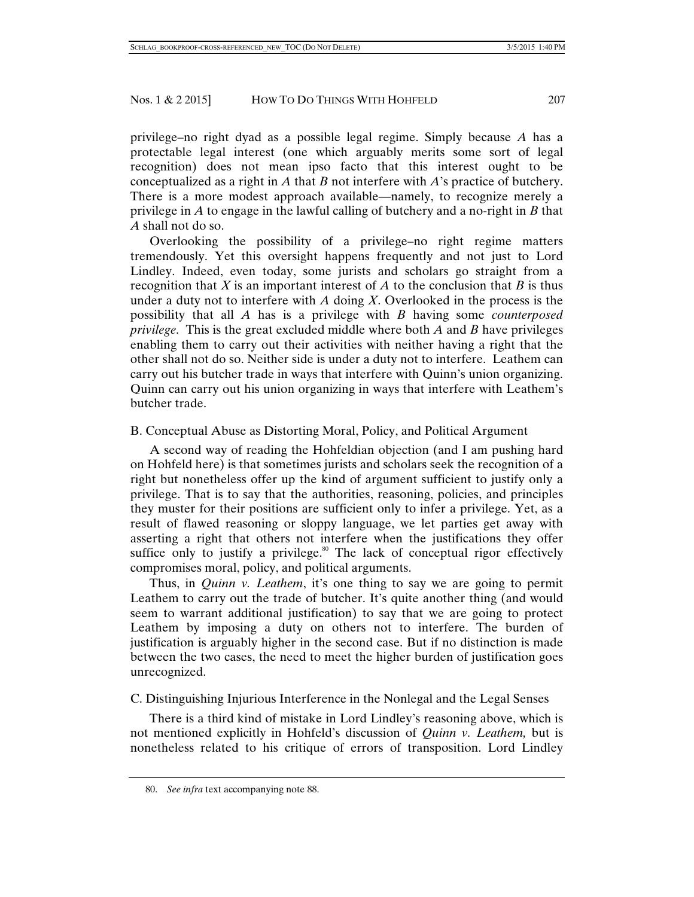privilege–no right dyad as a possible legal regime. Simply because *A* has a protectable legal interest (one which arguably merits some sort of legal recognition) does not mean ipso facto that this interest ought to be conceptualized as a right in *A* that *B* not interfere with *A*'s practice of butchery. There is a more modest approach available—namely, to recognize merely a privilege in *A* to engage in the lawful calling of butchery and a no-right in *B* that *A* shall not do so.

Overlooking the possibility of a privilege–no right regime matters tremendously. Yet this oversight happens frequently and not just to Lord Lindley. Indeed, even today, some jurists and scholars go straight from a recognition that *X* is an important interest of *A* to the conclusion that *B* is thus under a duty not to interfere with *A* doing *X*. Overlooked in the process is the possibility that all *A* has is a privilege with *B* having some *counterposed privilege*. This is the great excluded middle where both *A* and *B* have privileges enabling them to carry out their activities with neither having a right that the other shall not do so. Neither side is under a duty not to interfere. Leathem can carry out his butcher trade in ways that interfere with Quinn's union organizing. Quinn can carry out his union organizing in ways that interfere with Leathem's butcher trade.

## B. Conceptual Abuse as Distorting Moral, Policy, and Political Argument

A second way of reading the Hohfeldian objection (and I am pushing hard on Hohfeld here) is that sometimes jurists and scholars seek the recognition of a right but nonetheless offer up the kind of argument sufficient to justify only a privilege. That is to say that the authorities, reasoning, policies, and principles they muster for their positions are sufficient only to infer a privilege. Yet, as a result of flawed reasoning or sloppy language, we let parties get away with asserting a right that others not interfere when the justifications they offer suffice only to justify a privilege.<sup>80</sup> The lack of conceptual rigor effectively compromises moral, policy, and political arguments.

Thus, in *Quinn v. Leathem*, it's one thing to say we are going to permit Leathem to carry out the trade of butcher. It's quite another thing (and would seem to warrant additional justification) to say that we are going to protect Leathem by imposing a duty on others not to interfere. The burden of justification is arguably higher in the second case. But if no distinction is made between the two cases, the need to meet the higher burden of justification goes unrecognized.

C. Distinguishing Injurious Interference in the Nonlegal and the Legal Senses

There is a third kind of mistake in Lord Lindley's reasoning above, which is not mentioned explicitly in Hohfeld's discussion of *Quinn v. Leathem,* but is nonetheless related to his critique of errors of transposition. Lord Lindley

 <sup>80.</sup> *See infra* text accompanying note 88.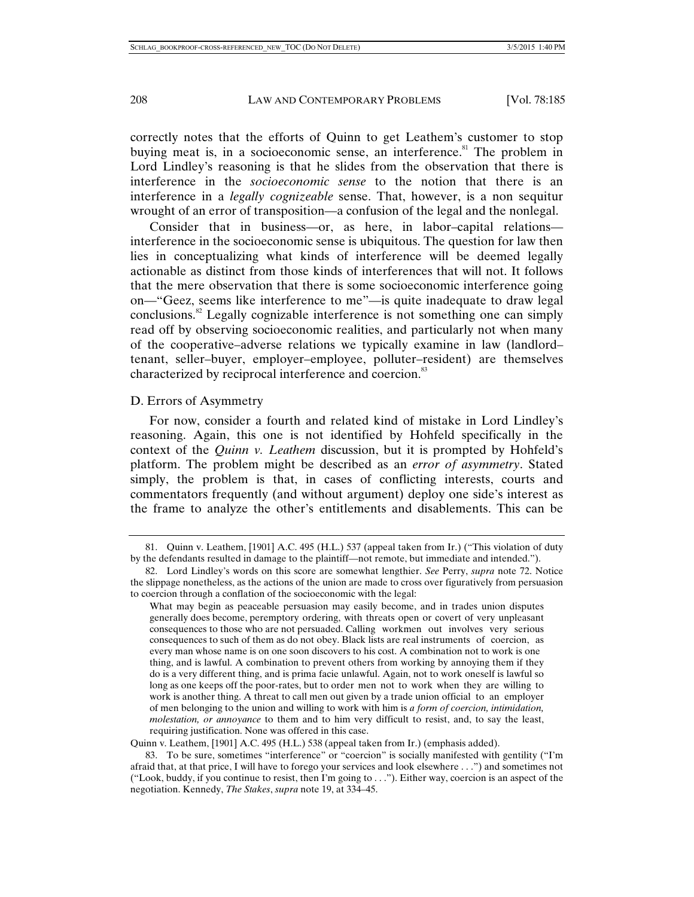correctly notes that the efforts of Quinn to get Leathem's customer to stop buying meat is, in a socioeconomic sense, an interference.<sup>81</sup> The problem in Lord Lindley's reasoning is that he slides from the observation that there is interference in the *socioeconomic sense* to the notion that there is an interference in a *legally cognizeable* sense. That, however, is a non sequitur wrought of an error of transposition—a confusion of the legal and the nonlegal.

Consider that in business—or, as here, in labor–capital relations interference in the socioeconomic sense is ubiquitous. The question for law then lies in conceptualizing what kinds of interference will be deemed legally actionable as distinct from those kinds of interferences that will not. It follows that the mere observation that there is some socioeconomic interference going on—"Geez, seems like interference to me"—is quite inadequate to draw legal conclusions. $82$  Legally cognizable interference is not something one can simply read off by observing socioeconomic realities, and particularly not when many of the cooperative–adverse relations we typically examine in law (landlord– tenant, seller–buyer, employer–employee, polluter–resident) are themselves characterized by reciprocal interference and coercion.<sup>83</sup>

#### D. Errors of Asymmetry

For now, consider a fourth and related kind of mistake in Lord Lindley's reasoning. Again, this one is not identified by Hohfeld specifically in the context of the *Quinn v. Leathem* discussion, but it is prompted by Hohfeld's platform. The problem might be described as an *error of asymmetry*. Stated simply, the problem is that, in cases of conflicting interests, courts and commentators frequently (and without argument) deploy one side's interest as the frame to analyze the other's entitlements and disablements. This can be

 <sup>81.</sup> Quinn v. Leathem, [1901] A.C. 495 (H.L.) 537 (appeal taken from Ir.) ("This violation of duty by the defendants resulted in damage to the plaintiff—not remote, but immediate and intended.").

 <sup>82.</sup> Lord Lindley's words on this score are somewhat lengthier. *See* Perry, *supra* note 72. Notice the slippage nonetheless, as the actions of the union are made to cross over figuratively from persuasion to coercion through a conflation of the socioeconomic with the legal:

What may begin as peaceable persuasion may easily become, and in trades union disputes generally does become, peremptory ordering, with threats open or covert of very unpleasant consequences to those who are not persuaded. Calling workmen out involves very serious consequences to such of them as do not obey. Black lists are real instruments of coercion, as every man whose name is on one soon discovers to his cost. A combination not to work is one thing, and is lawful. A combination to prevent others from working by annoying them if they do is a very different thing, and is prima facie unlawful. Again, not to work oneself is lawful so long as one keeps off the poor-rates, but to order men not to work when they are willing to work is another thing. A threat to call men out given by a trade union official to an employer of men belonging to the union and willing to work with him is *a form of coercion, intimidation, molestation, or annoyance* to them and to him very difficult to resist, and, to say the least, requiring justification. None was offered in this case.

Quinn v. Leathem, [1901] A.C. 495 (H.L.) 538 (appeal taken from Ir.) (emphasis added).

 <sup>83.</sup> To be sure, sometimes "interference" or "coercion" is socially manifested with gentility ("I'm afraid that, at that price, I will have to forego your services and look elsewhere . . .") and sometimes not ("Look, buddy, if you continue to resist, then I'm going to . . ."). Either way, coercion is an aspect of the negotiation. Kennedy, *The Stakes*, *supra* note 19, at 334–45.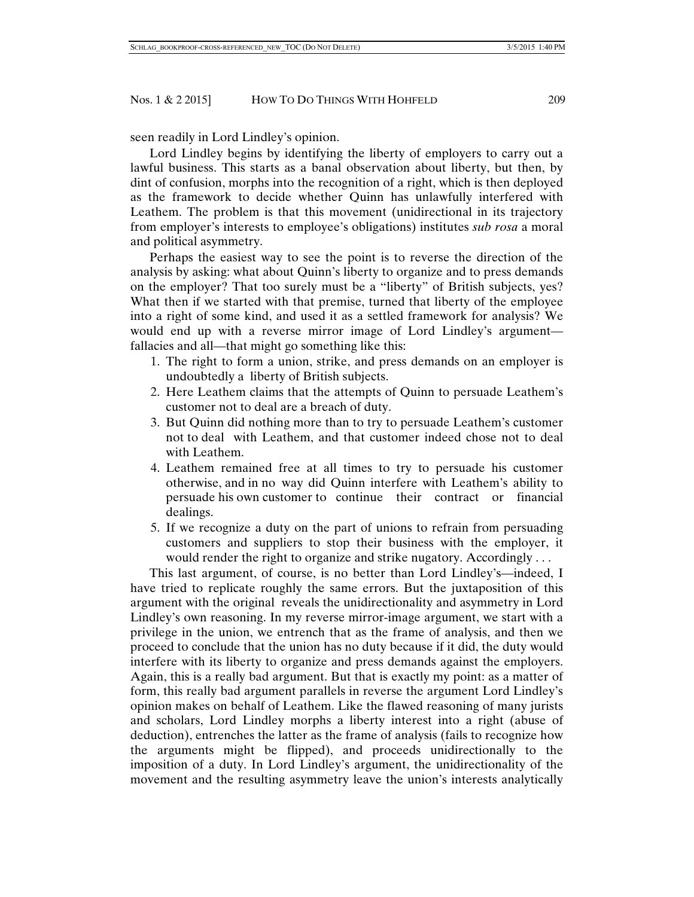seen readily in Lord Lindley's opinion.

Lord Lindley begins by identifying the liberty of employers to carry out a lawful business. This starts as a banal observation about liberty, but then, by dint of confusion, morphs into the recognition of a right, which is then deployed as the framework to decide whether Quinn has unlawfully interfered with Leathem. The problem is that this movement (unidirectional in its trajectory from employer's interests to employee's obligations) institutes *sub rosa* a moral and political asymmetry.

Perhaps the easiest way to see the point is to reverse the direction of the analysis by asking: what about Quinn's liberty to organize and to press demands on the employer? That too surely must be a "liberty" of British subjects, yes? What then if we started with that premise, turned that liberty of the employee into a right of some kind, and used it as a settled framework for analysis? We would end up with a reverse mirror image of Lord Lindley's argument fallacies and all—that might go something like this:

- 1. The right to form a union, strike, and press demands on an employer is undoubtedly a liberty of British subjects.
- 2. Here Leathem claims that the attempts of Quinn to persuade Leathem's customer not to deal are a breach of duty.
- 3. But Quinn did nothing more than to try to persuade Leathem's customer not to deal with Leathem, and that customer indeed chose not to deal with Leathem.
- 4. Leathem remained free at all times to try to persuade his customer otherwise, and in no way did Quinn interfere with Leathem's ability to persuade his own customer to continue their contract or financial dealings.
- 5. If we recognize a duty on the part of unions to refrain from persuading customers and suppliers to stop their business with the employer, it would render the right to organize and strike nugatory. Accordingly . . .

This last argument, of course, is no better than Lord Lindley's—indeed, I have tried to replicate roughly the same errors. But the juxtaposition of this argument with the original reveals the unidirectionality and asymmetry in Lord Lindley's own reasoning. In my reverse mirror-image argument, we start with a privilege in the union, we entrench that as the frame of analysis, and then we proceed to conclude that the union has no duty because if it did, the duty would interfere with its liberty to organize and press demands against the employers. Again, this is a really bad argument. But that is exactly my point: as a matter of form, this really bad argument parallels in reverse the argument Lord Lindley's opinion makes on behalf of Leathem. Like the flawed reasoning of many jurists and scholars, Lord Lindley morphs a liberty interest into a right (abuse of deduction), entrenches the latter as the frame of analysis (fails to recognize how the arguments might be flipped), and proceeds unidirectionally to the imposition of a duty. In Lord Lindley's argument, the unidirectionality of the movement and the resulting asymmetry leave the union's interests analytically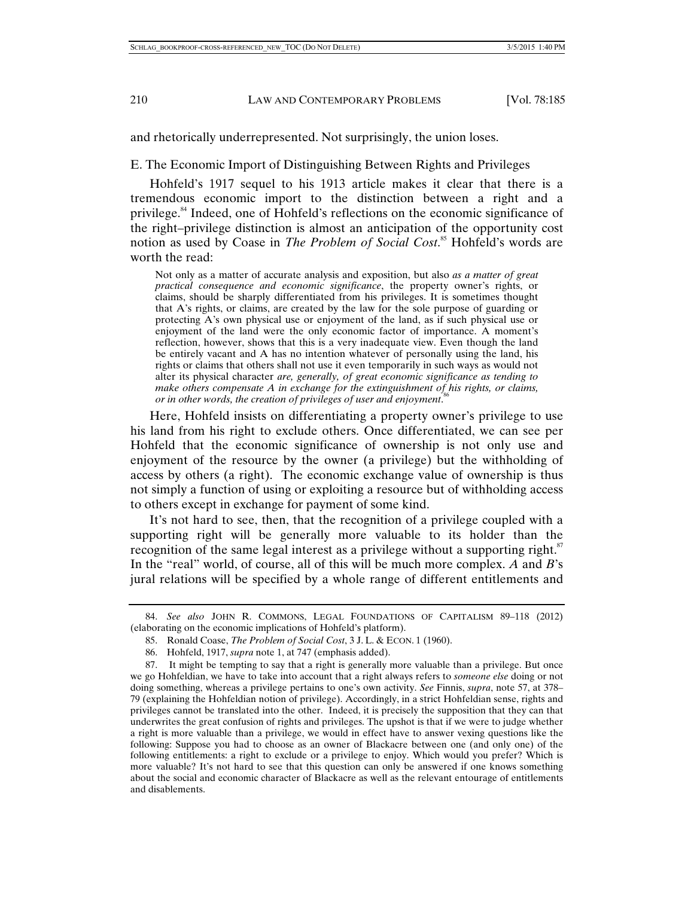and rhetorically underrepresented. Not surprisingly, the union loses.

E. The Economic Import of Distinguishing Between Rights and Privileges

Hohfeld's 1917 sequel to his 1913 article makes it clear that there is a tremendous economic import to the distinction between a right and a privilege.84 Indeed, one of Hohfeld's reflections on the economic significance of the right–privilege distinction is almost an anticipation of the opportunity cost notion as used by Coase in *The Problem of Social Cost*. 85 Hohfeld's words are worth the read:

Not only as a matter of accurate analysis and exposition, but also *as a matter of great practical consequence and economic significance*, the property owner's rights, or claims, should be sharply differentiated from his privileges. It is sometimes thought that A's rights, or claims, are created by the law for the sole purpose of guarding or protecting A's own physical use or enjoyment of the land, as if such physical use or enjoyment of the land were the only economic factor of importance. A moment's reflection, however, shows that this is a very inadequate view. Even though the land be entirely vacant and A has no intention whatever of personally using the land, his rights or claims that others shall not use it even temporarily in such ways as would not alter its physical character *are, generally, of great economic significance as tending to make others compensate A in exchange for the extinguishment of his rights, or claims, or in other words, the creation of privileges of user and enjoyment*. 86

Here, Hohfeld insists on differentiating a property owner's privilege to use his land from his right to exclude others. Once differentiated, we can see per Hohfeld that the economic significance of ownership is not only use and enjoyment of the resource by the owner (a privilege) but the withholding of access by others (a right). The economic exchange value of ownership is thus not simply a function of using or exploiting a resource but of withholding access to others except in exchange for payment of some kind.

It's not hard to see, then, that the recognition of a privilege coupled with a supporting right will be generally more valuable to its holder than the recognition of the same legal interest as a privilege without a supporting right. $\mathbf{S}^7$ In the "real" world, of course, all of this will be much more complex. *A* and *B*'s jural relations will be specified by a whole range of different entitlements and

 <sup>84.</sup> *See also* JOHN R. COMMONS, LEGAL FOUNDATIONS OF CAPITALISM 89–118 (2012) (elaborating on the economic implications of Hohfeld's platform).

 <sup>85.</sup> Ronald Coase, *The Problem of Social Cost*, 3 J. L. & ECON. 1 (1960).

 <sup>86.</sup> Hohfeld, 1917, *supra* note 1, at 747 (emphasis added).

 <sup>87.</sup> It might be tempting to say that a right is generally more valuable than a privilege. But once we go Hohfeldian, we have to take into account that a right always refers to *someone else* doing or not doing something, whereas a privilege pertains to one's own activity. *See* Finnis, *supra*, note 57, at 378– 79 (explaining the Hohfeldian notion of privilege). Accordingly, in a strict Hohfeldian sense, rights and privileges cannot be translated into the other. Indeed, it is precisely the supposition that they can that underwrites the great confusion of rights and privileges. The upshot is that if we were to judge whether a right is more valuable than a privilege, we would in effect have to answer vexing questions like the following: Suppose you had to choose as an owner of Blackacre between one (and only one) of the following entitlements: a right to exclude or a privilege to enjoy. Which would you prefer? Which is more valuable? It's not hard to see that this question can only be answered if one knows something about the social and economic character of Blackacre as well as the relevant entourage of entitlements and disablements.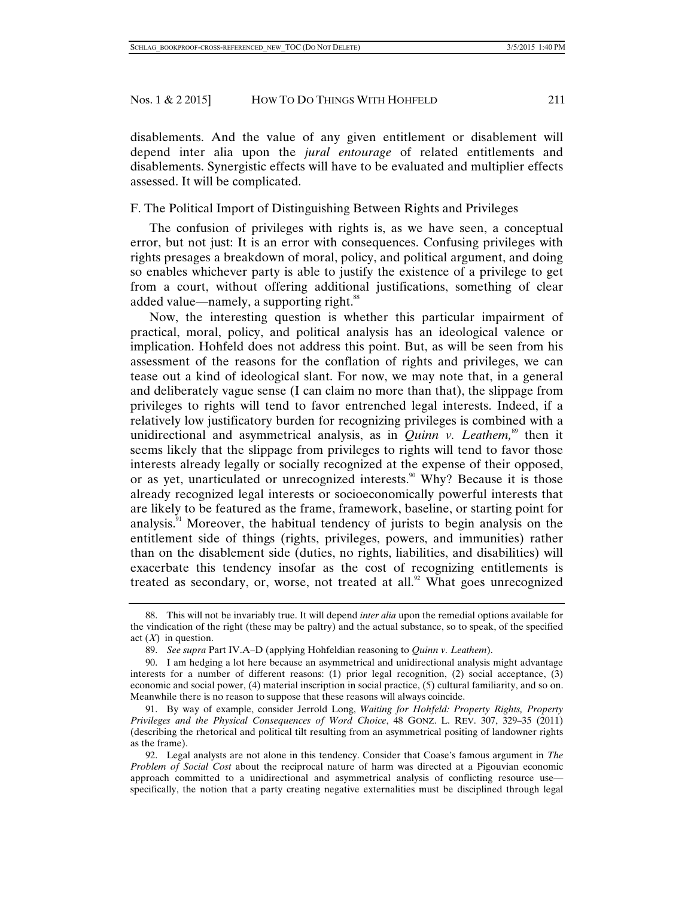disablements. And the value of any given entitlement or disablement will depend inter alia upon the *jural entourage* of related entitlements and disablements. Synergistic effects will have to be evaluated and multiplier effects assessed. It will be complicated.

## F. The Political Import of Distinguishing Between Rights and Privileges

The confusion of privileges with rights is, as we have seen, a conceptual error, but not just: It is an error with consequences. Confusing privileges with rights presages a breakdown of moral, policy, and political argument, and doing so enables whichever party is able to justify the existence of a privilege to get from a court, without offering additional justifications, something of clear added value—namely, a supporting right.<sup>88</sup>

Now, the interesting question is whether this particular impairment of practical, moral, policy, and political analysis has an ideological valence or implication. Hohfeld does not address this point. But, as will be seen from his assessment of the reasons for the conflation of rights and privileges, we can tease out a kind of ideological slant. For now, we may note that, in a general and deliberately vague sense (I can claim no more than that), the slippage from privileges to rights will tend to favor entrenched legal interests. Indeed, if a relatively low justificatory burden for recognizing privileges is combined with a unidirectional and asymmetrical analysis, as in *Quinn v. Leathem*,<sup>89</sup> then it seems likely that the slippage from privileges to rights will tend to favor those interests already legally or socially recognized at the expense of their opposed, or as yet, unarticulated or unrecognized interests.<sup>90</sup> Why? Because it is those already recognized legal interests or socioeconomically powerful interests that are likely to be featured as the frame, framework, baseline, or starting point for analysis.<sup>91</sup> Moreover, the habitual tendency of jurists to begin analysis on the entitlement side of things (rights, privileges, powers, and immunities) rather than on the disablement side (duties, no rights, liabilities, and disabilities) will exacerbate this tendency insofar as the cost of recognizing entitlements is treated as secondary, or, worse, not treated at all. $92$  What goes unrecognized

 <sup>88.</sup> This will not be invariably true. It will depend *inter alia* upon the remedial options available for the vindication of the right (these may be paltry) and the actual substance, so to speak, of the specified act (*X*) in question.

 <sup>89.</sup> *See supra* Part IV.A–D (applying Hohfeldian reasoning to *Quinn v. Leathem*).

 <sup>90.</sup> I am hedging a lot here because an asymmetrical and unidirectional analysis might advantage interests for a number of different reasons: (1) prior legal recognition, (2) social acceptance, (3) economic and social power, (4) material inscription in social practice, (5) cultural familiarity, and so on. Meanwhile there is no reason to suppose that these reasons will always coincide.

 <sup>91.</sup> By way of example, consider Jerrold Long, *Waiting for Hohfeld: Property Rights, Property Privileges and the Physical Consequences of Word Choice*, 48 GONZ. L. REV. 307, 329–35 (2011) (describing the rhetorical and political tilt resulting from an asymmetrical positing of landowner rights as the frame).

 <sup>92.</sup> Legal analysts are not alone in this tendency. Consider that Coase's famous argument in *The Problem of Social Cost* about the reciprocal nature of harm was directed at a Pigouvian economic approach committed to a unidirectional and asymmetrical analysis of conflicting resource use specifically, the notion that a party creating negative externalities must be disciplined through legal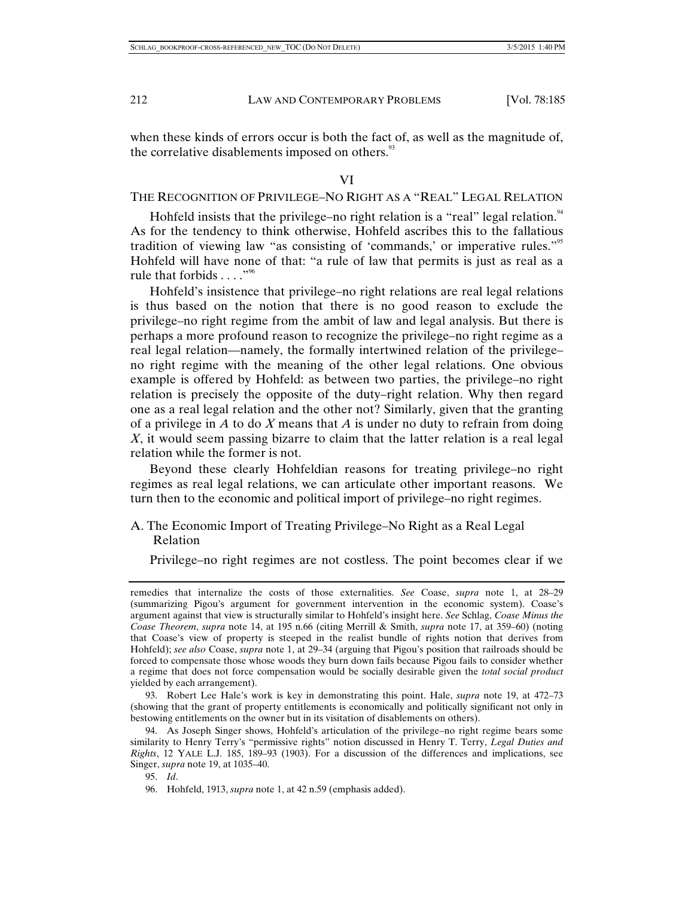when these kinds of errors occur is both the fact of, as well as the magnitude of, the correlative disablements imposed on others.<sup>93</sup>

#### VI

## THE RECOGNITION OF PRIVILEGE–NO RIGHT AS A "REAL" LEGAL RELATION

Hohfeld insists that the privilege–no right relation is a "real" legal relation.<sup>94</sup> As for the tendency to think otherwise, Hohfeld ascribes this to the fallatious tradition of viewing law "as consisting of 'commands,' or imperative rules."<sup>95</sup> Hohfeld will have none of that: "a rule of law that permits is just as real as a rule that forbids . . . ."96

Hohfeld's insistence that privilege–no right relations are real legal relations is thus based on the notion that there is no good reason to exclude the privilege–no right regime from the ambit of law and legal analysis. But there is perhaps a more profound reason to recognize the privilege–no right regime as a real legal relation—namely, the formally intertwined relation of the privilege– no right regime with the meaning of the other legal relations. One obvious example is offered by Hohfeld: as between two parties, the privilege–no right relation is precisely the opposite of the duty–right relation. Why then regard one as a real legal relation and the other not? Similarly, given that the granting of a privilege in *A* to do *X* means that *A* is under no duty to refrain from doing *X*, it would seem passing bizarre to claim that the latter relation is a real legal relation while the former is not.

Beyond these clearly Hohfeldian reasons for treating privilege–no right regimes as real legal relations, we can articulate other important reasons. We turn then to the economic and political import of privilege–no right regimes.

## A. The Economic Import of Treating Privilege–No Right as a Real Legal Relation

Privilege–no right regimes are not costless. The point becomes clear if we

 93. Robert Lee Hale's work is key in demonstrating this point. Hale, *supra* note 19, at 472–73 (showing that the grant of property entitlements is economically and politically significant not only in bestowing entitlements on the owner but in its visitation of disablements on others).

remedies that internalize the costs of those externalities. *See* Coase, *supra* note 1, at 28–29 (summarizing Pigou's argument for government intervention in the economic system). Coase's argument against that view is structurally similar to Hohfeld's insight here. *See* Schlag, *Coase Minus the Coase Theorem*, *supra* note 14, at 195 n.66 (citing Merrill & Smith, *supra* note 17, at 359–60) (noting that Coase's view of property is steeped in the realist bundle of rights notion that derives from Hohfeld); *see also* Coase, *supra* note 1, at 29–34 (arguing that Pigou's position that railroads should be forced to compensate those whose woods they burn down fails because Pigou fails to consider whether a regime that does not force compensation would be socially desirable given the *total social product* yielded by each arrangement).

 <sup>94.</sup> As Joseph Singer shows, Hohfeld's articulation of the privilege–no right regime bears some similarity to Henry Terry's "permissive rights" notion discussed in Henry T. Terry, *Legal Duties and Rights*, 12 YALE L.J. 185, 189–93 (1903). For a discussion of the differences and implications, see Singer, *supra* note 19, at 1035–40.

 <sup>95.</sup> *Id*.

 <sup>96.</sup> Hohfeld, 1913, *supra* note 1, at 42 n.59 (emphasis added).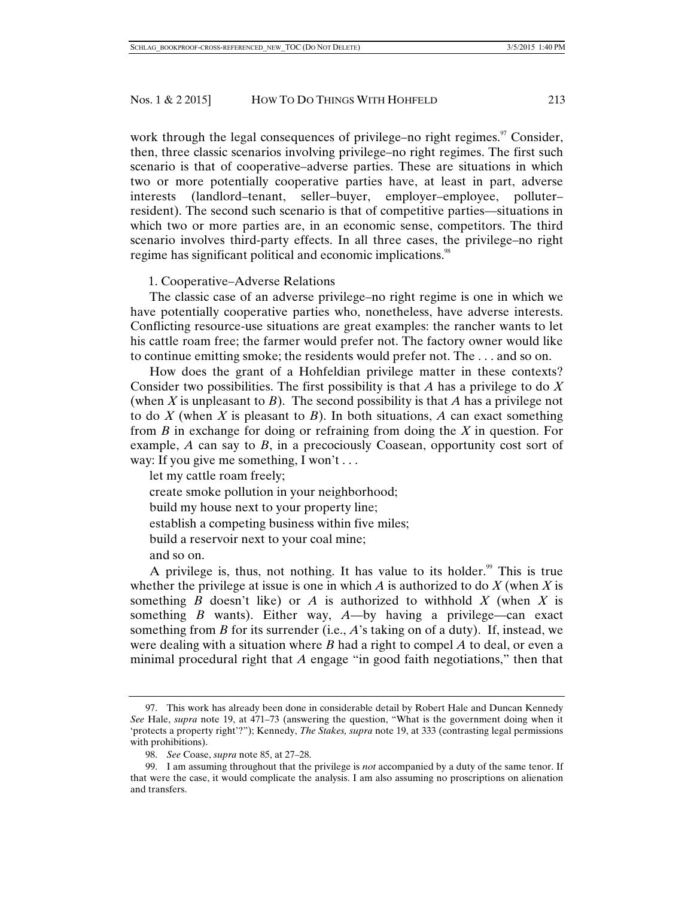work through the legal consequences of privilege–no right regimes. $\frac{97}{2}$  Consider, then, three classic scenarios involving privilege–no right regimes. The first such scenario is that of cooperative–adverse parties. These are situations in which two or more potentially cooperative parties have, at least in part, adverse interests (landlord–tenant, seller–buyer, employer–employee, polluter– resident). The second such scenario is that of competitive parties—situations in which two or more parties are, in an economic sense, competitors. The third scenario involves third-party effects. In all three cases, the privilege–no right regime has significant political and economic implications.<sup>98</sup>

## 1. Cooperative–Adverse Relations

The classic case of an adverse privilege–no right regime is one in which we have potentially cooperative parties who, nonetheless, have adverse interests. Conflicting resource-use situations are great examples: the rancher wants to let his cattle roam free; the farmer would prefer not. The factory owner would like to continue emitting smoke; the residents would prefer not. The . . . and so on.

How does the grant of a Hohfeldian privilege matter in these contexts? Consider two possibilities. The first possibility is that *A* has a privilege to do *X* (when *X* is unpleasant to *B*). The second possibility is that *A* has a privilege not to do *X* (when *X* is pleasant to *B*). In both situations, *A* can exact something from *B* in exchange for doing or refraining from doing the *X* in question. For example, *A* can say to *B*, in a precociously Coasean, opportunity cost sort of way: If you give me something, I won't . . .

let my cattle roam freely;

create smoke pollution in your neighborhood;

build my house next to your property line;

establish a competing business within five miles;

build a reservoir next to your coal mine;

and so on.

A privilege is, thus, not nothing. It has value to its holder.<sup>99</sup> This is true whether the privilege at issue is one in which *A* is authorized to do *X* (when *X* is something  $\overline{B}$  doesn't like) or  $\overline{A}$  is authorized to withhold  $\overline{X}$  (when  $\overline{X}$  is something *B* wants). Either way,  $A$ —by having a privilege—can exact something from *B* for its surrender (i.e., *A*'s taking on of a duty). If, instead, we were dealing with a situation where *B* had a right to compel *A* to deal, or even a minimal procedural right that *A* engage "in good faith negotiations," then that

 <sup>97.</sup> This work has already been done in considerable detail by Robert Hale and Duncan Kennedy *See* Hale, *supra* note 19, at 471–73 (answering the question, "What is the government doing when it 'protects a property right'?"); Kennedy, *The Stakes, supra* note 19, at 333 (contrasting legal permissions with prohibitions).

 <sup>98.</sup> *See* Coase, *supra* note 85, at 27–28.

 <sup>99.</sup> I am assuming throughout that the privilege is *not* accompanied by a duty of the same tenor. If that were the case, it would complicate the analysis. I am also assuming no proscriptions on alienation and transfers.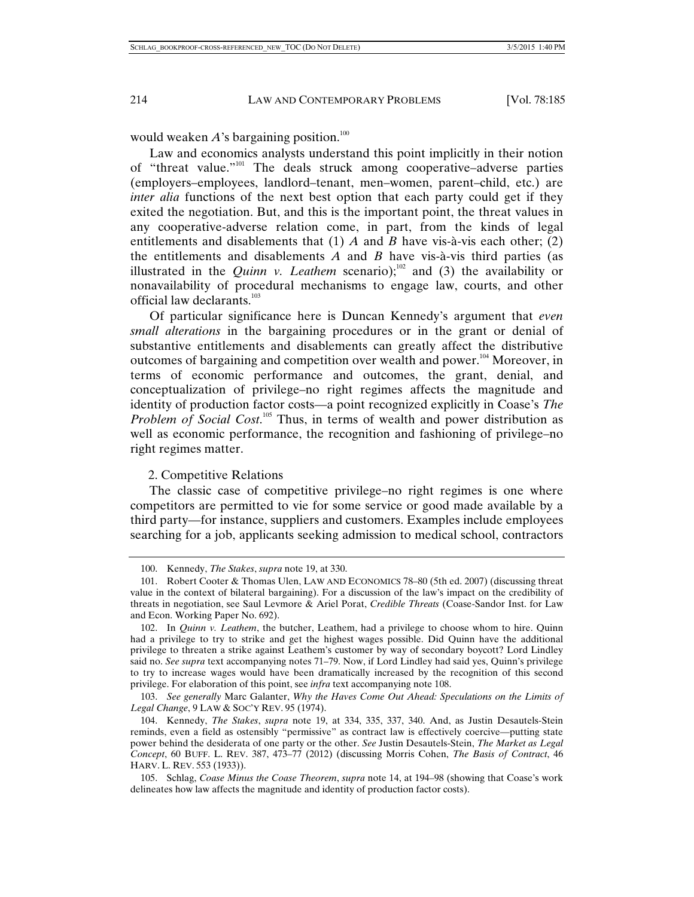would weaken  $A$ 's bargaining position.<sup>100</sup>

Law and economics analysts understand this point implicitly in their notion of "threat value."101 The deals struck among cooperative–adverse parties (employers–employees, landlord–tenant, men–women, parent–child, etc.) are *inter alia* functions of the next best option that each party could get if they exited the negotiation. But, and this is the important point, the threat values in any cooperative-adverse relation come, in part, from the kinds of legal entitlements and disablements that  $(1)$  *A* and *B* have vis-à-vis each other;  $(2)$ the entitlements and disablements *A* and *B* have vis-à-vis third parties (as illustrated in the *Quinn v. Leathem* scenario);<sup>102</sup> and (3) the availability or nonavailability of procedural mechanisms to engage law, courts, and other official law declarants.<sup>103</sup>

Of particular significance here is Duncan Kennedy's argument that *even small alterations* in the bargaining procedures or in the grant or denial of substantive entitlements and disablements can greatly affect the distributive outcomes of bargaining and competition over wealth and power.<sup>104</sup> Moreover, in terms of economic performance and outcomes, the grant, denial, and conceptualization of privilege–no right regimes affects the magnitude and identity of production factor costs—a point recognized explicitly in Coase's *The Problem of Social Cost*.<sup>105</sup> Thus, in terms of wealth and power distribution as well as economic performance, the recognition and fashioning of privilege–no right regimes matter.

### 2. Competitive Relations

The classic case of competitive privilege–no right regimes is one where competitors are permitted to vie for some service or good made available by a third party—for instance, suppliers and customers. Examples include employees searching for a job, applicants seeking admission to medical school, contractors

 103. *See generally* Marc Galanter, *Why the Haves Come Out Ahead: Speculations on the Limits of Legal Change*, 9 LAW & SOC'Y REV. 95 (1974).

 <sup>100.</sup> Kennedy, *The Stakes*, *supra* note 19, at 330.

 <sup>101.</sup> Robert Cooter & Thomas Ulen, LAW AND ECONOMICS 78–80 (5th ed. 2007) (discussing threat value in the context of bilateral bargaining). For a discussion of the law's impact on the credibility of threats in negotiation, see Saul Levmore & Ariel Porat, *Credible Threats* (Coase-Sandor Inst. for Law and Econ. Working Paper No. 692).

 <sup>102.</sup> In *Quinn v. Leathem*, the butcher, Leathem, had a privilege to choose whom to hire. Quinn had a privilege to try to strike and get the highest wages possible. Did Quinn have the additional privilege to threaten a strike against Leathem's customer by way of secondary boycott? Lord Lindley said no. *See supra* text accompanying notes 71–79. Now, if Lord Lindley had said yes, Quinn's privilege to try to increase wages would have been dramatically increased by the recognition of this second privilege. For elaboration of this point, see *infra* text accompanying note 108.

 <sup>104.</sup> Kennedy, *The Stakes*, *supra* note 19, at 334, 335, 337, 340. And, as Justin Desautels-Stein reminds, even a field as ostensibly "permissive" as contract law is effectively coercive—putting state power behind the desiderata of one party or the other. *See* Justin Desautels-Stein, *The Market as Legal Concept*, 60 BUFF. L. REV. 387, 473–77 (2012) (discussing Morris Cohen, *The Basis of Contract*, 46 HARV. L. REV. 553 (1933)).

 <sup>105.</sup> Schlag, *Coase Minus the Coase Theorem*, *supra* note 14, at 194–98 (showing that Coase's work delineates how law affects the magnitude and identity of production factor costs).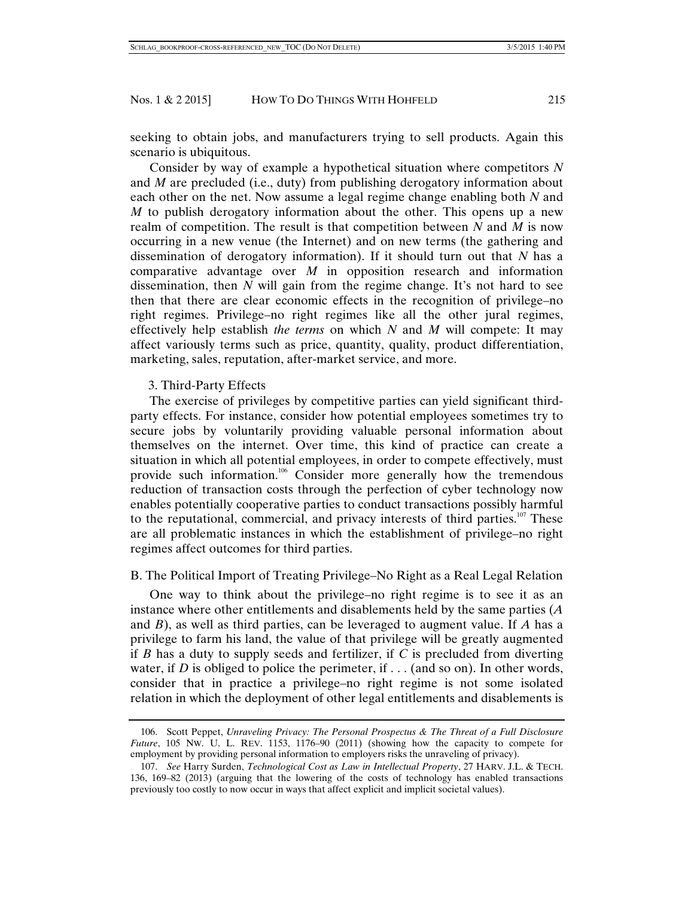seeking to obtain jobs, and manufacturers trying to sell products. Again this scenario is ubiquitous.

Consider by way of example a hypothetical situation where competitors *N* and *M* are precluded (i.e., duty) from publishing derogatory information about each other on the net. Now assume a legal regime change enabling both *N* and *M* to publish derogatory information about the other. This opens up a new realm of competition. The result is that competition between *N* and *M* is now occurring in a new venue (the Internet) and on new terms (the gathering and dissemination of derogatory information). If it should turn out that *N* has a comparative advantage over *M* in opposition research and information dissemination, then *N* will gain from the regime change. It's not hard to see then that there are clear economic effects in the recognition of privilege–no right regimes. Privilege–no right regimes like all the other jural regimes, effectively help establish *the terms* on which *N* and *M* will compete: It may affect variously terms such as price, quantity, quality, product differentiation, marketing, sales, reputation, after-market service, and more.

## 3. Third-Party Effects

The exercise of privileges by competitive parties can yield significant thirdparty effects. For instance, consider how potential employees sometimes try to secure jobs by voluntarily providing valuable personal information about themselves on the internet. Over time, this kind of practice can create a situation in which all potential employees, in order to compete effectively, must provide such information.<sup>106</sup> Consider more generally how the tremendous reduction of transaction costs through the perfection of cyber technology now enables potentially cooperative parties to conduct transactions possibly harmful to the reputational, commercial, and privacy interests of third parties.<sup>107</sup> These are all problematic instances in which the establishment of privilege–no right regimes affect outcomes for third parties.

#### B. The Political Import of Treating Privilege–No Right as a Real Legal Relation

One way to think about the privilege–no right regime is to see it as an instance where other entitlements and disablements held by the same parties (*A* and *B*), as well as third parties, can be leveraged to augment value. If *A* has a privilege to farm his land, the value of that privilege will be greatly augmented if *B* has a duty to supply seeds and fertilizer, if *C* is precluded from diverting water, if *D* is obliged to police the perimeter, if  $\ldots$  (and so on). In other words, consider that in practice a privilege–no right regime is not some isolated relation in which the deployment of other legal entitlements and disablements is

 <sup>106.</sup> Scott Peppet, *Unraveling Privacy: The Personal Prospectus & The Threat of a Full Disclosure Future*, 105 NW. U. L. REV. 1153, 1176–90 (2011) (showing how the capacity to compete for employment by providing personal information to employers risks the unraveling of privacy).

 <sup>107.</sup> *See* Harry Surden, *Technological Cost as Law in Intellectual Property*, 27 HARV. J.L. & TECH. 136, 169–82 (2013) (arguing that the lowering of the costs of technology has enabled transactions previously too costly to now occur in ways that affect explicit and implicit societal values).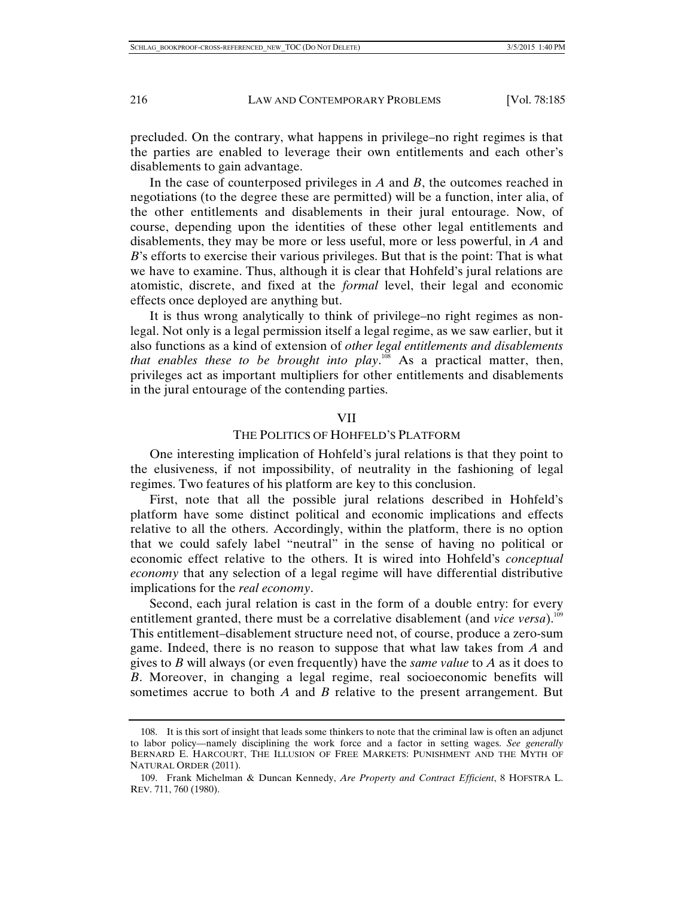precluded. On the contrary, what happens in privilege–no right regimes is that the parties are enabled to leverage their own entitlements and each other's disablements to gain advantage.

In the case of counterposed privileges in *A* and *B*, the outcomes reached in negotiations (to the degree these are permitted) will be a function, inter alia, of the other entitlements and disablements in their jural entourage. Now, of course, depending upon the identities of these other legal entitlements and disablements, they may be more or less useful, more or less powerful, in *A* and *B*'s efforts to exercise their various privileges. But that is the point: That is what we have to examine. Thus, although it is clear that Hohfeld's jural relations are atomistic, discrete, and fixed at the *formal* level, their legal and economic effects once deployed are anything but.

It is thus wrong analytically to think of privilege–no right regimes as nonlegal. Not only is a legal permission itself a legal regime, as we saw earlier, but it also functions as a kind of extension of *other legal entitlements and disablements*  that enables these to be brought into play.<sup>108</sup> As a practical matter, then, privileges act as important multipliers for other entitlements and disablements in the jural entourage of the contending parties.

#### VII

## THE POLITICS OF HOHFELD'S PLATFORM

One interesting implication of Hohfeld's jural relations is that they point to the elusiveness, if not impossibility, of neutrality in the fashioning of legal regimes. Two features of his platform are key to this conclusion.

First, note that all the possible jural relations described in Hohfeld's platform have some distinct political and economic implications and effects relative to all the others. Accordingly, within the platform, there is no option that we could safely label "neutral" in the sense of having no political or economic effect relative to the others. It is wired into Hohfeld's *conceptual economy* that any selection of a legal regime will have differential distributive implications for the *real economy*.

Second, each jural relation is cast in the form of a double entry: for every entitlement granted, there must be a correlative disablement (and *vice versa*).<sup>109</sup> This entitlement–disablement structure need not, of course, produce a zero-sum game. Indeed, there is no reason to suppose that what law takes from *A* and gives to *B* will always (or even frequently) have the *same value* to *A* as it does to *B*. Moreover, in changing a legal regime, real socioeconomic benefits will sometimes accrue to both *A* and *B* relative to the present arrangement. But

 <sup>108.</sup> It is this sort of insight that leads some thinkers to note that the criminal law is often an adjunct to labor policy—namely disciplining the work force and a factor in setting wages. *See generally* BERNARD E. HARCOURT, THE ILLUSION OF FREE MARKETS: PUNISHMENT AND THE MYTH OF NATURAL ORDER (2011).

 <sup>109.</sup> Frank Michelman & Duncan Kennedy, *Are Property and Contract Efficient*, 8 HOFSTRA L. REV. 711, 760 (1980).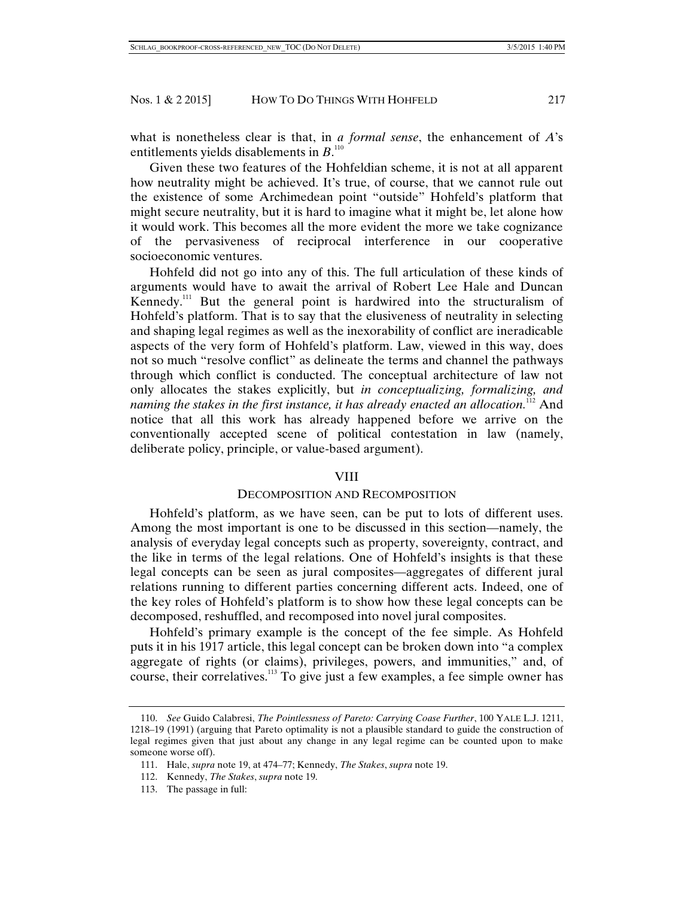what is nonetheless clear is that, in *a formal sense*, the enhancement of *A*'s entitlements yields disablements in  $B$ .<sup>110</sup>

Given these two features of the Hohfeldian scheme, it is not at all apparent how neutrality might be achieved. It's true, of course, that we cannot rule out the existence of some Archimedean point "outside" Hohfeld's platform that might secure neutrality, but it is hard to imagine what it might be, let alone how it would work. This becomes all the more evident the more we take cognizance of the pervasiveness of reciprocal interference in our cooperative socioeconomic ventures.

Hohfeld did not go into any of this. The full articulation of these kinds of arguments would have to await the arrival of Robert Lee Hale and Duncan Kennedy.<sup>111</sup> But the general point is hardwired into the structuralism of Hohfeld's platform. That is to say that the elusiveness of neutrality in selecting and shaping legal regimes as well as the inexorability of conflict are ineradicable aspects of the very form of Hohfeld's platform. Law, viewed in this way, does not so much "resolve conflict" as delineate the terms and channel the pathways through which conflict is conducted. The conceptual architecture of law not only allocates the stakes explicitly, but *in conceptualizing, formalizing, and naming the stakes in the first instance, it has already enacted an allocation.*<sup>112</sup> And notice that all this work has already happened before we arrive on the conventionally accepted scene of political contestation in law (namely, deliberate policy, principle, or value-based argument).

## VIII

## DECOMPOSITION AND RECOMPOSITION

Hohfeld's platform, as we have seen, can be put to lots of different uses. Among the most important is one to be discussed in this section—namely, the analysis of everyday legal concepts such as property, sovereignty, contract, and the like in terms of the legal relations. One of Hohfeld's insights is that these legal concepts can be seen as jural composites—aggregates of different jural relations running to different parties concerning different acts. Indeed, one of the key roles of Hohfeld's platform is to show how these legal concepts can be decomposed, reshuffled, and recomposed into novel jural composites.

Hohfeld's primary example is the concept of the fee simple. As Hohfeld puts it in his 1917 article, this legal concept can be broken down into "a complex aggregate of rights (or claims), privileges, powers, and immunities," and, of course, their correlatives.113 To give just a few examples, a fee simple owner has

 <sup>110.</sup> *See* Guido Calabresi, *The Pointlessness of Pareto: Carrying Coase Further*, 100 YALE L.J. 1211, 1218–19 (1991) (arguing that Pareto optimality is not a plausible standard to guide the construction of legal regimes given that just about any change in any legal regime can be counted upon to make someone worse off).

 <sup>111.</sup> Hale, *supra* note 19, at 474–77; Kennedy, *The Stakes*, *supra* note 19.

 <sup>112.</sup> Kennedy, *The Stakes*, *supra* note 19.

 <sup>113.</sup> The passage in full: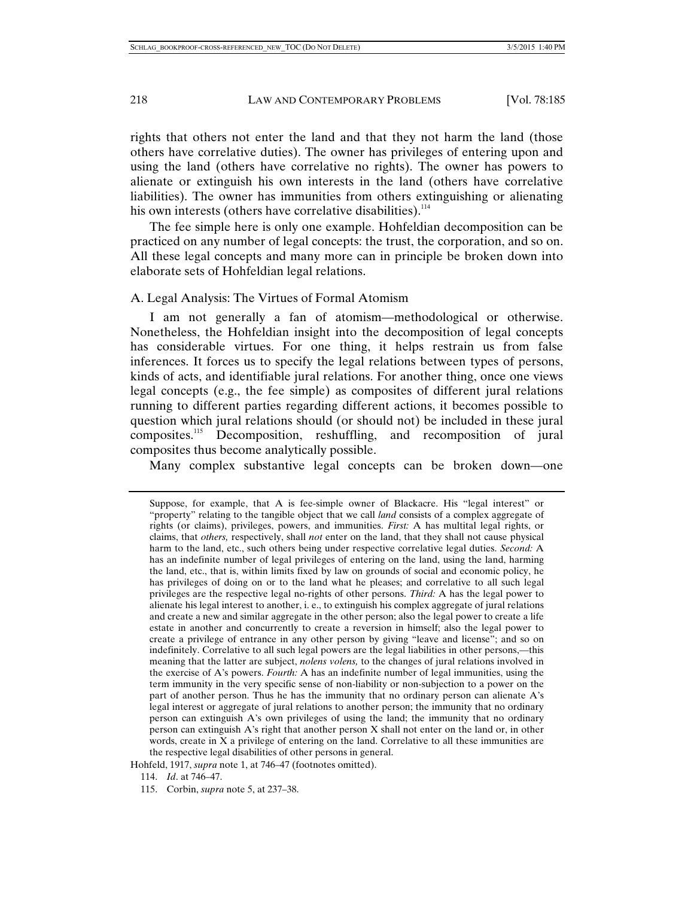rights that others not enter the land and that they not harm the land (those others have correlative duties). The owner has privileges of entering upon and using the land (others have correlative no rights). The owner has powers to alienate or extinguish his own interests in the land (others have correlative liabilities). The owner has immunities from others extinguishing or alienating his own interests (others have correlative disabilities).<sup>114</sup>

The fee simple here is only one example. Hohfeldian decomposition can be practiced on any number of legal concepts: the trust, the corporation, and so on. All these legal concepts and many more can in principle be broken down into elaborate sets of Hohfeldian legal relations.

#### A. Legal Analysis: The Virtues of Formal Atomism

I am not generally a fan of atomism—methodological or otherwise. Nonetheless, the Hohfeldian insight into the decomposition of legal concepts has considerable virtues. For one thing, it helps restrain us from false inferences. It forces us to specify the legal relations between types of persons, kinds of acts, and identifiable jural relations. For another thing, once one views legal concepts (e.g., the fee simple) as composites of different jural relations running to different parties regarding different actions, it becomes possible to question which jural relations should (or should not) be included in these jural composites.115 Decomposition, reshuffling, and recomposition of jural composites thus become analytically possible.

Many complex substantive legal concepts can be broken down—one

Hohfeld, 1917, *supra* note 1, at 746–47 (footnotes omitted).

114. *Id*. at 746–47.

115. Corbin, *supra* note 5, at 237–38.

Suppose, for example, that A is fee-simple owner of Blackacre. His "legal interest" or "property" relating to the tangible object that we call *land* consists of a complex aggregate of rights (or claims), privileges, powers, and immunities. *First:* A has multital legal rights, or claims, that *others,* respectively, shall *not* enter on the land, that they shall not cause physical harm to the land, etc., such others being under respective correlative legal duties. *Second:* A has an indefinite number of legal privileges of entering on the land, using the land, harming the land, etc., that is, within limits fixed by law on grounds of social and economic policy, he has privileges of doing on or to the land what he pleases; and correlative to all such legal privileges are the respective legal no-rights of other persons. *Third:* A has the legal power to alienate his legal interest to another, i. e., to extinguish his complex aggregate of jural relations and create a new and similar aggregate in the other person; also the legal power to create a life estate in another and concurrently to create a reversion in himself; also the legal power to create a privilege of entrance in any other person by giving "leave and license"; and so on indefinitely. Correlative to all such legal powers are the legal liabilities in other persons,—this meaning that the latter are subject, *nolens volens,* to the changes of jural relations involved in the exercise of A's powers. *Fourth:* A has an indefinite number of legal immunities, using the term immunity in the very specific sense of non-liability or non-subjection to a power on the part of another person. Thus he has the immunity that no ordinary person can alienate A's legal interest or aggregate of jural relations to another person; the immunity that no ordinary person can extinguish A's own privileges of using the land; the immunity that no ordinary person can extinguish A's right that another person X shall not enter on the land or, in other words, create in  $\bar{X}$  a privilege of entering on the land. Correlative to all these immunities are the respective legal disabilities of other persons in general.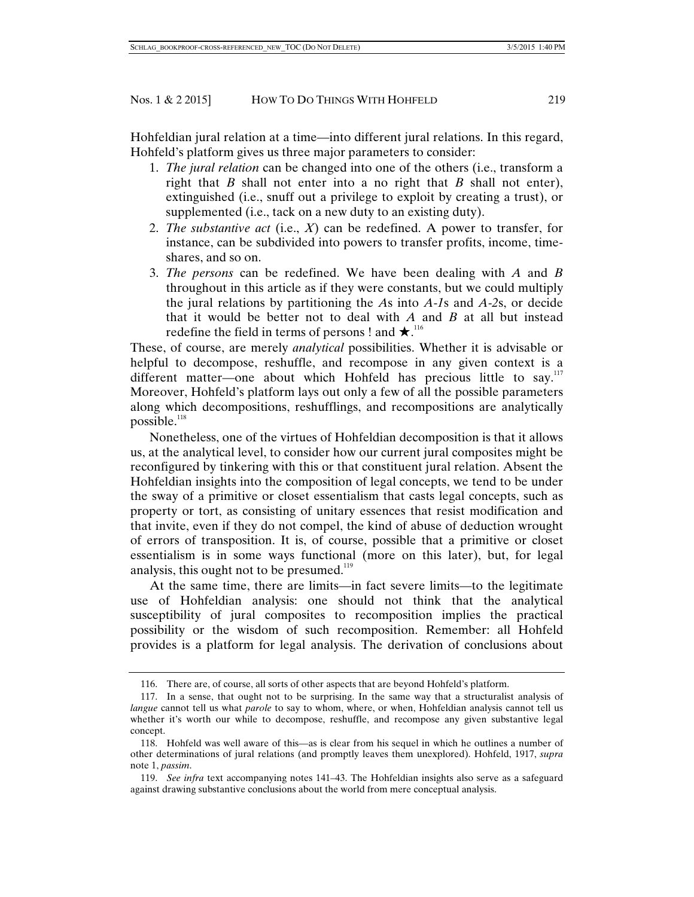Hohfeldian jural relation at a time—into different jural relations. In this regard, Hohfeld's platform gives us three major parameters to consider:

- 1. *The jural relation* can be changed into one of the others (i.e., transform a right that *B* shall not enter into a no right that *B* shall not enter), extinguished (i.e., snuff out a privilege to exploit by creating a trust), or supplemented (i.e., tack on a new duty to an existing duty).
- 2. *The substantive act* (i.e., *X*) can be redefined. A power to transfer, for instance, can be subdivided into powers to transfer profits, income, timeshares, and so on.
- 3. *The persons* can be redefined. We have been dealing with *A* and *B* throughout in this article as if they were constants, but we could multiply the jural relations by partitioning the *A*s into *A*-*1*s and *A*-*2*s, or decide that it would be better not to deal with *A* and *B* at all but instead redefine the field in terms of persons ! and  $\star$ .<sup>116</sup>

These, of course, are merely *analytical* possibilities. Whether it is advisable or helpful to decompose, reshuffle, and recompose in any given context is a different matter—one about which Hohfeld has precious little to say.<sup>117</sup> Moreover, Hohfeld's platform lays out only a few of all the possible parameters along which decompositions, reshufflings, and recompositions are analytically possible. $118$ 

Nonetheless, one of the virtues of Hohfeldian decomposition is that it allows us, at the analytical level, to consider how our current jural composites might be reconfigured by tinkering with this or that constituent jural relation. Absent the Hohfeldian insights into the composition of legal concepts, we tend to be under the sway of a primitive or closet essentialism that casts legal concepts, such as property or tort, as consisting of unitary essences that resist modification and that invite, even if they do not compel, the kind of abuse of deduction wrought of errors of transposition. It is, of course, possible that a primitive or closet essentialism is in some ways functional (more on this later), but, for legal analysis, this ought not to be presumed. $119$ 

At the same time, there are limits—in fact severe limits—to the legitimate use of Hohfeldian analysis: one should not think that the analytical susceptibility of jural composites to recomposition implies the practical possibility or the wisdom of such recomposition. Remember: all Hohfeld provides is a platform for legal analysis. The derivation of conclusions about

 <sup>116.</sup> There are, of course, all sorts of other aspects that are beyond Hohfeld's platform.

 <sup>117.</sup> In a sense, that ought not to be surprising. In the same way that a structuralist analysis of *langue* cannot tell us what *parole* to say to whom, where, or when, Hohfeldian analysis cannot tell us whether it's worth our while to decompose, reshuffle, and recompose any given substantive legal concept.

 <sup>118.</sup> Hohfeld was well aware of this—as is clear from his sequel in which he outlines a number of other determinations of jural relations (and promptly leaves them unexplored). Hohfeld, 1917, *supra* note 1, *passim*.

 <sup>119.</sup> *See infra* text accompanying notes 141–43. The Hohfeldian insights also serve as a safeguard against drawing substantive conclusions about the world from mere conceptual analysis.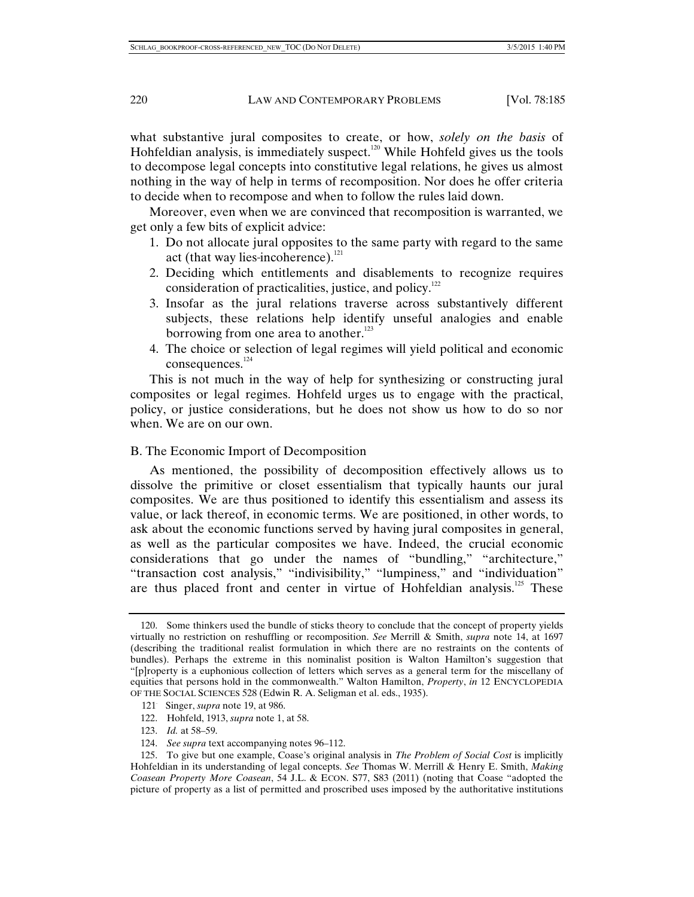what substantive jural composites to create, or how, *solely on the basis* of Hohfeldian analysis, is immediately suspect.<sup>120</sup> While Hohfeld gives us the tools to decompose legal concepts into constitutive legal relations, he gives us almost nothing in the way of help in terms of recomposition. Nor does he offer criteria to decide when to recompose and when to follow the rules laid down.

Moreover, even when we are convinced that recomposition is warranted, we get only a few bits of explicit advice:

- 1. Do not allocate jural opposites to the same party with regard to the same act (that way lies-incoherence). $121$
- 2. Deciding which entitlements and disablements to recognize requires consideration of practicalities, justice, and policy. $122$
- 3. Insofar as the jural relations traverse across substantively different subjects, these relations help identify unseful analogies and enable borrowing from one area to another. $123$
- 4. The choice or selection of legal regimes will yield political and economic consequences.<sup>124</sup>

This is not much in the way of help for synthesizing or constructing jural composites or legal regimes. Hohfeld urges us to engage with the practical, policy, or justice considerations, but he does not show us how to do so nor when. We are on our own.

## B. The Economic Import of Decomposition

As mentioned, the possibility of decomposition effectively allows us to dissolve the primitive or closet essentialism that typically haunts our jural composites. We are thus positioned to identify this essentialism and assess its value, or lack thereof, in economic terms. We are positioned, in other words, to ask about the economic functions served by having jural composites in general, as well as the particular composites we have. Indeed, the crucial economic considerations that go under the names of "bundling," "architecture," "transaction cost analysis," "indivisibility," "lumpiness," and "individuation" are thus placed front and center in virtue of Hohfeldian analysis.<sup>125</sup> These

 <sup>120.</sup> Some thinkers used the bundle of sticks theory to conclude that the concept of property yields virtually no restriction on reshuffling or recomposition. *See* Merrill & Smith, *supra* note 14, at 1697 (describing the traditional realist formulation in which there are no restraints on the contents of bundles). Perhaps the extreme in this nominalist position is Walton Hamilton's suggestion that "[p]roperty is a euphonious collection of letters which serves as a general term for the miscellany of equities that persons hold in the commonwealth." Walton Hamilton, *Property*, *in* 12 ENCYCLOPEDIA OF THE SOCIAL SCIENCES 528 (Edwin R. A. Seligman et al. eds., 1935).

<sup>121</sup>. Singer, *supra* note 19, at 986.

 <sup>122.</sup> Hohfeld, 1913, *supra* note 1, at 58.

 <sup>123.</sup> *Id.* at 58–59.

 <sup>124.</sup> *See supra* text accompanying notes 96–112.

 <sup>125.</sup> To give but one example, Coase's original analysis in *The Problem of Social Cost* is implicitly Hohfeldian in its understanding of legal concepts. *See* Thomas W. Merrill & Henry E. Smith, *Making Coasean Property More Coasean*, 54 J.L. & ECON. S77, S83 (2011) (noting that Coase "adopted the picture of property as a list of permitted and proscribed uses imposed by the authoritative institutions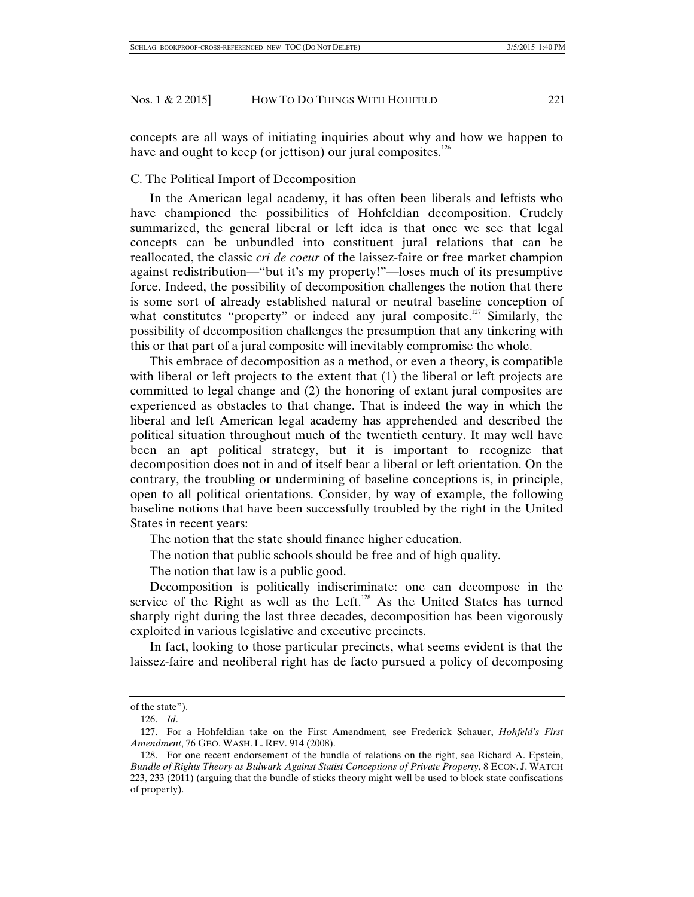concepts are all ways of initiating inquiries about why and how we happen to have and ought to keep (or jettison) our jural composites. $126$ 

C. The Political Import of Decomposition

In the American legal academy, it has often been liberals and leftists who have championed the possibilities of Hohfeldian decomposition. Crudely summarized, the general liberal or left idea is that once we see that legal concepts can be unbundled into constituent jural relations that can be reallocated, the classic *cri de coeur* of the laissez-faire or free market champion against redistribution—"but it's my property!"—loses much of its presumptive force. Indeed, the possibility of decomposition challenges the notion that there is some sort of already established natural or neutral baseline conception of what constitutes "property" or indeed any jural composite.<sup>127</sup> Similarly, the possibility of decomposition challenges the presumption that any tinkering with this or that part of a jural composite will inevitably compromise the whole.

This embrace of decomposition as a method, or even a theory, is compatible with liberal or left projects to the extent that (1) the liberal or left projects are committed to legal change and (2) the honoring of extant jural composites are experienced as obstacles to that change. That is indeed the way in which the liberal and left American legal academy has apprehended and described the political situation throughout much of the twentieth century. It may well have been an apt political strategy, but it is important to recognize that decomposition does not in and of itself bear a liberal or left orientation. On the contrary, the troubling or undermining of baseline conceptions is, in principle, open to all political orientations. Consider, by way of example, the following baseline notions that have been successfully troubled by the right in the United States in recent years:

The notion that the state should finance higher education.

The notion that public schools should be free and of high quality.

The notion that law is a public good.

Decomposition is politically indiscriminate: one can decompose in the service of the Right as well as the Left. $128$  As the United States has turned sharply right during the last three decades, decomposition has been vigorously exploited in various legislative and executive precincts.

In fact, looking to those particular precincts, what seems evident is that the laissez-faire and neoliberal right has de facto pursued a policy of decomposing

of the state").

 <sup>126.</sup> *Id*.

 <sup>127.</sup> For a Hohfeldian take on the First Amendment*,* see Frederick Schauer, *Hohfeld's First Amendment*, 76 GEO. WASH. L. REV. 914 (2008).

 <sup>128.</sup> For one recent endorsement of the bundle of relations on the right, see Richard A. Epstein, *Bundle of Rights Theory as Bulwark Against Statist Conceptions of Private Property*, 8 ECON. J. WATCH 223, 233 (2011) (arguing that the bundle of sticks theory might well be used to block state confiscations of property).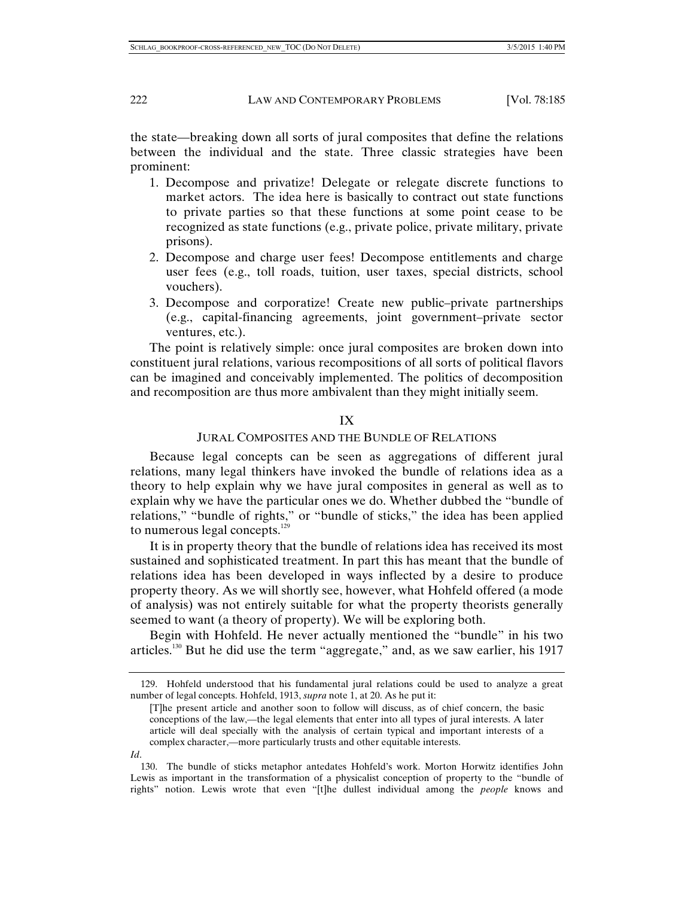the state—breaking down all sorts of jural composites that define the relations between the individual and the state. Three classic strategies have been prominent:

- 1. Decompose and privatize! Delegate or relegate discrete functions to market actors. The idea here is basically to contract out state functions to private parties so that these functions at some point cease to be recognized as state functions (e.g., private police, private military, private prisons).
- 2. Decompose and charge user fees! Decompose entitlements and charge user fees (e.g., toll roads, tuition, user taxes, special districts, school vouchers).
- 3. Decompose and corporatize! Create new public–private partnerships (e.g., capital-financing agreements, joint government–private sector ventures, etc.).

The point is relatively simple: once jural composites are broken down into constituent jural relations, various recompositions of all sorts of political flavors can be imagined and conceivably implemented. The politics of decomposition and recomposition are thus more ambivalent than they might initially seem.

#### IX

## JURAL COMPOSITES AND THE BUNDLE OF RELATIONS

Because legal concepts can be seen as aggregations of different jural relations, many legal thinkers have invoked the bundle of relations idea as a theory to help explain why we have jural composites in general as well as to explain why we have the particular ones we do. Whether dubbed the "bundle of relations," "bundle of rights," or "bundle of sticks," the idea has been applied to numerous legal concepts. $129$ 

It is in property theory that the bundle of relations idea has received its most sustained and sophisticated treatment. In part this has meant that the bundle of relations idea has been developed in ways inflected by a desire to produce property theory. As we will shortly see, however, what Hohfeld offered (a mode of analysis) was not entirely suitable for what the property theorists generally seemed to want (a theory of property). We will be exploring both.

Begin with Hohfeld. He never actually mentioned the "bundle" in his two articles.130 But he did use the term "aggregate," and, as we saw earlier, his 1917

 <sup>129.</sup> Hohfeld understood that his fundamental jural relations could be used to analyze a great number of legal concepts. Hohfeld, 1913, *supra* note 1, at 20. As he put it:

<sup>[</sup>T]he present article and another soon to follow will discuss, as of chief concern, the basic conceptions of the law,—the legal elements that enter into all types of jural interests. A later article will deal specially with the analysis of certain typical and important interests of a complex character,—more particularly trusts and other equitable interests.

*Id*.

 <sup>130.</sup> The bundle of sticks metaphor antedates Hohfeld's work. Morton Horwitz identifies John Lewis as important in the transformation of a physicalist conception of property to the "bundle of rights" notion. Lewis wrote that even "[t]he dullest individual among the *people* knows and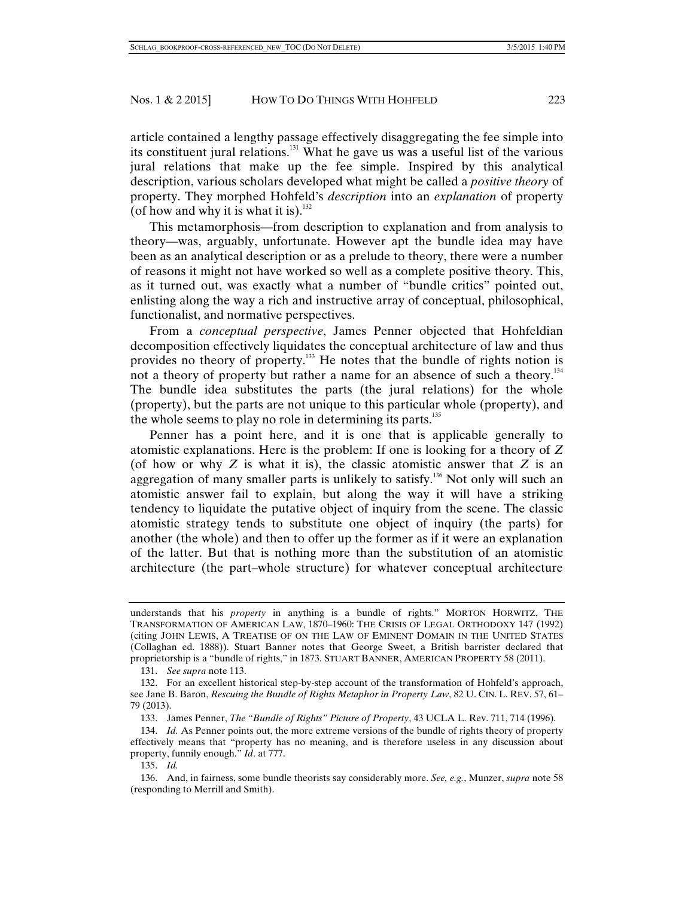article contained a lengthy passage effectively disaggregating the fee simple into its constituent jural relations.131 What he gave us was a useful list of the various jural relations that make up the fee simple. Inspired by this analytical description, various scholars developed what might be called a *positive theory* of property. They morphed Hohfeld's *description* into an *explanation* of property (of how and why it is what it is). $132$ 

This metamorphosis—from description to explanation and from analysis to theory—was, arguably, unfortunate. However apt the bundle idea may have been as an analytical description or as a prelude to theory, there were a number of reasons it might not have worked so well as a complete positive theory. This, as it turned out, was exactly what a number of "bundle critics" pointed out, enlisting along the way a rich and instructive array of conceptual, philosophical, functionalist, and normative perspectives.

From a *conceptual perspective*, James Penner objected that Hohfeldian decomposition effectively liquidates the conceptual architecture of law and thus provides no theory of property.133 He notes that the bundle of rights notion is not a theory of property but rather a name for an absence of such a theory.<sup>134</sup> The bundle idea substitutes the parts (the jural relations) for the whole (property), but the parts are not unique to this particular whole (property), and the whole seems to play no role in determining its parts.<sup>135</sup>

Penner has a point here, and it is one that is applicable generally to atomistic explanations. Here is the problem: If one is looking for a theory of *Z* (of how or why *Z* is what it is), the classic atomistic answer that *Z* is an aggregation of many smaller parts is unlikely to satisfy.<sup>136</sup> Not only will such an atomistic answer fail to explain, but along the way it will have a striking tendency to liquidate the putative object of inquiry from the scene. The classic atomistic strategy tends to substitute one object of inquiry (the parts) for another (the whole) and then to offer up the former as if it were an explanation of the latter. But that is nothing more than the substitution of an atomistic architecture (the part–whole structure) for whatever conceptual architecture

133. James Penner, *The "Bundle of Rights" Picture of Property*, 43 UCLA L. Rev. 711, 714 (1996).

understands that his *property* in anything is a bundle of rights." MORTON HORWITZ, THE TRANSFORMATION OF AMERICAN LAW, 1870–1960: THE CRISIS OF LEGAL ORTHODOXY 147 (1992) (citing JOHN LEWIS, A TREATISE OF ON THE LAW OF EMINENT DOMAIN IN THE UNITED STATES (Collaghan ed. 1888)). Stuart Banner notes that George Sweet, a British barrister declared that proprietorship is a "bundle of rights," in 1873. STUART BANNER, AMERICAN PROPERTY 58 (2011).

 <sup>131.</sup> *See supra* note 113.

 <sup>132.</sup> For an excellent historical step-by-step account of the transformation of Hohfeld's approach, see Jane B. Baron, *Rescuing the Bundle of Rights Metaphor in Property Law*, 82 U. CIN. L. REV. 57, 61– 79 (2013).

 <sup>134.</sup> *Id.* As Penner points out, the more extreme versions of the bundle of rights theory of property effectively means that "property has no meaning, and is therefore useless in any discussion about property, funnily enough." *Id*. at 777.

 <sup>135.</sup> *Id.*

 <sup>136.</sup> And, in fairness, some bundle theorists say considerably more. *See, e.g.*, Munzer, *supra* note 58 (responding to Merrill and Smith).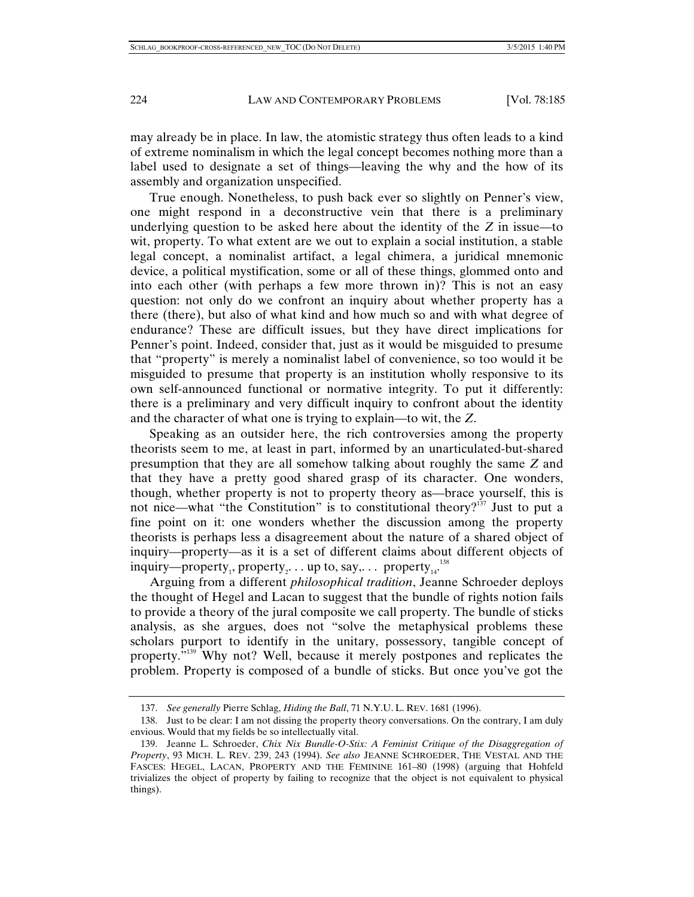may already be in place. In law, the atomistic strategy thus often leads to a kind of extreme nominalism in which the legal concept becomes nothing more than a label used to designate a set of things—leaving the why and the how of its assembly and organization unspecified.

True enough. Nonetheless, to push back ever so slightly on Penner's view, one might respond in a deconstructive vein that there is a preliminary underlying question to be asked here about the identity of the *Z* in issue—to wit, property. To what extent are we out to explain a social institution, a stable legal concept, a nominalist artifact, a legal chimera, a juridical mnemonic device, a political mystification, some or all of these things, glommed onto and into each other (with perhaps a few more thrown in)? This is not an easy question: not only do we confront an inquiry about whether property has a there (there), but also of what kind and how much so and with what degree of endurance? These are difficult issues, but they have direct implications for Penner's point. Indeed, consider that, just as it would be misguided to presume that "property" is merely a nominalist label of convenience, so too would it be misguided to presume that property is an institution wholly responsive to its own self-announced functional or normative integrity. To put it differently: there is a preliminary and very difficult inquiry to confront about the identity and the character of what one is trying to explain—to wit, the *Z*.

Speaking as an outsider here, the rich controversies among the property theorists seem to me, at least in part, informed by an unarticulated-but-shared presumption that they are all somehow talking about roughly the same *Z* and that they have a pretty good shared grasp of its character. One wonders, though, whether property is not to property theory as—brace yourself, this is not nice—what "the Constitution" is to constitutional theory?<sup>137</sup> Just to put a fine point on it: one wonders whether the discussion among the property theorists is perhaps less a disagreement about the nature of a shared object of inquiry—property—as it is a set of different claims about different objects of inquiry—property<sub>1</sub>, property<sub>2</sub>... up to, say,... property<sub>14</sub>.<sup>138</sup>

Arguing from a different *philosophical tradition*, Jeanne Schroeder deploys the thought of Hegel and Lacan to suggest that the bundle of rights notion fails to provide a theory of the jural composite we call property. The bundle of sticks analysis, as she argues, does not "solve the metaphysical problems these scholars purport to identify in the unitary, possessory, tangible concept of property.<sup>7139</sup> Why not? Well, because it merely postpones and replicates the problem. Property is composed of a bundle of sticks. But once you've got the

 <sup>137.</sup> *See generally* Pierre Schlag, *Hiding the Ball*, 71 N.Y.U. L. REV. 1681 (1996).

 <sup>138.</sup> Just to be clear: I am not dissing the property theory conversations. On the contrary, I am duly envious. Would that my fields be so intellectually vital.

 <sup>139.</sup> Jeanne L. Schroeder, *Chix Nix Bundle-O-Stix: A Feminist Critique of the Disaggregation of Property*, 93 MICH. L. REV. 239, 243 (1994). *See also* JEANNE SCHROEDER, THE VESTAL AND THE FASCES: HEGEL, LACAN, PROPERTY AND THE FEMININE 161–80 (1998) (arguing that Hohfeld trivializes the object of property by failing to recognize that the object is not equivalent to physical things).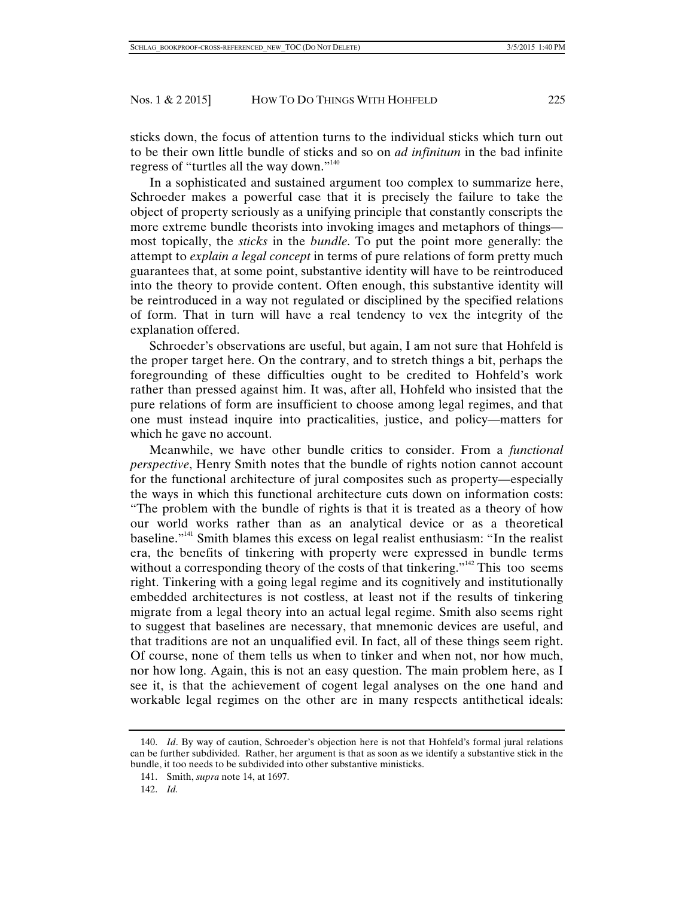sticks down, the focus of attention turns to the individual sticks which turn out to be their own little bundle of sticks and so on *ad infinitum* in the bad infinite regress of "turtles all the way down."<sup>140</sup>

In a sophisticated and sustained argument too complex to summarize here, Schroeder makes a powerful case that it is precisely the failure to take the object of property seriously as a unifying principle that constantly conscripts the more extreme bundle theorists into invoking images and metaphors of things most topically, the *sticks* in the *bundle*. To put the point more generally: the attempt to *explain a legal concept* in terms of pure relations of form pretty much guarantees that, at some point, substantive identity will have to be reintroduced into the theory to provide content. Often enough, this substantive identity will be reintroduced in a way not regulated or disciplined by the specified relations of form. That in turn will have a real tendency to vex the integrity of the explanation offered.

Schroeder's observations are useful, but again, I am not sure that Hohfeld is the proper target here. On the contrary, and to stretch things a bit, perhaps the foregrounding of these difficulties ought to be credited to Hohfeld's work rather than pressed against him. It was, after all, Hohfeld who insisted that the pure relations of form are insufficient to choose among legal regimes, and that one must instead inquire into practicalities, justice, and policy—matters for which he gave no account.

Meanwhile, we have other bundle critics to consider. From a *functional perspective*, Henry Smith notes that the bundle of rights notion cannot account for the functional architecture of jural composites such as property—especially the ways in which this functional architecture cuts down on information costs: "The problem with the bundle of rights is that it is treated as a theory of how our world works rather than as an analytical device or as a theoretical baseline."141 Smith blames this excess on legal realist enthusiasm: "In the realist era, the benefits of tinkering with property were expressed in bundle terms without a corresponding theory of the costs of that tinkering."<sup>142</sup> This too seems right. Tinkering with a going legal regime and its cognitively and institutionally embedded architectures is not costless, at least not if the results of tinkering migrate from a legal theory into an actual legal regime. Smith also seems right to suggest that baselines are necessary, that mnemonic devices are useful, and that traditions are not an unqualified evil. In fact, all of these things seem right. Of course, none of them tells us when to tinker and when not, nor how much, nor how long. Again, this is not an easy question. The main problem here, as I see it, is that the achievement of cogent legal analyses on the one hand and workable legal regimes on the other are in many respects antithetical ideals:

 <sup>140.</sup> *Id*. By way of caution, Schroeder's objection here is not that Hohfeld's formal jural relations can be further subdivided. Rather, her argument is that as soon as we identify a substantive stick in the bundle, it too needs to be subdivided into other substantive ministicks.

 <sup>141.</sup> Smith, *supra* note 14, at 1697.

 <sup>142.</sup> *Id.*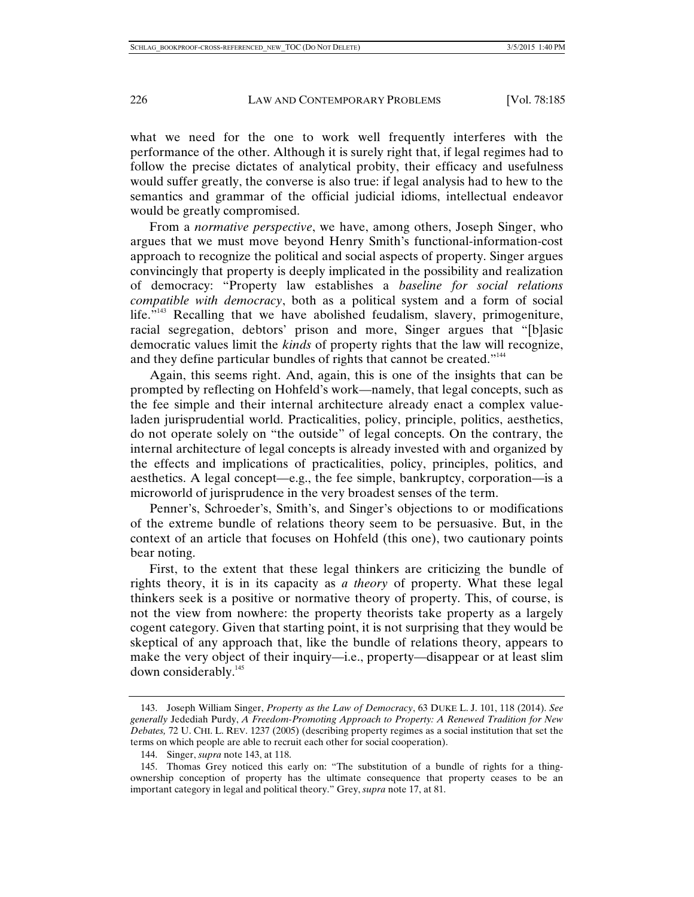what we need for the one to work well frequently interferes with the performance of the other. Although it is surely right that, if legal regimes had to follow the precise dictates of analytical probity, their efficacy and usefulness would suffer greatly, the converse is also true: if legal analysis had to hew to the semantics and grammar of the official judicial idioms, intellectual endeavor would be greatly compromised.

From a *normative perspective*, we have, among others, Joseph Singer, who argues that we must move beyond Henry Smith's functional-information-cost approach to recognize the political and social aspects of property. Singer argues convincingly that property is deeply implicated in the possibility and realization of democracy: "Property law establishes a *baseline for social relations compatible with democracy*, both as a political system and a form of social life."<sup>143</sup> Recalling that we have abolished feudalism, slavery, primogeniture, racial segregation, debtors' prison and more, Singer argues that "[b]asic democratic values limit the *kinds* of property rights that the law will recognize, and they define particular bundles of rights that cannot be created."<sup>144</sup>

Again, this seems right. And, again, this is one of the insights that can be prompted by reflecting on Hohfeld's work—namely, that legal concepts, such as the fee simple and their internal architecture already enact a complex valueladen jurisprudential world. Practicalities, policy, principle, politics, aesthetics, do not operate solely on "the outside" of legal concepts. On the contrary, the internal architecture of legal concepts is already invested with and organized by the effects and implications of practicalities, policy, principles, politics, and aesthetics. A legal concept—e.g., the fee simple, bankruptcy, corporation—is a microworld of jurisprudence in the very broadest senses of the term.

Penner's, Schroeder's, Smith's, and Singer's objections to or modifications of the extreme bundle of relations theory seem to be persuasive. But, in the context of an article that focuses on Hohfeld (this one), two cautionary points bear noting.

First, to the extent that these legal thinkers are criticizing the bundle of rights theory, it is in its capacity as *a theory* of property. What these legal thinkers seek is a positive or normative theory of property. This, of course, is not the view from nowhere: the property theorists take property as a largely cogent category. Given that starting point, it is not surprising that they would be skeptical of any approach that, like the bundle of relations theory, appears to make the very object of their inquiry—i.e., property—disappear or at least slim down considerably.<sup>145</sup>

 <sup>143.</sup> Joseph William Singer, *Property as the Law of Democracy*, 63 DUKE L. J. 101, 118 (2014). *See generally* Jedediah Purdy, *A Freedom-Promoting Approach to Property: A Renewed Tradition for New Debates,* 72 U. CHI. L. REV. 1237 (2005) (describing property regimes as a social institution that set the terms on which people are able to recruit each other for social cooperation).

 <sup>144.</sup> Singer, *supra* note 143, at 118.

 <sup>145.</sup> Thomas Grey noticed this early on: "The substitution of a bundle of rights for a thingownership conception of property has the ultimate consequence that property ceases to be an important category in legal and political theory." Grey, *supra* note 17, at 81.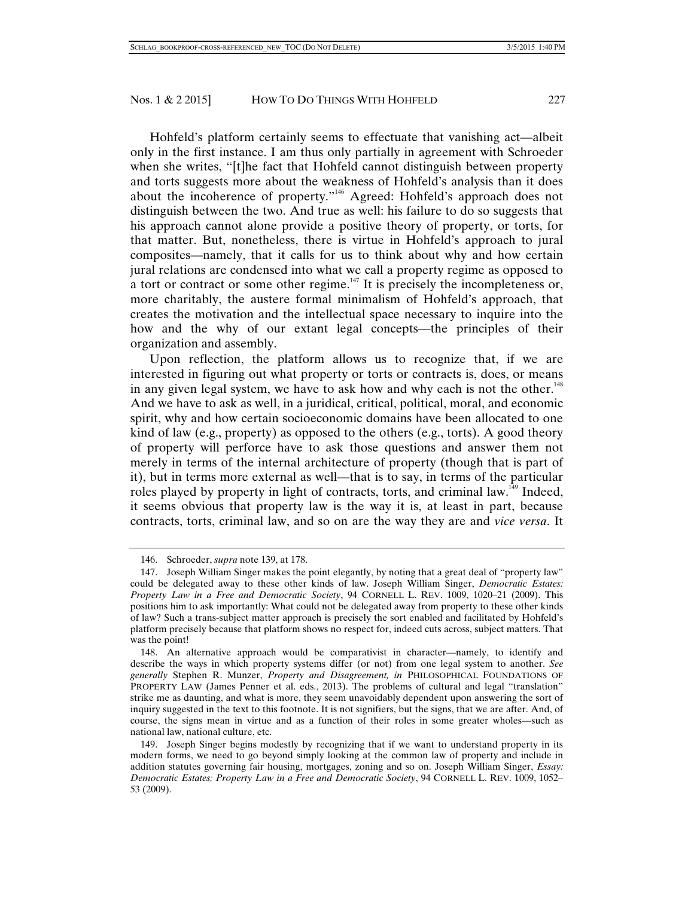Hohfeld's platform certainly seems to effectuate that vanishing act—albeit only in the first instance. I am thus only partially in agreement with Schroeder when she writes, "[t]he fact that Hohfeld cannot distinguish between property and torts suggests more about the weakness of Hohfeld's analysis than it does about the incoherence of property."<sup>146</sup> Agreed: Hohfeld's approach does not distinguish between the two. And true as well: his failure to do so suggests that his approach cannot alone provide a positive theory of property, or torts, for that matter. But, nonetheless, there is virtue in Hohfeld's approach to jural composites—namely, that it calls for us to think about why and how certain jural relations are condensed into what we call a property regime as opposed to a tort or contract or some other regime.<sup>147</sup> It is precisely the incompleteness or, more charitably, the austere formal minimalism of Hohfeld's approach, that creates the motivation and the intellectual space necessary to inquire into the how and the why of our extant legal concepts—the principles of their organization and assembly.

Upon reflection, the platform allows us to recognize that, if we are interested in figuring out what property or torts or contracts is, does, or means in any given legal system, we have to ask how and why each is not the other.<sup>148</sup> And we have to ask as well, in a juridical, critical, political, moral, and economic spirit, why and how certain socioeconomic domains have been allocated to one kind of law (e.g., property) as opposed to the others (e.g., torts). A good theory of property will perforce have to ask those questions and answer them not merely in terms of the internal architecture of property (though that is part of it), but in terms more external as well—that is to say, in terms of the particular roles played by property in light of contracts, torts, and criminal law.<sup>149</sup> Indeed, it seems obvious that property law is the way it is, at least in part, because contracts, torts, criminal law, and so on are the way they are and *vice versa*. It

 <sup>146.</sup> Schroeder, *supra* note 139, at 178.

 <sup>147.</sup> Joseph William Singer makes the point elegantly, by noting that a great deal of "property law" could be delegated away to these other kinds of law. Joseph William Singer, *Democratic Estates: Property Law in a Free and Democratic Society*, 94 CORNELL L. REV. 1009, 1020–21 (2009). This positions him to ask importantly: What could not be delegated away from property to these other kinds of law? Such a trans-subject matter approach is precisely the sort enabled and facilitated by Hohfeld's platform precisely because that platform shows no respect for, indeed cuts across, subject matters. That was the point!

 <sup>148.</sup> An alternative approach would be comparativist in character—namely, to identify and describe the ways in which property systems differ (or not) from one legal system to another. *See generally* Stephen R. Munzer, *Property and Disagreement, in* PHILOSOPHICAL FOUNDATIONS OF PROPERTY LAW (James Penner et al. eds., 2013). The problems of cultural and legal "translation" strike me as daunting, and what is more, they seem unavoidably dependent upon answering the sort of inquiry suggested in the text to this footnote. It is not signifiers, but the signs, that we are after. And, of course, the signs mean in virtue and as a function of their roles in some greater wholes—such as national law, national culture, etc.

 <sup>149.</sup> Joseph Singer begins modestly by recognizing that if we want to understand property in its modern forms, we need to go beyond simply looking at the common law of property and include in addition statutes governing fair housing, mortgages, zoning and so on. Joseph William Singer, *Essay: Democratic Estates: Property Law in a Free and Democratic Society*, 94 CORNELL L. REV. 1009, 1052– 53 (2009).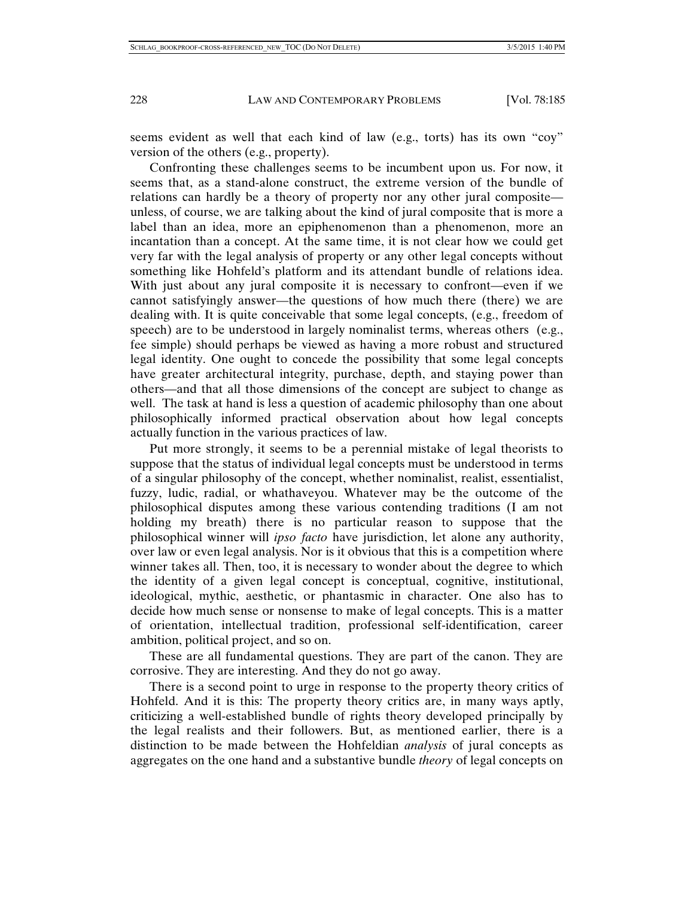seems evident as well that each kind of law (e.g., torts) has its own "coy" version of the others (e.g., property).

Confronting these challenges seems to be incumbent upon us. For now, it seems that, as a stand-alone construct, the extreme version of the bundle of relations can hardly be a theory of property nor any other jural composite unless, of course, we are talking about the kind of jural composite that is more a label than an idea, more an epiphenomenon than a phenomenon, more an incantation than a concept. At the same time, it is not clear how we could get very far with the legal analysis of property or any other legal concepts without something like Hohfeld's platform and its attendant bundle of relations idea. With just about any jural composite it is necessary to confront—even if we cannot satisfyingly answer—the questions of how much there (there) we are dealing with. It is quite conceivable that some legal concepts, (e.g., freedom of speech) are to be understood in largely nominalist terms, whereas others (e.g., fee simple) should perhaps be viewed as having a more robust and structured legal identity. One ought to concede the possibility that some legal concepts have greater architectural integrity, purchase, depth, and staying power than others—and that all those dimensions of the concept are subject to change as well. The task at hand is less a question of academic philosophy than one about philosophically informed practical observation about how legal concepts actually function in the various practices of law.

Put more strongly, it seems to be a perennial mistake of legal theorists to suppose that the status of individual legal concepts must be understood in terms of a singular philosophy of the concept, whether nominalist, realist, essentialist, fuzzy, ludic, radial, or whathaveyou. Whatever may be the outcome of the philosophical disputes among these various contending traditions (I am not holding my breath) there is no particular reason to suppose that the philosophical winner will *ipso facto* have jurisdiction, let alone any authority, over law or even legal analysis. Nor is it obvious that this is a competition where winner takes all. Then, too, it is necessary to wonder about the degree to which the identity of a given legal concept is conceptual, cognitive, institutional, ideological, mythic, aesthetic, or phantasmic in character. One also has to decide how much sense or nonsense to make of legal concepts. This is a matter of orientation, intellectual tradition, professional self-identification, career ambition, political project, and so on.

These are all fundamental questions. They are part of the canon. They are corrosive. They are interesting. And they do not go away.

There is a second point to urge in response to the property theory critics of Hohfeld. And it is this: The property theory critics are, in many ways aptly, criticizing a well-established bundle of rights theory developed principally by the legal realists and their followers. But, as mentioned earlier, there is a distinction to be made between the Hohfeldian *analysis* of jural concepts as aggregates on the one hand and a substantive bundle *theory* of legal concepts on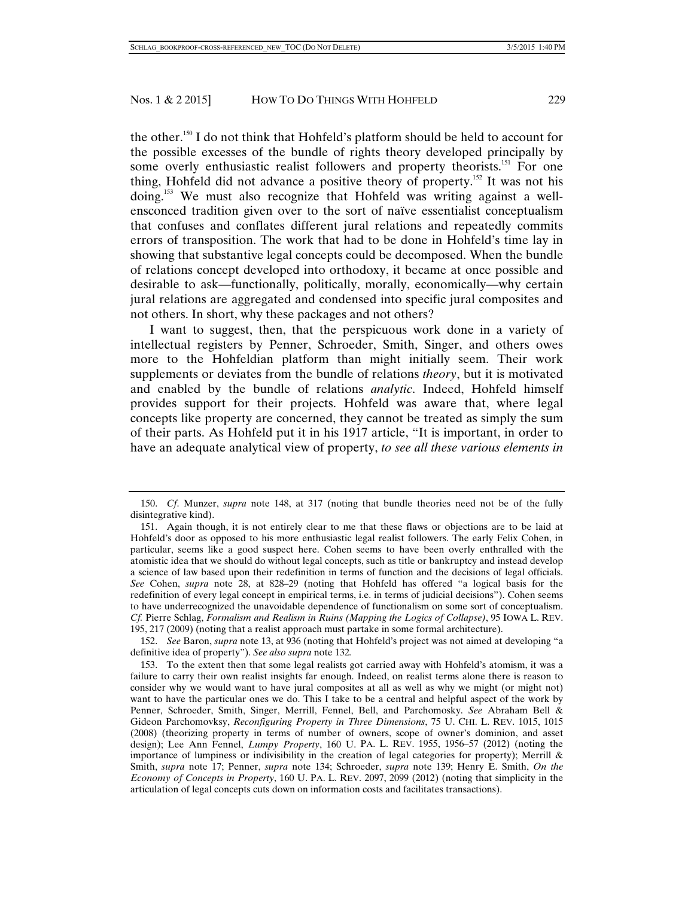the other.<sup>150</sup> I do not think that Hohfeld's platform should be held to account for the possible excesses of the bundle of rights theory developed principally by some overly enthusiastic realist followers and property theorists.<sup>151</sup> For one thing, Hohfeld did not advance a positive theory of property.152 It was not his doing.153 We must also recognize that Hohfeld was writing against a wellensconced tradition given over to the sort of naïve essentialist conceptualism that confuses and conflates different jural relations and repeatedly commits errors of transposition. The work that had to be done in Hohfeld's time lay in showing that substantive legal concepts could be decomposed. When the bundle of relations concept developed into orthodoxy, it became at once possible and desirable to ask—functionally, politically, morally, economically—why certain jural relations are aggregated and condensed into specific jural composites and not others. In short, why these packages and not others?

I want to suggest, then, that the perspicuous work done in a variety of intellectual registers by Penner, Schroeder, Smith, Singer, and others owes more to the Hohfeldian platform than might initially seem. Their work supplements or deviates from the bundle of relations *theory*, but it is motivated and enabled by the bundle of relations *analytic*. Indeed, Hohfeld himself provides support for their projects. Hohfeld was aware that, where legal concepts like property are concerned, they cannot be treated as simply the sum of their parts. As Hohfeld put it in his 1917 article, "It is important, in order to have an adequate analytical view of property, *to see all these various elements in* 

 152. *See* Baron, *supra* note 13, at 936 (noting that Hohfeld's project was not aimed at developing "a definitive idea of property"). *See also supra* note 132*.*

 <sup>150.</sup> *Cf*. Munzer, *supra* note 148, at 317 (noting that bundle theories need not be of the fully disintegrative kind).

 <sup>151.</sup> Again though, it is not entirely clear to me that these flaws or objections are to be laid at Hohfeld's door as opposed to his more enthusiastic legal realist followers. The early Felix Cohen, in particular, seems like a good suspect here. Cohen seems to have been overly enthralled with the atomistic idea that we should do without legal concepts, such as title or bankruptcy and instead develop a science of law based upon their redefinition in terms of function and the decisions of legal officials. *See* Cohen, *supra* note 28, at 828–29 (noting that Hohfeld has offered "a logical basis for the redefinition of every legal concept in empirical terms, i.e. in terms of judicial decisions"). Cohen seems to have underrecognized the unavoidable dependence of functionalism on some sort of conceptualism. *Cf.* Pierre Schlag, *Formalism and Realism in Ruins (Mapping the Logics of Collapse)*, 95 IOWA L. REV. 195, 217 (2009) (noting that a realist approach must partake in some formal architecture).

 <sup>153.</sup> To the extent then that some legal realists got carried away with Hohfeld's atomism, it was a failure to carry their own realist insights far enough. Indeed, on realist terms alone there is reason to consider why we would want to have jural composites at all as well as why we might (or might not) want to have the particular ones we do. This I take to be a central and helpful aspect of the work by Penner, Schroeder, Smith, Singer, Merrill, Fennel, Bell, and Parchomosky. *See* Abraham Bell & Gideon Parchomovksy, *Reconfiguring Property in Three Dimensions*, 75 U. CHI. L. REV. 1015, 1015 (2008) (theorizing property in terms of number of owners, scope of owner's dominion, and asset design); Lee Ann Fennel, *Lumpy Property*, 160 U. PA. L. REV. 1955, 1956–57 (2012) (noting the importance of lumpiness or indivisibility in the creation of legal categories for property); Merrill  $\&$ Smith, *supra* note 17; Penner, *supra* note 134; Schroeder, *supra* note 139; Henry E. Smith, *On the Economy of Concepts in Property*, 160 U. PA. L. REV. 2097, 2099 (2012) (noting that simplicity in the articulation of legal concepts cuts down on information costs and facilitates transactions).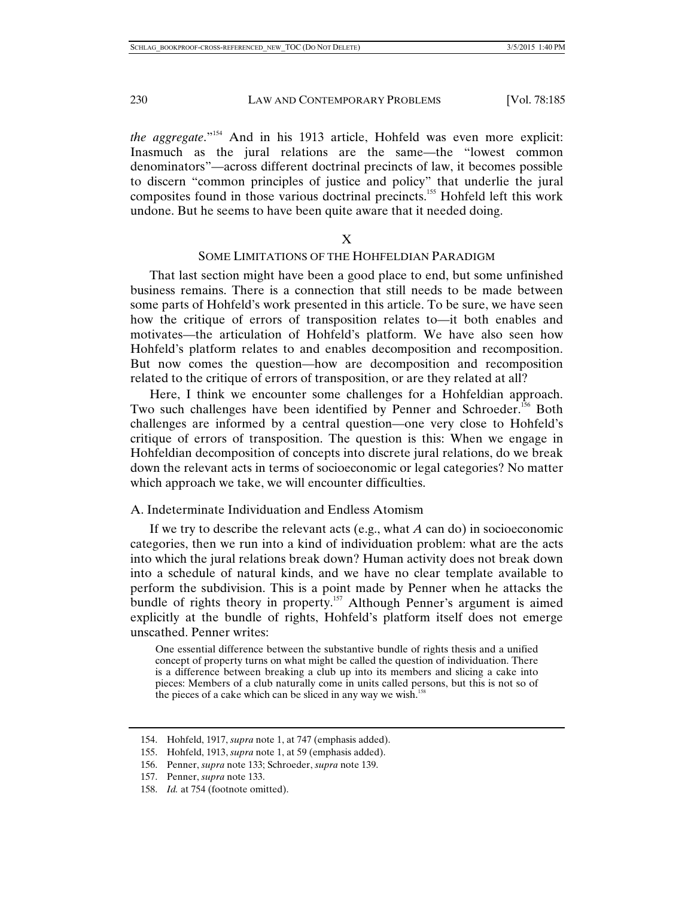*the aggregate*."154 And in his 1913 article, Hohfeld was even more explicit: Inasmuch as the jural relations are the same—the "lowest common denominators"—across different doctrinal precincts of law, it becomes possible to discern "common principles of justice and policy" that underlie the jural composites found in those various doctrinal precincts.<sup>155</sup> Hohfeld left this work undone. But he seems to have been quite aware that it needed doing.

X

## SOME LIMITATIONS OF THE HOHFELDIAN PARADIGM

That last section might have been a good place to end, but some unfinished business remains. There is a connection that still needs to be made between some parts of Hohfeld's work presented in this article. To be sure, we have seen how the critique of errors of transposition relates to—it both enables and motivates—the articulation of Hohfeld's platform. We have also seen how Hohfeld's platform relates to and enables decomposition and recomposition. But now comes the question—how are decomposition and recomposition related to the critique of errors of transposition, or are they related at all?

Here, I think we encounter some challenges for a Hohfeldian approach. Two such challenges have been identified by Penner and Schroeder.<sup>156</sup> Both challenges are informed by a central question—one very close to Hohfeld's critique of errors of transposition. The question is this: When we engage in Hohfeldian decomposition of concepts into discrete jural relations, do we break down the relevant acts in terms of socioeconomic or legal categories? No matter which approach we take, we will encounter difficulties.

#### A. Indeterminate Individuation and Endless Atomism

If we try to describe the relevant acts (e.g., what *A* can do) in socioeconomic categories, then we run into a kind of individuation problem: what are the acts into which the jural relations break down? Human activity does not break down into a schedule of natural kinds, and we have no clear template available to perform the subdivision. This is a point made by Penner when he attacks the bundle of rights theory in property.<sup>157</sup> Although Penner's argument is aimed explicitly at the bundle of rights, Hohfeld's platform itself does not emerge unscathed. Penner writes:

One essential difference between the substantive bundle of rights thesis and a unified concept of property turns on what might be called the question of individuation. There is a difference between breaking a club up into its members and slicing a cake into pieces: Members of a club naturally come in units called persons, but this is not so of the pieces of a cake which can be sliced in any way we wish.<sup>158</sup>

 <sup>154.</sup> Hohfeld, 1917, *supra* note 1, at 747 (emphasis added).

 <sup>155.</sup> Hohfeld, 1913, *supra* note 1, at 59 (emphasis added).

 <sup>156.</sup> Penner, *supra* note 133; Schroeder, *supra* note 139.

 <sup>157.</sup> Penner, *supra* note 133.

 <sup>158.</sup> *Id.* at 754 (footnote omitted).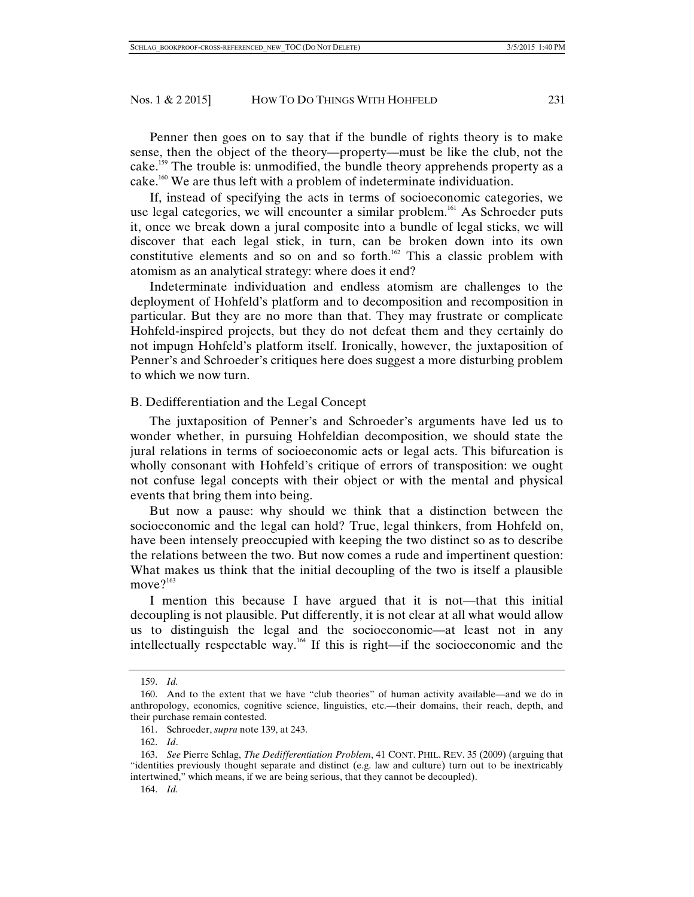Penner then goes on to say that if the bundle of rights theory is to make sense, then the object of the theory—property—must be like the club, not the cake.159 The trouble is: unmodified, the bundle theory apprehends property as a cake.<sup>160</sup> We are thus left with a problem of indeterminate individuation.

If, instead of specifying the acts in terms of socioeconomic categories, we use legal categories, we will encounter a similar problem.<sup>161</sup> As Schroeder puts it, once we break down a jural composite into a bundle of legal sticks, we will discover that each legal stick, in turn, can be broken down into its own constitutive elements and so on and so forth.<sup>162</sup> This a classic problem with atomism as an analytical strategy: where does it end?

Indeterminate individuation and endless atomism are challenges to the deployment of Hohfeld's platform and to decomposition and recomposition in particular. But they are no more than that. They may frustrate or complicate Hohfeld-inspired projects, but they do not defeat them and they certainly do not impugn Hohfeld's platform itself. Ironically, however, the juxtaposition of Penner's and Schroeder's critiques here does suggest a more disturbing problem to which we now turn.

## B. Dedifferentiation and the Legal Concept

The juxtaposition of Penner's and Schroeder's arguments have led us to wonder whether, in pursuing Hohfeldian decomposition, we should state the jural relations in terms of socioeconomic acts or legal acts. This bifurcation is wholly consonant with Hohfeld's critique of errors of transposition: we ought not confuse legal concepts with their object or with the mental and physical events that bring them into being.

But now a pause: why should we think that a distinction between the socioeconomic and the legal can hold? True, legal thinkers, from Hohfeld on, have been intensely preoccupied with keeping the two distinct so as to describe the relations between the two. But now comes a rude and impertinent question: What makes us think that the initial decoupling of the two is itself a plausible move $2^{163}$ 

I mention this because I have argued that it is not—that this initial decoupling is not plausible. Put differently, it is not clear at all what would allow us to distinguish the legal and the socioeconomic—at least not in any intellectually respectable way.164 If this is right—if the socioeconomic and the

 <sup>159.</sup> *Id.*

 <sup>160.</sup> And to the extent that we have "club theories" of human activity available—and we do in anthropology, economics, cognitive science, linguistics, etc.—their domains, their reach, depth, and their purchase remain contested.

 <sup>161.</sup> Schroeder, *supra* note 139, at 243.

 <sup>162.</sup> *Id*.

 <sup>163.</sup> *See* Pierre Schlag, *The Dedifferentiation Problem*, 41 CONT. PHIL. REV. 35 (2009) (arguing that "identities previously thought separate and distinct (e.g. law and culture) turn out to be inextricably intertwined," which means, if we are being serious, that they cannot be decoupled).

 <sup>164.</sup> *Id.*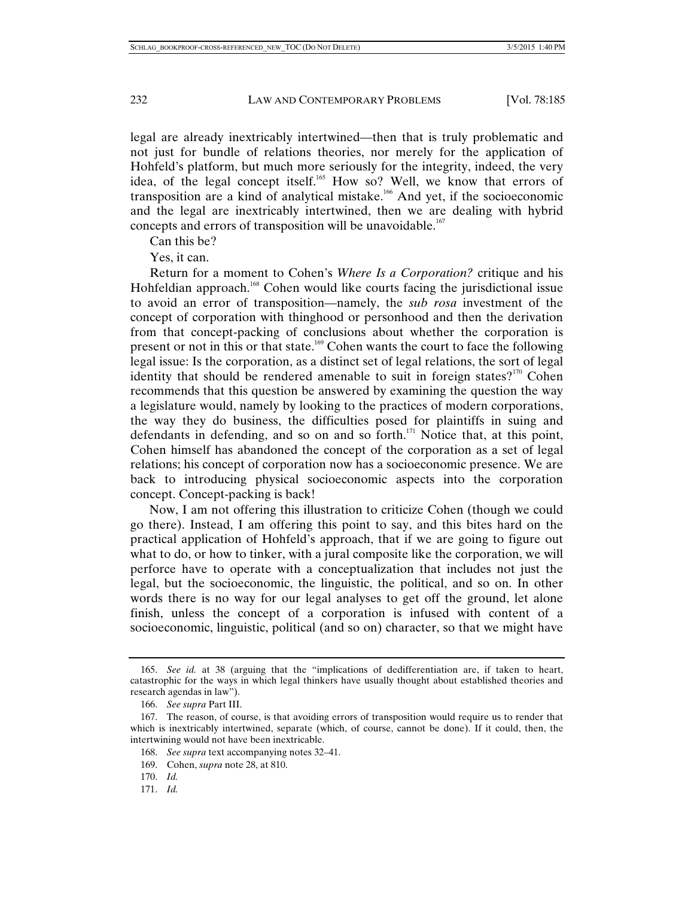legal are already inextricably intertwined—then that is truly problematic and not just for bundle of relations theories, nor merely for the application of Hohfeld's platform, but much more seriously for the integrity, indeed, the very idea, of the legal concept itself.<sup>165</sup> How so? Well, we know that errors of transposition are a kind of analytical mistake.<sup>166</sup> And yet, if the socioeconomic and the legal are inextricably intertwined, then we are dealing with hybrid concepts and errors of transposition will be unavoidable.<sup>167</sup>

Can this be?

Yes, it can.

Return for a moment to Cohen's *Where Is a Corporation?* critique and his Hohfeldian approach.<sup>168</sup> Cohen would like courts facing the jurisdictional issue to avoid an error of transposition—namely, the *sub rosa* investment of the concept of corporation with thinghood or personhood and then the derivation from that concept-packing of conclusions about whether the corporation is present or not in this or that state.169 Cohen wants the court to face the following legal issue: Is the corporation, as a distinct set of legal relations, the sort of legal identity that should be rendered amenable to suit in foreign states?<sup>170</sup> Cohen recommends that this question be answered by examining the question the way a legislature would, namely by looking to the practices of modern corporations, the way they do business, the difficulties posed for plaintiffs in suing and defendants in defending, and so on and so forth. $171$  Notice that, at this point, Cohen himself has abandoned the concept of the corporation as a set of legal relations; his concept of corporation now has a socioeconomic presence. We are back to introducing physical socioeconomic aspects into the corporation concept. Concept-packing is back!

Now, I am not offering this illustration to criticize Cohen (though we could go there). Instead, I am offering this point to say, and this bites hard on the practical application of Hohfeld's approach, that if we are going to figure out what to do, or how to tinker, with a jural composite like the corporation, we will perforce have to operate with a conceptualization that includes not just the legal, but the socioeconomic, the linguistic, the political, and so on. In other words there is no way for our legal analyses to get off the ground, let alone finish, unless the concept of a corporation is infused with content of a socioeconomic, linguistic, political (and so on) character, so that we might have

 <sup>165.</sup> *See id.* at 38 (arguing that the "implications of dedifferentiation are, if taken to heart, catastrophic for the ways in which legal thinkers have usually thought about established theories and research agendas in law").

 <sup>166.</sup> *See supra* Part III.

 <sup>167.</sup> The reason, of course, is that avoiding errors of transposition would require us to render that which is inextricably intertwined, separate (which, of course, cannot be done). If it could, then, the intertwining would not have been inextricable.

 <sup>168.</sup> *See supra* text accompanying notes 32–41.

 <sup>169.</sup> Cohen, *supra* note 28, at 810.

 <sup>170.</sup> *Id.*

 <sup>171.</sup> *Id.*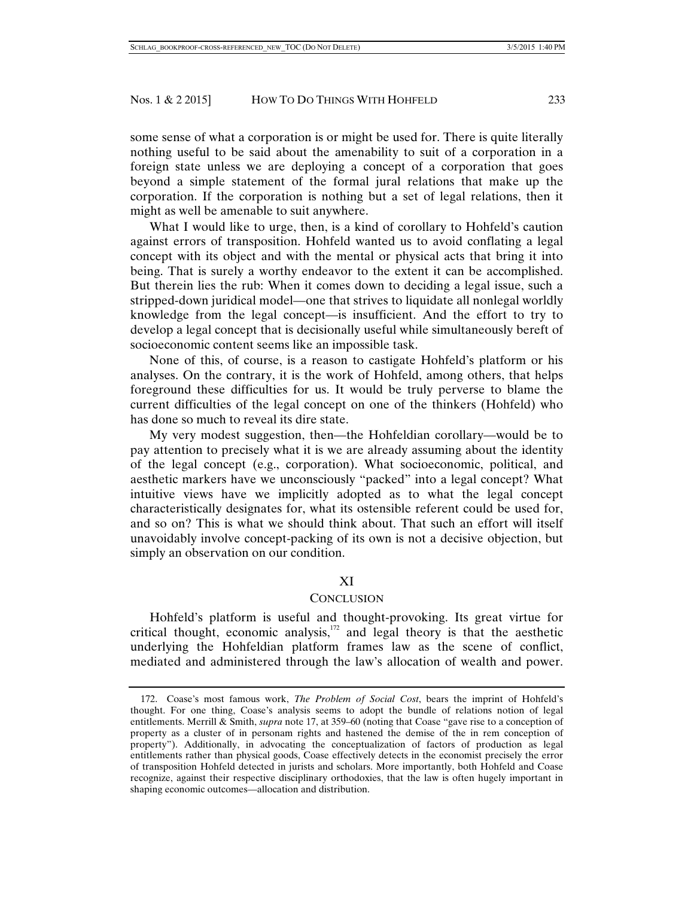some sense of what a corporation is or might be used for. There is quite literally nothing useful to be said about the amenability to suit of a corporation in a foreign state unless we are deploying a concept of a corporation that goes beyond a simple statement of the formal jural relations that make up the corporation. If the corporation is nothing but a set of legal relations, then it might as well be amenable to suit anywhere.

What I would like to urge, then, is a kind of corollary to Hohfeld's caution against errors of transposition. Hohfeld wanted us to avoid conflating a legal concept with its object and with the mental or physical acts that bring it into being. That is surely a worthy endeavor to the extent it can be accomplished. But therein lies the rub: When it comes down to deciding a legal issue, such a stripped-down juridical model—one that strives to liquidate all nonlegal worldly knowledge from the legal concept—is insufficient. And the effort to try to develop a legal concept that is decisionally useful while simultaneously bereft of socioeconomic content seems like an impossible task.

None of this, of course, is a reason to castigate Hohfeld's platform or his analyses. On the contrary, it is the work of Hohfeld, among others, that helps foreground these difficulties for us. It would be truly perverse to blame the current difficulties of the legal concept on one of the thinkers (Hohfeld) who has done so much to reveal its dire state.

My very modest suggestion, then—the Hohfeldian corollary—would be to pay attention to precisely what it is we are already assuming about the identity of the legal concept (e.g., corporation). What socioeconomic, political, and aesthetic markers have we unconsciously "packed" into a legal concept? What intuitive views have we implicitly adopted as to what the legal concept characteristically designates for, what its ostensible referent could be used for, and so on? This is what we should think about. That such an effort will itself unavoidably involve concept-packing of its own is not a decisive objection, but simply an observation on our condition.

#### XI

#### **CONCLUSION**

Hohfeld's platform is useful and thought-provoking. Its great virtue for critical thought, economic analysis,<sup>172</sup> and legal theory is that the aesthetic underlying the Hohfeldian platform frames law as the scene of conflict, mediated and administered through the law's allocation of wealth and power.

 <sup>172.</sup> Coase's most famous work, *The Problem of Social Cost*, bears the imprint of Hohfeld's thought. For one thing, Coase's analysis seems to adopt the bundle of relations notion of legal entitlements. Merrill & Smith, *supra* note 17, at 359–60 (noting that Coase "gave rise to a conception of property as a cluster of in personam rights and hastened the demise of the in rem conception of property"). Additionally, in advocating the conceptualization of factors of production as legal entitlements rather than physical goods, Coase effectively detects in the economist precisely the error of transposition Hohfeld detected in jurists and scholars. More importantly, both Hohfeld and Coase recognize, against their respective disciplinary orthodoxies, that the law is often hugely important in shaping economic outcomes—allocation and distribution.